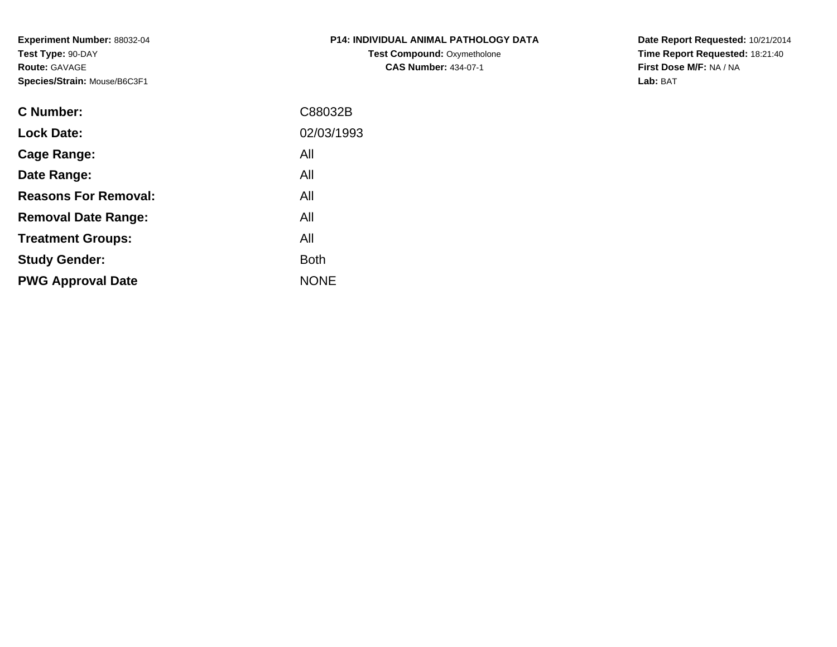**Experiment Number:** 88032-04**Test Type:** 90-DAY**Route:** GAVAGE**Species/Strain:** Mouse/B6C3F1

| <b>P14: INDIVIDUAL ANIMAL PATHOLOGY DATA</b> |
|----------------------------------------------|
| <b>Test Compound: Oxymetholone</b>           |
| <b>CAS Number: 434-07-1</b>                  |

**Date Report Requested:** 10/21/2014 **Time Report Requested:** 18:21:40**First Dose M/F:** NA / NA**Lab:** BAT

| C88032B     |
|-------------|
| 02/03/1993  |
| All         |
| All         |
| All         |
| All         |
| All         |
| <b>Both</b> |
| <b>NONE</b> |
|             |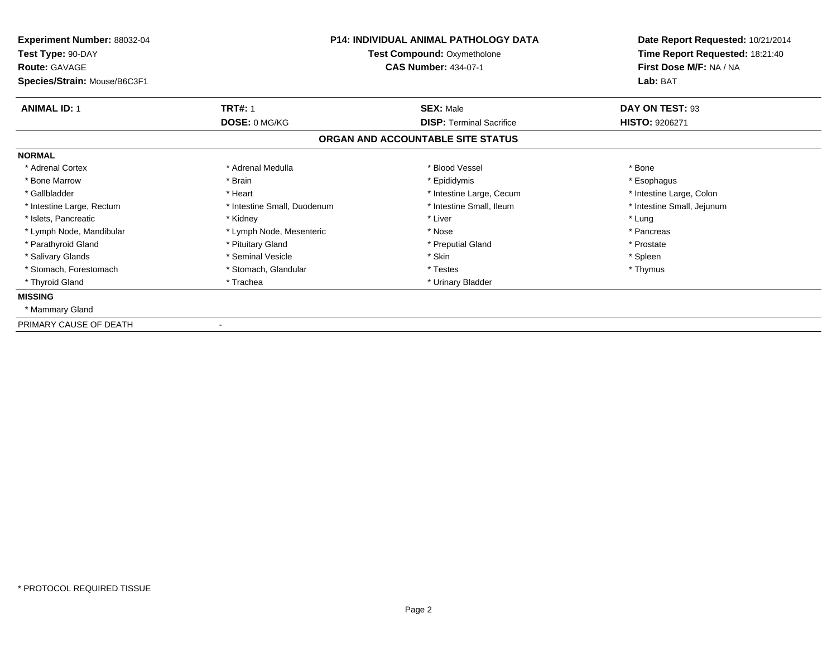| Experiment Number: 88032-04<br>Test Type: 90-DAY<br><b>Route: GAVAGE</b> | <b>P14: INDIVIDUAL ANIMAL PATHOLOGY DATA</b><br>Test Compound: Oxymetholone<br><b>CAS Number: 434-07-1</b> |                                   | Date Report Requested: 10/21/2014<br>Time Report Requested: 18:21:40<br>First Dose M/F: NA / NA |  |
|--------------------------------------------------------------------------|------------------------------------------------------------------------------------------------------------|-----------------------------------|-------------------------------------------------------------------------------------------------|--|
| Species/Strain: Mouse/B6C3F1                                             |                                                                                                            |                                   | Lab: BAT                                                                                        |  |
| <b>ANIMAL ID: 1</b>                                                      | <b>TRT#: 1</b>                                                                                             | <b>SEX: Male</b>                  | DAY ON TEST: 93                                                                                 |  |
|                                                                          | DOSE: 0 MG/KG                                                                                              | <b>DISP: Terminal Sacrifice</b>   | <b>HISTO: 9206271</b>                                                                           |  |
|                                                                          |                                                                                                            | ORGAN AND ACCOUNTABLE SITE STATUS |                                                                                                 |  |
| <b>NORMAL</b>                                                            |                                                                                                            |                                   |                                                                                                 |  |
| * Adrenal Cortex                                                         | * Adrenal Medulla                                                                                          | * Blood Vessel                    | * Bone                                                                                          |  |
| * Bone Marrow                                                            | * Brain                                                                                                    | * Epididymis                      | * Esophagus                                                                                     |  |
| * Gallbladder                                                            | * Heart                                                                                                    | * Intestine Large, Cecum          | * Intestine Large, Colon                                                                        |  |
| * Intestine Large, Rectum                                                | * Intestine Small, Duodenum                                                                                | * Intestine Small. Ileum          | * Intestine Small, Jejunum                                                                      |  |
| * Islets. Pancreatic                                                     | * Kidney                                                                                                   | * Liver                           | * Lung                                                                                          |  |
| * Lymph Node, Mandibular                                                 | * Lymph Node, Mesenteric                                                                                   | * Nose                            | * Pancreas                                                                                      |  |
| * Parathyroid Gland                                                      | * Pituitary Gland                                                                                          | * Preputial Gland                 | * Prostate                                                                                      |  |
| * Salivary Glands                                                        | * Seminal Vesicle                                                                                          | * Skin                            | * Spleen                                                                                        |  |
| * Stomach, Forestomach                                                   | * Stomach, Glandular                                                                                       | * Testes                          | * Thymus                                                                                        |  |
| * Thyroid Gland                                                          | * Trachea                                                                                                  | * Urinary Bladder                 |                                                                                                 |  |
| <b>MISSING</b>                                                           |                                                                                                            |                                   |                                                                                                 |  |
| * Mammary Gland                                                          |                                                                                                            |                                   |                                                                                                 |  |
| PRIMARY CAUSE OF DEATH                                                   |                                                                                                            |                                   |                                                                                                 |  |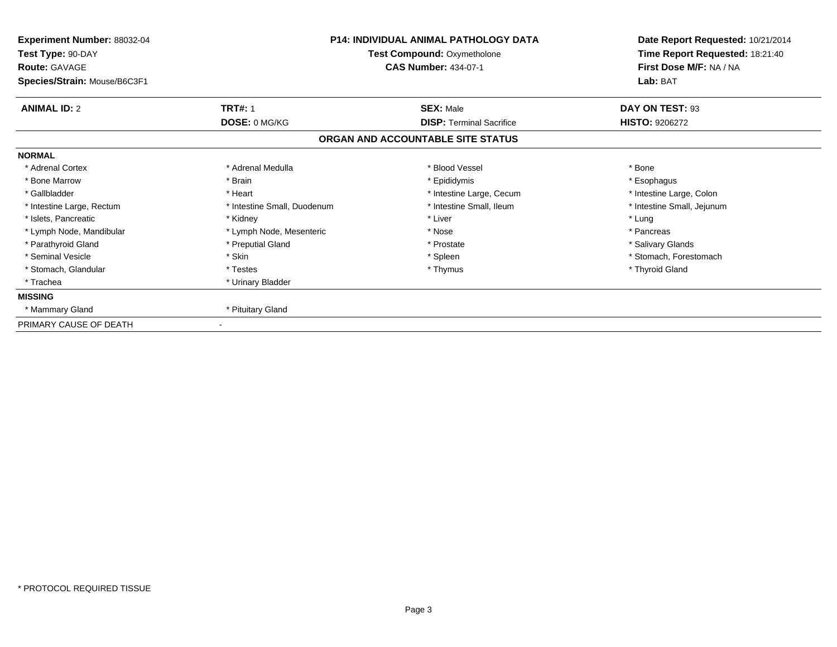| Experiment Number: 88032-04<br>Test Type: 90-DAY<br><b>Route: GAVAGE</b> | P14: INDIVIDUAL ANIMAL PATHOLOGY DATA<br><b>Test Compound: Oxymetholone</b><br><b>CAS Number: 434-07-1</b> |                                   | Date Report Requested: 10/21/2014<br>Time Report Requested: 18:21:40<br>First Dose M/F: NA / NA |  |
|--------------------------------------------------------------------------|------------------------------------------------------------------------------------------------------------|-----------------------------------|-------------------------------------------------------------------------------------------------|--|
| Species/Strain: Mouse/B6C3F1                                             |                                                                                                            |                                   | Lab: BAT                                                                                        |  |
| <b>ANIMAL ID: 2</b>                                                      | <b>TRT#: 1</b>                                                                                             | <b>SEX: Male</b>                  | DAY ON TEST: 93                                                                                 |  |
|                                                                          | DOSE: 0 MG/KG                                                                                              | <b>DISP: Terminal Sacrifice</b>   | <b>HISTO: 9206272</b>                                                                           |  |
|                                                                          |                                                                                                            | ORGAN AND ACCOUNTABLE SITE STATUS |                                                                                                 |  |
| <b>NORMAL</b>                                                            |                                                                                                            |                                   |                                                                                                 |  |
| * Adrenal Cortex                                                         | * Adrenal Medulla                                                                                          | * Blood Vessel                    | * Bone                                                                                          |  |
| * Bone Marrow                                                            | * Brain                                                                                                    | * Epididymis                      | * Esophagus                                                                                     |  |
| * Gallbladder                                                            | * Heart                                                                                                    | * Intestine Large, Cecum          | * Intestine Large, Colon                                                                        |  |
| * Intestine Large, Rectum                                                | * Intestine Small, Duodenum                                                                                | * Intestine Small, Ileum          | * Intestine Small, Jejunum                                                                      |  |
| * Islets, Pancreatic                                                     | * Kidney                                                                                                   | * Liver                           | * Lung                                                                                          |  |
| * Lymph Node, Mandibular                                                 | * Lymph Node, Mesenteric                                                                                   | * Nose                            | * Pancreas                                                                                      |  |
| * Parathyroid Gland                                                      | * Preputial Gland                                                                                          | * Prostate                        | * Salivary Glands                                                                               |  |
| * Seminal Vesicle                                                        | * Skin                                                                                                     | * Spleen                          | * Stomach, Forestomach                                                                          |  |
| * Stomach, Glandular                                                     | * Testes                                                                                                   | * Thymus                          | * Thyroid Gland                                                                                 |  |
| * Trachea                                                                | * Urinary Bladder                                                                                          |                                   |                                                                                                 |  |
| <b>MISSING</b>                                                           |                                                                                                            |                                   |                                                                                                 |  |
| * Mammary Gland                                                          | * Pituitary Gland                                                                                          |                                   |                                                                                                 |  |
| PRIMARY CAUSE OF DEATH                                                   |                                                                                                            |                                   |                                                                                                 |  |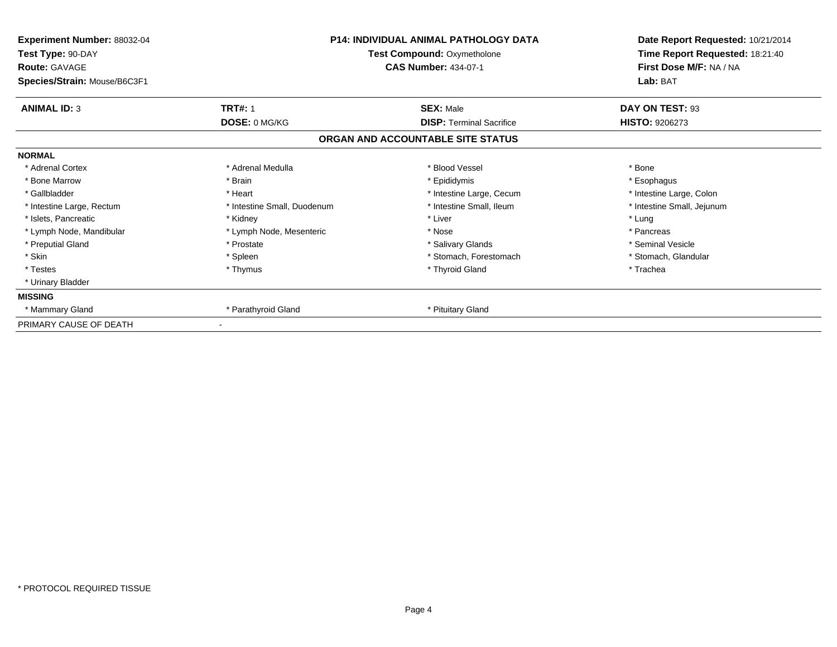| Experiment Number: 88032-04<br>Test Type: 90-DAY<br><b>Route: GAVAGE</b><br>Species/Strain: Mouse/B6C3F1 |                             | <b>P14: INDIVIDUAL ANIMAL PATHOLOGY DATA</b><br>Test Compound: Oxymetholone<br><b>CAS Number: 434-07-1</b> | Date Report Requested: 10/21/2014<br>Time Report Requested: 18:21:40<br>First Dose M/F: NA / NA<br>Lab: BAT |
|----------------------------------------------------------------------------------------------------------|-----------------------------|------------------------------------------------------------------------------------------------------------|-------------------------------------------------------------------------------------------------------------|
| <b>ANIMAL ID: 3</b>                                                                                      | <b>TRT#: 1</b>              | <b>SEX: Male</b>                                                                                           | DAY ON TEST: 93                                                                                             |
|                                                                                                          | DOSE: 0 MG/KG               | <b>DISP: Terminal Sacrifice</b>                                                                            | <b>HISTO: 9206273</b>                                                                                       |
|                                                                                                          |                             | ORGAN AND ACCOUNTABLE SITE STATUS                                                                          |                                                                                                             |
| <b>NORMAL</b>                                                                                            |                             |                                                                                                            |                                                                                                             |
| * Adrenal Cortex                                                                                         | * Adrenal Medulla           | * Blood Vessel                                                                                             | * Bone                                                                                                      |
| * Bone Marrow                                                                                            | * Brain                     | * Epididymis                                                                                               | * Esophagus                                                                                                 |
| * Gallbladder                                                                                            | * Heart                     | * Intestine Large, Cecum                                                                                   | * Intestine Large, Colon                                                                                    |
| * Intestine Large, Rectum                                                                                | * Intestine Small, Duodenum | * Intestine Small, Ileum                                                                                   | * Intestine Small, Jejunum                                                                                  |
| * Islets, Pancreatic                                                                                     | * Kidney                    | * Liver                                                                                                    | * Lung                                                                                                      |
| * Lymph Node, Mandibular                                                                                 | * Lymph Node, Mesenteric    | * Nose                                                                                                     | * Pancreas                                                                                                  |
| * Preputial Gland                                                                                        | * Prostate                  | * Salivary Glands                                                                                          | * Seminal Vesicle                                                                                           |
| * Skin                                                                                                   | * Spleen                    | * Stomach, Forestomach                                                                                     | * Stomach, Glandular                                                                                        |
| * Testes                                                                                                 | * Thymus                    | * Thyroid Gland                                                                                            | * Trachea                                                                                                   |
| * Urinary Bladder                                                                                        |                             |                                                                                                            |                                                                                                             |
| <b>MISSING</b>                                                                                           |                             |                                                                                                            |                                                                                                             |
| * Mammary Gland                                                                                          | * Parathyroid Gland         | * Pituitary Gland                                                                                          |                                                                                                             |
| PRIMARY CAUSE OF DEATH                                                                                   |                             |                                                                                                            |                                                                                                             |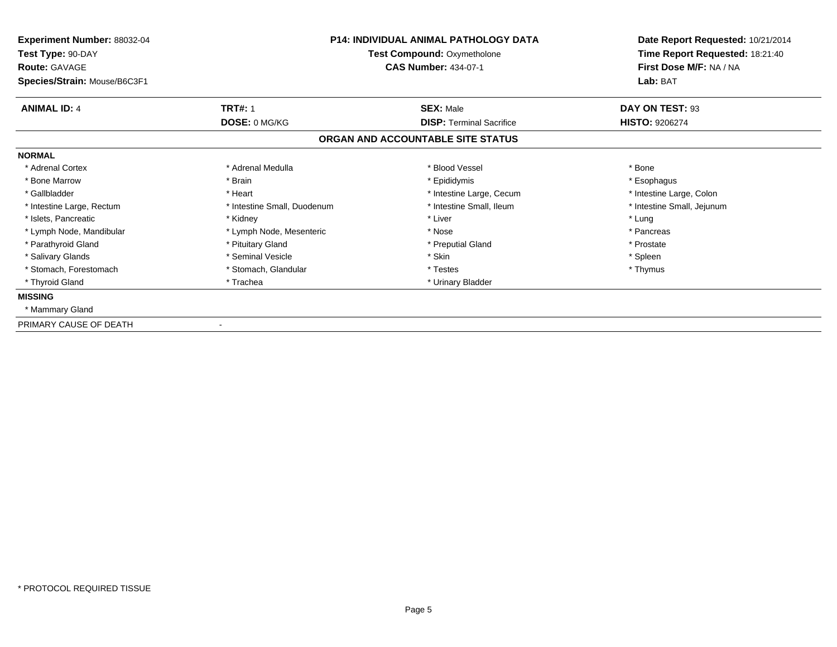| Experiment Number: 88032-04<br>Test Type: 90-DAY<br><b>Route: GAVAGE</b> | <b>P14: INDIVIDUAL ANIMAL PATHOLOGY DATA</b><br>Test Compound: Oxymetholone<br><b>CAS Number: 434-07-1</b> |                                   | Date Report Requested: 10/21/2014<br>Time Report Requested: 18:21:40<br>First Dose M/F: NA / NA |  |
|--------------------------------------------------------------------------|------------------------------------------------------------------------------------------------------------|-----------------------------------|-------------------------------------------------------------------------------------------------|--|
| Species/Strain: Mouse/B6C3F1                                             |                                                                                                            |                                   | Lab: BAT                                                                                        |  |
| <b>ANIMAL ID: 4</b>                                                      | <b>TRT#: 1</b>                                                                                             | <b>SEX: Male</b>                  | DAY ON TEST: 93                                                                                 |  |
|                                                                          | DOSE: 0 MG/KG                                                                                              | <b>DISP: Terminal Sacrifice</b>   | <b>HISTO: 9206274</b>                                                                           |  |
|                                                                          |                                                                                                            | ORGAN AND ACCOUNTABLE SITE STATUS |                                                                                                 |  |
| <b>NORMAL</b>                                                            |                                                                                                            |                                   |                                                                                                 |  |
| * Adrenal Cortex                                                         | * Adrenal Medulla                                                                                          | * Blood Vessel                    | * Bone                                                                                          |  |
| * Bone Marrow                                                            | * Brain                                                                                                    | * Epididymis                      | * Esophagus                                                                                     |  |
| * Gallbladder                                                            | * Heart                                                                                                    | * Intestine Large, Cecum          | * Intestine Large, Colon                                                                        |  |
| * Intestine Large, Rectum                                                | * Intestine Small, Duodenum                                                                                | * Intestine Small. Ileum          | * Intestine Small, Jejunum                                                                      |  |
| * Islets. Pancreatic                                                     | * Kidney                                                                                                   | * Liver                           | * Lung                                                                                          |  |
| * Lymph Node, Mandibular                                                 | * Lymph Node, Mesenteric                                                                                   | * Nose                            | * Pancreas                                                                                      |  |
| * Parathyroid Gland                                                      | * Pituitary Gland                                                                                          | * Preputial Gland                 | * Prostate                                                                                      |  |
| * Salivary Glands                                                        | * Seminal Vesicle                                                                                          | * Skin                            | * Spleen                                                                                        |  |
| * Stomach, Forestomach                                                   | * Stomach, Glandular                                                                                       | * Testes                          | * Thymus                                                                                        |  |
| * Thyroid Gland                                                          | * Trachea                                                                                                  | * Urinary Bladder                 |                                                                                                 |  |
| <b>MISSING</b>                                                           |                                                                                                            |                                   |                                                                                                 |  |
| * Mammary Gland                                                          |                                                                                                            |                                   |                                                                                                 |  |
| PRIMARY CAUSE OF DEATH                                                   |                                                                                                            |                                   |                                                                                                 |  |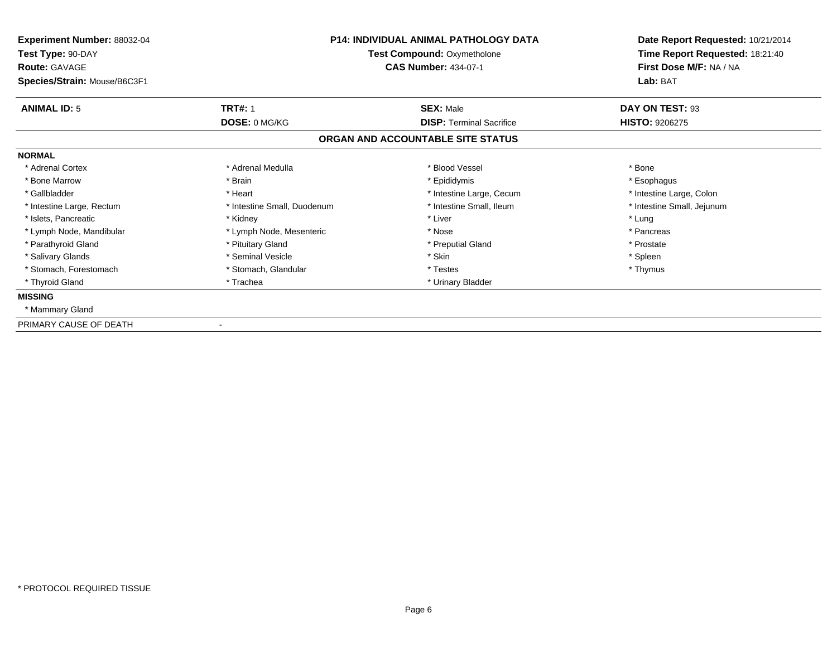| Experiment Number: 88032-04<br>Test Type: 90-DAY<br><b>Route: GAVAGE</b> | <b>P14: INDIVIDUAL ANIMAL PATHOLOGY DATA</b><br>Test Compound: Oxymetholone<br><b>CAS Number: 434-07-1</b> |                                   | Date Report Requested: 10/21/2014<br>Time Report Requested: 18:21:40<br>First Dose M/F: NA / NA |  |
|--------------------------------------------------------------------------|------------------------------------------------------------------------------------------------------------|-----------------------------------|-------------------------------------------------------------------------------------------------|--|
| Species/Strain: Mouse/B6C3F1                                             |                                                                                                            |                                   | Lab: BAT                                                                                        |  |
| <b>ANIMAL ID: 5</b>                                                      | <b>TRT#: 1</b>                                                                                             | <b>SEX: Male</b>                  | DAY ON TEST: 93                                                                                 |  |
|                                                                          | DOSE: 0 MG/KG                                                                                              | <b>DISP: Terminal Sacrifice</b>   | <b>HISTO: 9206275</b>                                                                           |  |
|                                                                          |                                                                                                            | ORGAN AND ACCOUNTABLE SITE STATUS |                                                                                                 |  |
| <b>NORMAL</b>                                                            |                                                                                                            |                                   |                                                                                                 |  |
| * Adrenal Cortex                                                         | * Adrenal Medulla                                                                                          | * Blood Vessel                    | * Bone                                                                                          |  |
| * Bone Marrow                                                            | * Brain                                                                                                    | * Epididymis                      | * Esophagus                                                                                     |  |
| * Gallbladder                                                            | * Heart                                                                                                    | * Intestine Large, Cecum          | * Intestine Large, Colon                                                                        |  |
| * Intestine Large, Rectum                                                | * Intestine Small, Duodenum                                                                                | * Intestine Small. Ileum          | * Intestine Small, Jejunum                                                                      |  |
| * Islets. Pancreatic                                                     | * Kidney                                                                                                   | * Liver                           | * Lung                                                                                          |  |
| * Lymph Node, Mandibular                                                 | * Lymph Node, Mesenteric                                                                                   | * Nose                            | * Pancreas                                                                                      |  |
| * Parathyroid Gland                                                      | * Pituitary Gland                                                                                          | * Preputial Gland                 | * Prostate                                                                                      |  |
| * Salivary Glands                                                        | * Seminal Vesicle                                                                                          | * Skin                            | * Spleen                                                                                        |  |
| * Stomach, Forestomach                                                   | * Stomach, Glandular                                                                                       | * Testes                          | * Thymus                                                                                        |  |
| * Thyroid Gland                                                          | * Trachea                                                                                                  | * Urinary Bladder                 |                                                                                                 |  |
| <b>MISSING</b>                                                           |                                                                                                            |                                   |                                                                                                 |  |
| * Mammary Gland                                                          |                                                                                                            |                                   |                                                                                                 |  |
| PRIMARY CAUSE OF DEATH                                                   |                                                                                                            |                                   |                                                                                                 |  |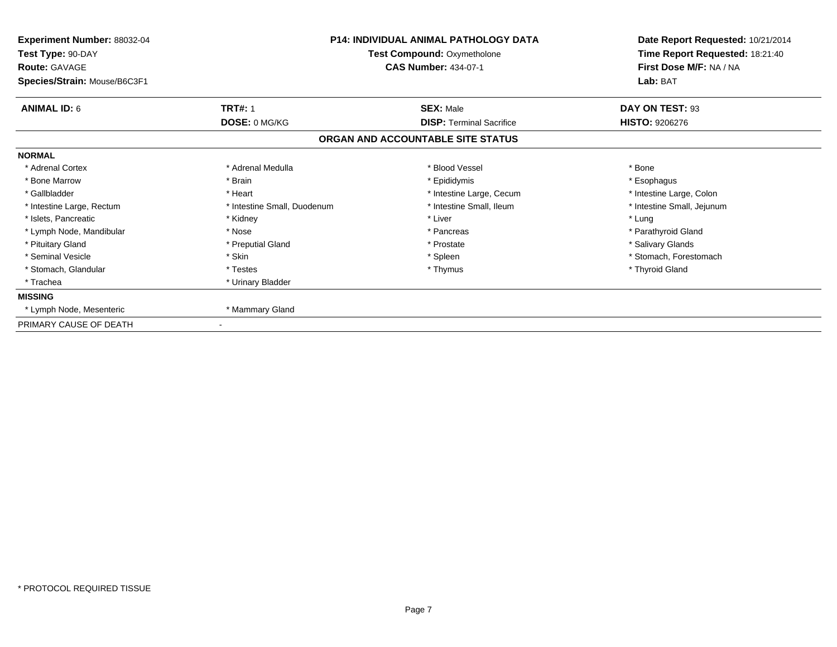| Experiment Number: 88032-04<br>Test Type: 90-DAY<br><b>Route: GAVAGE</b> | <b>P14: INDIVIDUAL ANIMAL PATHOLOGY DATA</b><br>Test Compound: Oxymetholone<br><b>CAS Number: 434-07-1</b> |                                   | Date Report Requested: 10/21/2014<br>Time Report Requested: 18:21:40<br>First Dose M/F: NA / NA |  |
|--------------------------------------------------------------------------|------------------------------------------------------------------------------------------------------------|-----------------------------------|-------------------------------------------------------------------------------------------------|--|
| Species/Strain: Mouse/B6C3F1                                             |                                                                                                            |                                   | Lab: BAT                                                                                        |  |
| <b>ANIMAL ID: 6</b>                                                      | <b>TRT#: 1</b>                                                                                             | <b>SEX: Male</b>                  | DAY ON TEST: 93                                                                                 |  |
|                                                                          | DOSE: 0 MG/KG                                                                                              | <b>DISP: Terminal Sacrifice</b>   | <b>HISTO: 9206276</b>                                                                           |  |
|                                                                          |                                                                                                            | ORGAN AND ACCOUNTABLE SITE STATUS |                                                                                                 |  |
| <b>NORMAL</b>                                                            |                                                                                                            |                                   |                                                                                                 |  |
| * Adrenal Cortex                                                         | * Adrenal Medulla                                                                                          | * Blood Vessel                    | * Bone                                                                                          |  |
| * Bone Marrow                                                            | * Brain                                                                                                    | * Epididymis                      | * Esophagus                                                                                     |  |
| * Gallbladder                                                            | * Heart                                                                                                    | * Intestine Large, Cecum          | * Intestine Large, Colon                                                                        |  |
| * Intestine Large, Rectum                                                | * Intestine Small, Duodenum                                                                                | * Intestine Small. Ileum          | * Intestine Small, Jejunum                                                                      |  |
| * Islets. Pancreatic                                                     | * Kidney                                                                                                   | * Liver                           | * Lung                                                                                          |  |
| * Lymph Node, Mandibular                                                 | * Nose                                                                                                     | * Pancreas                        | * Parathyroid Gland                                                                             |  |
| * Pituitary Gland                                                        | * Preputial Gland                                                                                          | * Prostate                        | * Salivary Glands                                                                               |  |
| * Seminal Vesicle                                                        | * Skin                                                                                                     | * Spleen                          | * Stomach, Forestomach                                                                          |  |
| * Stomach, Glandular                                                     | * Testes                                                                                                   | * Thymus                          | * Thyroid Gland                                                                                 |  |
| * Trachea                                                                | * Urinary Bladder                                                                                          |                                   |                                                                                                 |  |
| <b>MISSING</b>                                                           |                                                                                                            |                                   |                                                                                                 |  |
| * Lymph Node, Mesenteric                                                 | * Mammary Gland                                                                                            |                                   |                                                                                                 |  |
| PRIMARY CAUSE OF DEATH                                                   |                                                                                                            |                                   |                                                                                                 |  |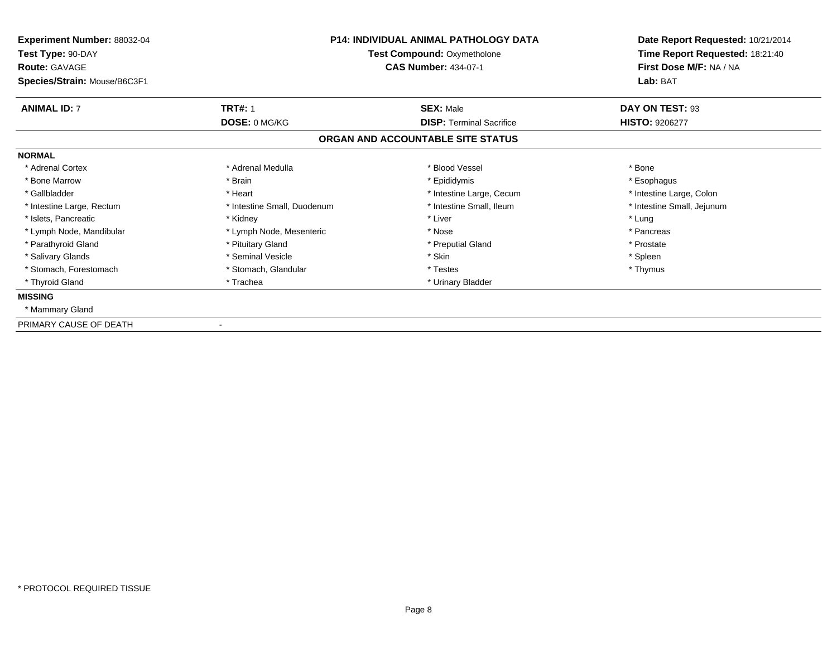| Experiment Number: 88032-04<br>Test Type: 90-DAY<br><b>Route: GAVAGE</b> | <b>P14: INDIVIDUAL ANIMAL PATHOLOGY DATA</b><br>Test Compound: Oxymetholone<br><b>CAS Number: 434-07-1</b> |                                   | Date Report Requested: 10/21/2014<br>Time Report Requested: 18:21:40<br>First Dose M/F: NA / NA |  |
|--------------------------------------------------------------------------|------------------------------------------------------------------------------------------------------------|-----------------------------------|-------------------------------------------------------------------------------------------------|--|
| Species/Strain: Mouse/B6C3F1                                             |                                                                                                            |                                   | Lab: BAT                                                                                        |  |
| <b>ANIMAL ID: 7</b>                                                      | <b>TRT#: 1</b>                                                                                             | <b>SEX: Male</b>                  | DAY ON TEST: 93                                                                                 |  |
|                                                                          | DOSE: 0 MG/KG                                                                                              | <b>DISP: Terminal Sacrifice</b>   | <b>HISTO: 9206277</b>                                                                           |  |
|                                                                          |                                                                                                            | ORGAN AND ACCOUNTABLE SITE STATUS |                                                                                                 |  |
| <b>NORMAL</b>                                                            |                                                                                                            |                                   |                                                                                                 |  |
| * Adrenal Cortex                                                         | * Adrenal Medulla                                                                                          | * Blood Vessel                    | * Bone                                                                                          |  |
| * Bone Marrow                                                            | * Brain                                                                                                    | * Epididymis                      | * Esophagus                                                                                     |  |
| * Gallbladder                                                            | * Heart                                                                                                    | * Intestine Large, Cecum          | * Intestine Large, Colon                                                                        |  |
| * Intestine Large, Rectum                                                | * Intestine Small, Duodenum                                                                                | * Intestine Small. Ileum          | * Intestine Small, Jejunum                                                                      |  |
| * Islets. Pancreatic                                                     | * Kidney                                                                                                   | * Liver                           | * Lung                                                                                          |  |
| * Lymph Node, Mandibular                                                 | * Lymph Node, Mesenteric                                                                                   | * Nose                            | * Pancreas                                                                                      |  |
| * Parathyroid Gland                                                      | * Pituitary Gland                                                                                          | * Preputial Gland                 | * Prostate                                                                                      |  |
| * Salivary Glands                                                        | * Seminal Vesicle                                                                                          | * Skin                            | * Spleen                                                                                        |  |
| * Stomach, Forestomach                                                   | * Stomach, Glandular                                                                                       | * Testes                          | * Thymus                                                                                        |  |
| * Thyroid Gland                                                          | * Trachea                                                                                                  | * Urinary Bladder                 |                                                                                                 |  |
| <b>MISSING</b>                                                           |                                                                                                            |                                   |                                                                                                 |  |
| * Mammary Gland                                                          |                                                                                                            |                                   |                                                                                                 |  |
| PRIMARY CAUSE OF DEATH                                                   |                                                                                                            |                                   |                                                                                                 |  |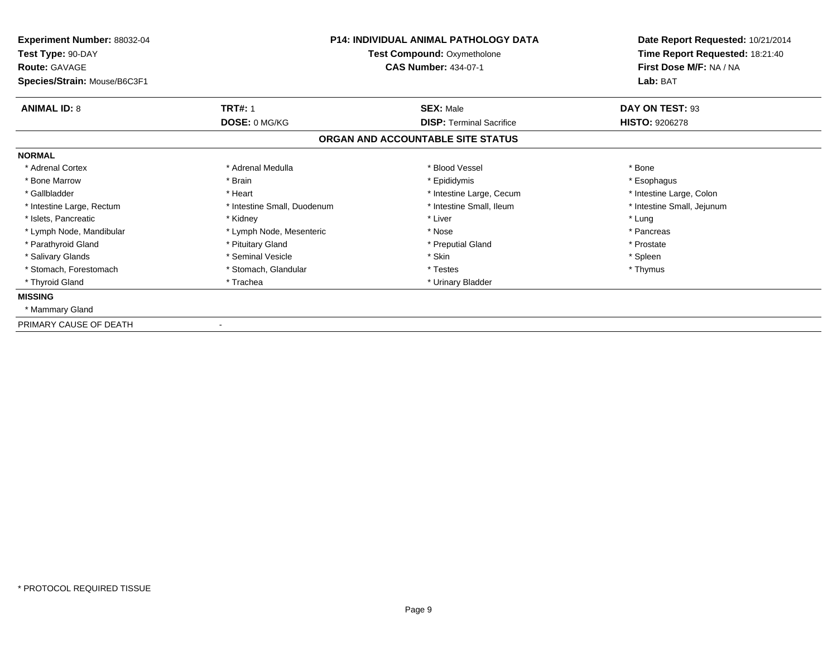| Experiment Number: 88032-04<br>Test Type: 90-DAY<br><b>Route: GAVAGE</b> | <b>P14: INDIVIDUAL ANIMAL PATHOLOGY DATA</b><br>Test Compound: Oxymetholone<br><b>CAS Number: 434-07-1</b> |                                   | Date Report Requested: 10/21/2014<br>Time Report Requested: 18:21:40<br>First Dose M/F: NA / NA |  |
|--------------------------------------------------------------------------|------------------------------------------------------------------------------------------------------------|-----------------------------------|-------------------------------------------------------------------------------------------------|--|
| Species/Strain: Mouse/B6C3F1                                             |                                                                                                            |                                   | Lab: BAT                                                                                        |  |
| <b>ANIMAL ID: 8</b>                                                      | <b>TRT#: 1</b>                                                                                             | <b>SEX: Male</b>                  | DAY ON TEST: 93                                                                                 |  |
|                                                                          | DOSE: 0 MG/KG                                                                                              | <b>DISP: Terminal Sacrifice</b>   | <b>HISTO: 9206278</b>                                                                           |  |
|                                                                          |                                                                                                            | ORGAN AND ACCOUNTABLE SITE STATUS |                                                                                                 |  |
| <b>NORMAL</b>                                                            |                                                                                                            |                                   |                                                                                                 |  |
| * Adrenal Cortex                                                         | * Adrenal Medulla                                                                                          | * Blood Vessel                    | * Bone                                                                                          |  |
| * Bone Marrow                                                            | * Brain                                                                                                    | * Epididymis                      | * Esophagus                                                                                     |  |
| * Gallbladder                                                            | * Heart                                                                                                    | * Intestine Large, Cecum          | * Intestine Large, Colon                                                                        |  |
| * Intestine Large, Rectum                                                | * Intestine Small, Duodenum                                                                                | * Intestine Small. Ileum          | * Intestine Small, Jejunum                                                                      |  |
| * Islets. Pancreatic                                                     | * Kidney                                                                                                   | * Liver                           | * Lung                                                                                          |  |
| * Lymph Node, Mandibular                                                 | * Lymph Node, Mesenteric                                                                                   | * Nose                            | * Pancreas                                                                                      |  |
| * Parathyroid Gland                                                      | * Pituitary Gland                                                                                          | * Preputial Gland                 | * Prostate                                                                                      |  |
| * Salivary Glands                                                        | * Seminal Vesicle                                                                                          | * Skin                            | * Spleen                                                                                        |  |
| * Stomach, Forestomach                                                   | * Stomach, Glandular                                                                                       | * Testes                          | * Thymus                                                                                        |  |
| * Thyroid Gland                                                          | * Trachea                                                                                                  | * Urinary Bladder                 |                                                                                                 |  |
| <b>MISSING</b>                                                           |                                                                                                            |                                   |                                                                                                 |  |
| * Mammary Gland                                                          |                                                                                                            |                                   |                                                                                                 |  |
| PRIMARY CAUSE OF DEATH                                                   |                                                                                                            |                                   |                                                                                                 |  |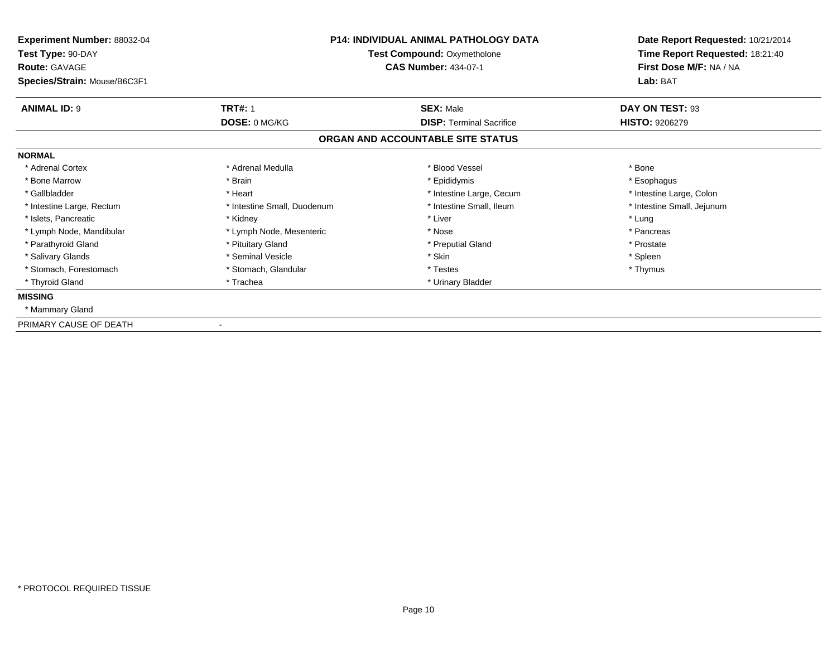| Experiment Number: 88032-04<br>Test Type: 90-DAY<br><b>Route: GAVAGE</b> | <b>P14: INDIVIDUAL ANIMAL PATHOLOGY DATA</b><br><b>Test Compound: Oxymetholone</b><br><b>CAS Number: 434-07-1</b> |                                   | First Dose M/F: NA / NA    |  | Date Report Requested: 10/21/2014<br>Time Report Requested: 18:21:40 |
|--------------------------------------------------------------------------|-------------------------------------------------------------------------------------------------------------------|-----------------------------------|----------------------------|--|----------------------------------------------------------------------|
| Species/Strain: Mouse/B6C3F1                                             |                                                                                                                   |                                   | Lab: BAT                   |  |                                                                      |
| <b>ANIMAL ID: 9</b>                                                      | <b>TRT#: 1</b>                                                                                                    | <b>SEX: Male</b>                  | DAY ON TEST: 93            |  |                                                                      |
|                                                                          | DOSE: 0 MG/KG                                                                                                     | <b>DISP: Terminal Sacrifice</b>   | <b>HISTO: 9206279</b>      |  |                                                                      |
|                                                                          |                                                                                                                   | ORGAN AND ACCOUNTABLE SITE STATUS |                            |  |                                                                      |
| <b>NORMAL</b>                                                            |                                                                                                                   |                                   |                            |  |                                                                      |
| * Adrenal Cortex                                                         | * Adrenal Medulla                                                                                                 | * Blood Vessel                    | * Bone                     |  |                                                                      |
| * Bone Marrow                                                            | * Brain                                                                                                           | * Epididymis                      | * Esophagus                |  |                                                                      |
| * Gallbladder                                                            | * Heart                                                                                                           | * Intestine Large, Cecum          | * Intestine Large, Colon   |  |                                                                      |
| * Intestine Large, Rectum                                                | * Intestine Small, Duodenum                                                                                       | * Intestine Small, Ileum          | * Intestine Small, Jejunum |  |                                                                      |
| * Islets, Pancreatic                                                     | * Kidney                                                                                                          | * Liver                           | * Lung                     |  |                                                                      |
| * Lymph Node, Mandibular                                                 | * Lymph Node, Mesenteric                                                                                          | * Nose                            | * Pancreas                 |  |                                                                      |
| * Parathyroid Gland                                                      | * Pituitary Gland                                                                                                 | * Preputial Gland                 | * Prostate                 |  |                                                                      |
| * Salivary Glands                                                        | * Seminal Vesicle                                                                                                 | * Skin                            | * Spleen                   |  |                                                                      |
| * Stomach, Forestomach                                                   | * Stomach, Glandular                                                                                              | * Testes                          | * Thymus                   |  |                                                                      |
| * Thyroid Gland                                                          | * Trachea                                                                                                         | * Urinary Bladder                 |                            |  |                                                                      |
| <b>MISSING</b>                                                           |                                                                                                                   |                                   |                            |  |                                                                      |
| * Mammary Gland                                                          |                                                                                                                   |                                   |                            |  |                                                                      |
| PRIMARY CAUSE OF DEATH                                                   |                                                                                                                   |                                   |                            |  |                                                                      |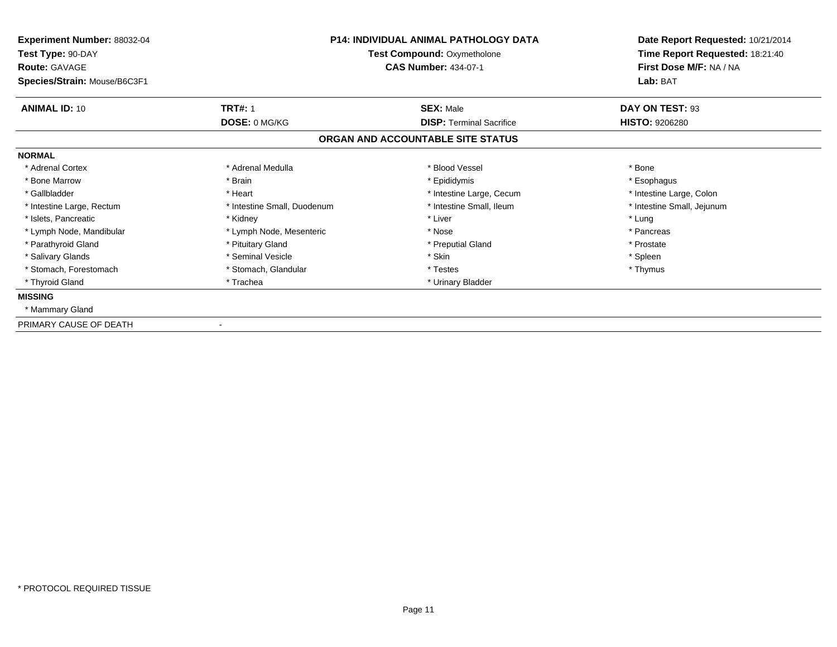| Experiment Number: 88032-04<br>Test Type: 90-DAY<br><b>Route: GAVAGE</b> | <b>P14: INDIVIDUAL ANIMAL PATHOLOGY DATA</b><br>Test Compound: Oxymetholone<br><b>CAS Number: 434-07-1</b> |                                   | Date Report Requested: 10/21/2014<br>Time Report Requested: 18:21:40<br>First Dose M/F: NA / NA |  |
|--------------------------------------------------------------------------|------------------------------------------------------------------------------------------------------------|-----------------------------------|-------------------------------------------------------------------------------------------------|--|
| Species/Strain: Mouse/B6C3F1                                             |                                                                                                            |                                   | Lab: BAT                                                                                        |  |
| <b>ANIMAL ID: 10</b>                                                     | <b>TRT#: 1</b>                                                                                             | <b>SEX: Male</b>                  | DAY ON TEST: 93                                                                                 |  |
|                                                                          | DOSE: 0 MG/KG                                                                                              | <b>DISP: Terminal Sacrifice</b>   | <b>HISTO: 9206280</b>                                                                           |  |
|                                                                          |                                                                                                            | ORGAN AND ACCOUNTABLE SITE STATUS |                                                                                                 |  |
| <b>NORMAL</b>                                                            |                                                                                                            |                                   |                                                                                                 |  |
| * Adrenal Cortex                                                         | * Adrenal Medulla                                                                                          | * Blood Vessel                    | * Bone                                                                                          |  |
| * Bone Marrow                                                            | * Brain                                                                                                    | * Epididymis                      | * Esophagus                                                                                     |  |
| * Gallbladder                                                            | * Heart                                                                                                    | * Intestine Large, Cecum          | * Intestine Large, Colon                                                                        |  |
| * Intestine Large, Rectum                                                | * Intestine Small, Duodenum                                                                                | * Intestine Small. Ileum          | * Intestine Small, Jejunum                                                                      |  |
| * Islets. Pancreatic                                                     | * Kidney                                                                                                   | * Liver                           | * Lung                                                                                          |  |
| * Lymph Node, Mandibular                                                 | * Lymph Node, Mesenteric                                                                                   | * Nose                            | * Pancreas                                                                                      |  |
| * Parathyroid Gland                                                      | * Pituitary Gland                                                                                          | * Preputial Gland                 | * Prostate                                                                                      |  |
| * Salivary Glands                                                        | * Seminal Vesicle                                                                                          | * Skin                            | * Spleen                                                                                        |  |
| * Stomach, Forestomach                                                   | * Stomach, Glandular                                                                                       | * Testes                          | * Thymus                                                                                        |  |
| * Thyroid Gland                                                          | * Trachea                                                                                                  | * Urinary Bladder                 |                                                                                                 |  |
| <b>MISSING</b>                                                           |                                                                                                            |                                   |                                                                                                 |  |
| * Mammary Gland                                                          |                                                                                                            |                                   |                                                                                                 |  |
| PRIMARY CAUSE OF DEATH                                                   |                                                                                                            |                                   |                                                                                                 |  |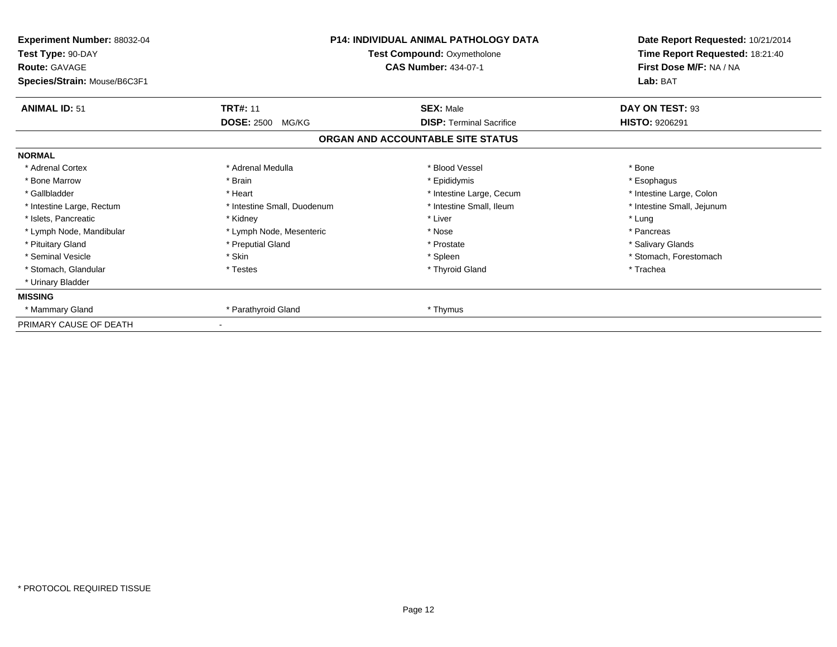| Experiment Number: 88032-04<br>Test Type: 90-DAY<br><b>Route: GAVAGE</b><br>Species/Strain: Mouse/B6C3F1 |                             | <b>P14: INDIVIDUAL ANIMAL PATHOLOGY DATA</b><br>Test Compound: Oxymetholone<br><b>CAS Number: 434-07-1</b> | Date Report Requested: 10/21/2014<br>Time Report Requested: 18:21:40<br>First Dose M/F: NA / NA<br>Lab: BAT |  |
|----------------------------------------------------------------------------------------------------------|-----------------------------|------------------------------------------------------------------------------------------------------------|-------------------------------------------------------------------------------------------------------------|--|
| <b>ANIMAL ID: 51</b>                                                                                     | <b>TRT#: 11</b>             | <b>SEX: Male</b>                                                                                           | DAY ON TEST: 93                                                                                             |  |
|                                                                                                          | <b>DOSE: 2500</b><br>MG/KG  | <b>DISP: Terminal Sacrifice</b>                                                                            | <b>HISTO: 9206291</b>                                                                                       |  |
|                                                                                                          |                             | ORGAN AND ACCOUNTABLE SITE STATUS                                                                          |                                                                                                             |  |
| <b>NORMAL</b>                                                                                            |                             |                                                                                                            |                                                                                                             |  |
| * Adrenal Cortex                                                                                         | * Adrenal Medulla           | * Blood Vessel                                                                                             | * Bone                                                                                                      |  |
| * Bone Marrow                                                                                            | * Brain                     | * Epididymis                                                                                               | * Esophagus                                                                                                 |  |
| * Gallbladder                                                                                            | * Heart                     | * Intestine Large, Cecum                                                                                   | * Intestine Large, Colon                                                                                    |  |
| * Intestine Large, Rectum                                                                                | * Intestine Small, Duodenum | * Intestine Small, Ileum                                                                                   | * Intestine Small, Jejunum                                                                                  |  |
| * Islets, Pancreatic                                                                                     | * Kidney                    | * Liver                                                                                                    | * Lung                                                                                                      |  |
| * Lymph Node, Mandibular                                                                                 | * Lymph Node, Mesenteric    | * Nose                                                                                                     | * Pancreas                                                                                                  |  |
| * Pituitary Gland                                                                                        | * Preputial Gland           | * Prostate                                                                                                 | * Salivary Glands                                                                                           |  |
| * Seminal Vesicle                                                                                        | * Skin                      | * Spleen                                                                                                   | * Stomach, Forestomach                                                                                      |  |
| * Stomach, Glandular                                                                                     | * Testes                    | * Thyroid Gland                                                                                            | * Trachea                                                                                                   |  |
| * Urinary Bladder                                                                                        |                             |                                                                                                            |                                                                                                             |  |
| <b>MISSING</b>                                                                                           |                             |                                                                                                            |                                                                                                             |  |
| * Mammary Gland                                                                                          | * Parathyroid Gland         | * Thymus                                                                                                   |                                                                                                             |  |
| PRIMARY CAUSE OF DEATH                                                                                   |                             |                                                                                                            |                                                                                                             |  |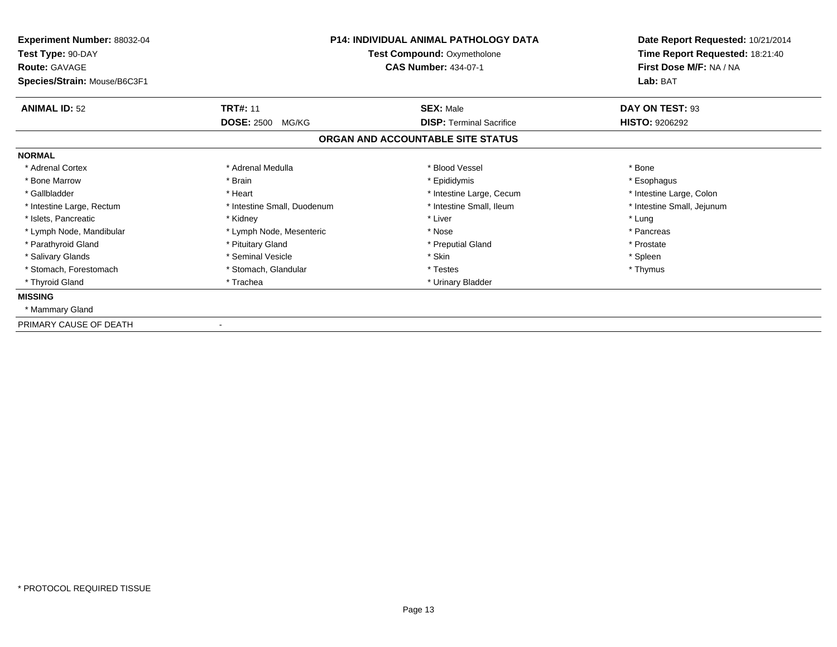| Experiment Number: 88032-04<br>Test Type: 90-DAY<br><b>Route: GAVAGE</b><br>Species/Strain: Mouse/B6C3F1 | <b>P14: INDIVIDUAL ANIMAL PATHOLOGY DATA</b><br>Test Compound: Oxymetholone<br><b>CAS Number: 434-07-1</b> |                                   | Date Report Requested: 10/21/2014<br>Time Report Requested: 18:21:40<br>First Dose M/F: NA / NA<br>Lab: BAT |  |
|----------------------------------------------------------------------------------------------------------|------------------------------------------------------------------------------------------------------------|-----------------------------------|-------------------------------------------------------------------------------------------------------------|--|
| <b>ANIMAL ID: 52</b>                                                                                     | <b>TRT#: 11</b>                                                                                            | <b>SEX: Male</b>                  | DAY ON TEST: 93                                                                                             |  |
|                                                                                                          | <b>DOSE: 2500</b><br>MG/KG                                                                                 | <b>DISP: Terminal Sacrifice</b>   | <b>HISTO: 9206292</b>                                                                                       |  |
|                                                                                                          |                                                                                                            | ORGAN AND ACCOUNTABLE SITE STATUS |                                                                                                             |  |
| <b>NORMAL</b>                                                                                            |                                                                                                            |                                   |                                                                                                             |  |
| * Adrenal Cortex                                                                                         | * Adrenal Medulla                                                                                          | * Blood Vessel                    | * Bone                                                                                                      |  |
| * Bone Marrow                                                                                            | * Brain                                                                                                    | * Epididymis                      | * Esophagus                                                                                                 |  |
| * Gallbladder                                                                                            | * Heart                                                                                                    | * Intestine Large, Cecum          | * Intestine Large, Colon                                                                                    |  |
| * Intestine Large, Rectum                                                                                | * Intestine Small, Duodenum                                                                                | * Intestine Small, Ileum          | * Intestine Small, Jejunum                                                                                  |  |
| * Islets. Pancreatic                                                                                     | * Kidney                                                                                                   | * Liver                           | * Lung                                                                                                      |  |
| * Lymph Node, Mandibular                                                                                 | * Lymph Node, Mesenteric                                                                                   | * Nose                            | * Pancreas                                                                                                  |  |
| * Parathyroid Gland                                                                                      | * Pituitary Gland                                                                                          | * Preputial Gland                 | * Prostate                                                                                                  |  |
| * Salivary Glands                                                                                        | * Seminal Vesicle                                                                                          | * Skin                            | * Spleen                                                                                                    |  |
| * Stomach, Forestomach                                                                                   | * Stomach, Glandular                                                                                       | * Testes                          | * Thymus                                                                                                    |  |
| * Thyroid Gland                                                                                          | * Trachea                                                                                                  | * Urinary Bladder                 |                                                                                                             |  |
| <b>MISSING</b>                                                                                           |                                                                                                            |                                   |                                                                                                             |  |
| * Mammary Gland                                                                                          |                                                                                                            |                                   |                                                                                                             |  |
| PRIMARY CAUSE OF DEATH                                                                                   |                                                                                                            |                                   |                                                                                                             |  |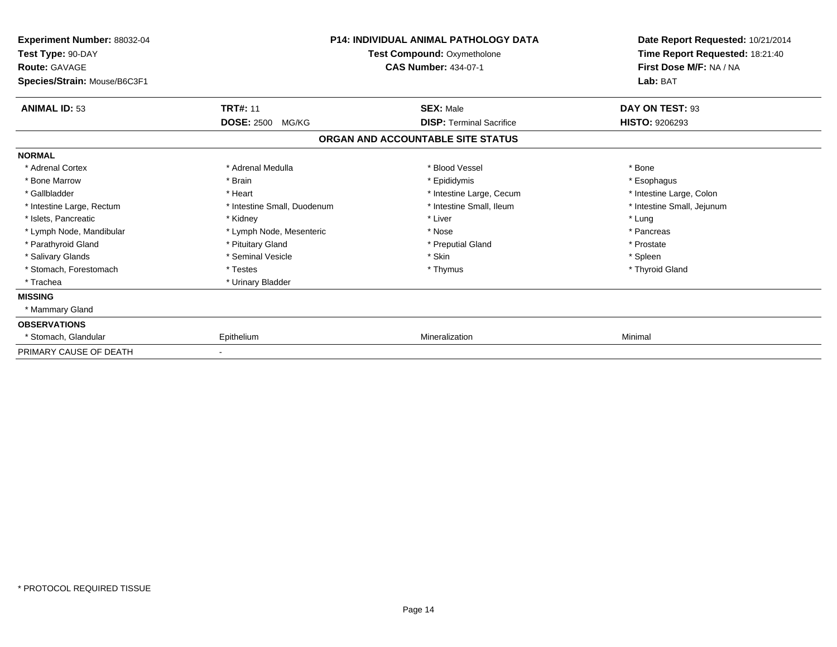| <b>Experiment Number: 88032-04</b><br>Test Type: 90-DAY<br><b>Route: GAVAGE</b><br>Species/Strain: Mouse/B6C3F1 | <b>P14: INDIVIDUAL ANIMAL PATHOLOGY DATA</b><br>Test Compound: Oxymetholone<br><b>CAS Number: 434-07-1</b> |                                   | Date Report Requested: 10/21/2014<br>Time Report Requested: 18:21:40<br>First Dose M/F: NA / NA<br>Lab: BAT |
|-----------------------------------------------------------------------------------------------------------------|------------------------------------------------------------------------------------------------------------|-----------------------------------|-------------------------------------------------------------------------------------------------------------|
| <b>ANIMAL ID: 53</b>                                                                                            | <b>TRT#: 11</b>                                                                                            | <b>SEX: Male</b>                  | DAY ON TEST: 93                                                                                             |
|                                                                                                                 | <b>DOSE: 2500</b><br>MG/KG                                                                                 | <b>DISP: Terminal Sacrifice</b>   | <b>HISTO: 9206293</b>                                                                                       |
|                                                                                                                 |                                                                                                            | ORGAN AND ACCOUNTABLE SITE STATUS |                                                                                                             |
| <b>NORMAL</b>                                                                                                   |                                                                                                            |                                   |                                                                                                             |
| * Adrenal Cortex                                                                                                | * Adrenal Medulla                                                                                          | * Blood Vessel                    | * Bone                                                                                                      |
| * Bone Marrow                                                                                                   | * Brain                                                                                                    | * Epididymis                      | * Esophagus                                                                                                 |
| * Gallbladder                                                                                                   | * Heart                                                                                                    | * Intestine Large, Cecum          | * Intestine Large, Colon                                                                                    |
| * Intestine Large, Rectum                                                                                       | * Intestine Small, Duodenum                                                                                | * Intestine Small, Ileum          | * Intestine Small, Jejunum                                                                                  |
| * Islets, Pancreatic                                                                                            | * Kidney                                                                                                   | * Liver                           | * Lung                                                                                                      |
| * Lymph Node, Mandibular                                                                                        | * Lymph Node, Mesenteric                                                                                   | * Nose                            | * Pancreas                                                                                                  |
| * Parathyroid Gland                                                                                             | * Pituitary Gland                                                                                          | * Preputial Gland                 | * Prostate                                                                                                  |
| * Salivary Glands                                                                                               | * Seminal Vesicle                                                                                          | * Skin                            | * Spleen                                                                                                    |
| * Stomach, Forestomach                                                                                          | * Testes                                                                                                   | * Thymus                          | * Thyroid Gland                                                                                             |
| * Trachea                                                                                                       | * Urinary Bladder                                                                                          |                                   |                                                                                                             |
| <b>MISSING</b>                                                                                                  |                                                                                                            |                                   |                                                                                                             |
| * Mammary Gland                                                                                                 |                                                                                                            |                                   |                                                                                                             |
| <b>OBSERVATIONS</b>                                                                                             |                                                                                                            |                                   |                                                                                                             |
| * Stomach, Glandular                                                                                            | Epithelium                                                                                                 | Mineralization                    | Minimal                                                                                                     |
| PRIMARY CAUSE OF DEATH                                                                                          |                                                                                                            |                                   |                                                                                                             |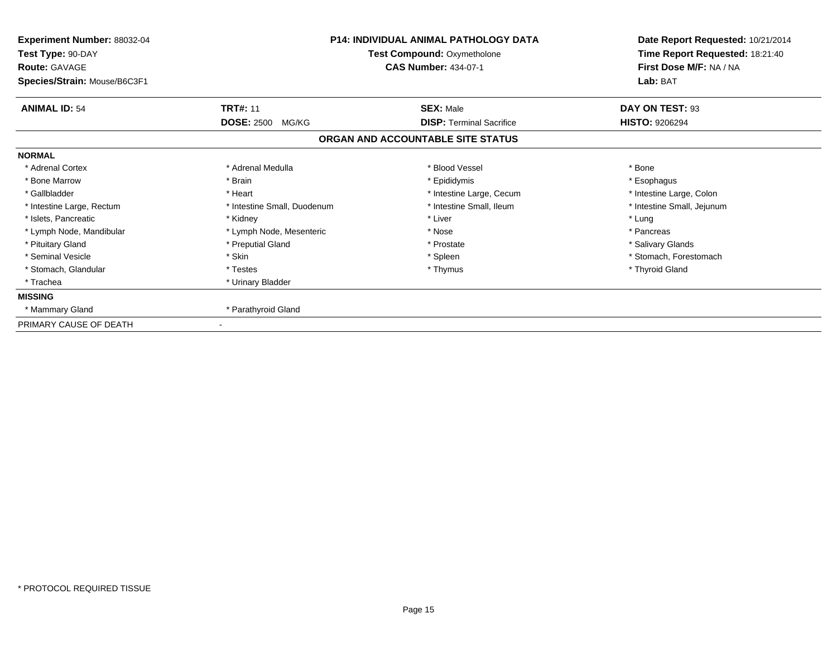| Experiment Number: 88032-04<br>Test Type: 90-DAY<br><b>Route: GAVAGE</b><br>Species/Strain: Mouse/B6C3F1 | <b>P14: INDIVIDUAL ANIMAL PATHOLOGY DATA</b><br>Test Compound: Oxymetholone<br><b>CAS Number: 434-07-1</b> |                                   | Date Report Requested: 10/21/2014<br>Time Report Requested: 18:21:40<br>First Dose M/F: NA / NA<br>Lab: BAT |
|----------------------------------------------------------------------------------------------------------|------------------------------------------------------------------------------------------------------------|-----------------------------------|-------------------------------------------------------------------------------------------------------------|
| <b>ANIMAL ID: 54</b>                                                                                     | <b>TRT#: 11</b>                                                                                            | <b>SEX: Male</b>                  | DAY ON TEST: 93                                                                                             |
|                                                                                                          | <b>DOSE: 2500</b><br>MG/KG                                                                                 | <b>DISP: Terminal Sacrifice</b>   | <b>HISTO: 9206294</b>                                                                                       |
|                                                                                                          |                                                                                                            | ORGAN AND ACCOUNTABLE SITE STATUS |                                                                                                             |
| <b>NORMAL</b>                                                                                            |                                                                                                            |                                   |                                                                                                             |
| * Adrenal Cortex                                                                                         | * Adrenal Medulla                                                                                          | * Blood Vessel                    | * Bone                                                                                                      |
| * Bone Marrow                                                                                            | * Brain                                                                                                    | * Epididymis                      | * Esophagus                                                                                                 |
| * Gallbladder                                                                                            | * Heart                                                                                                    | * Intestine Large, Cecum          | * Intestine Large, Colon                                                                                    |
| * Intestine Large, Rectum                                                                                | * Intestine Small, Duodenum                                                                                | * Intestine Small, Ileum          | * Intestine Small, Jejunum                                                                                  |
| * Islets, Pancreatic                                                                                     | * Kidney                                                                                                   | * Liver                           | * Lung                                                                                                      |
| * Lymph Node, Mandibular                                                                                 | * Lymph Node, Mesenteric                                                                                   | * Nose                            | * Pancreas                                                                                                  |
| * Pituitary Gland                                                                                        | * Preputial Gland                                                                                          | * Prostate                        | * Salivary Glands                                                                                           |
| * Seminal Vesicle                                                                                        | * Skin                                                                                                     | * Spleen                          | * Stomach, Forestomach                                                                                      |
| * Stomach, Glandular                                                                                     | * Testes                                                                                                   | * Thymus                          | * Thyroid Gland                                                                                             |
| * Trachea                                                                                                | * Urinary Bladder                                                                                          |                                   |                                                                                                             |
| <b>MISSING</b>                                                                                           |                                                                                                            |                                   |                                                                                                             |
| * Mammary Gland                                                                                          | * Parathyroid Gland                                                                                        |                                   |                                                                                                             |
| PRIMARY CAUSE OF DEATH                                                                                   |                                                                                                            |                                   |                                                                                                             |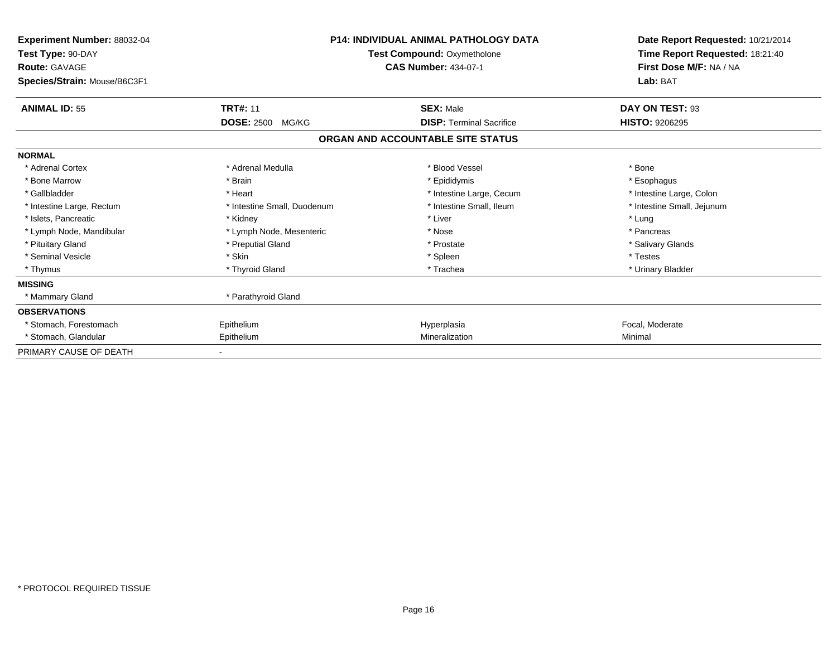| <b>Experiment Number: 88032-04</b><br>Test Type: 90-DAY<br><b>Route: GAVAGE</b><br>Species/Strain: Mouse/B6C3F1 | <b>P14: INDIVIDUAL ANIMAL PATHOLOGY DATA</b><br>Test Compound: Oxymetholone<br><b>CAS Number: 434-07-1</b> |                                   | Date Report Requested: 10/21/2014<br>Time Report Requested: 18:21:40<br>First Dose M/F: NA / NA<br>Lab: BAT |
|-----------------------------------------------------------------------------------------------------------------|------------------------------------------------------------------------------------------------------------|-----------------------------------|-------------------------------------------------------------------------------------------------------------|
| <b>ANIMAL ID: 55</b>                                                                                            | <b>TRT#: 11</b>                                                                                            | <b>SEX: Male</b>                  | DAY ON TEST: 93                                                                                             |
|                                                                                                                 | <b>DOSE: 2500</b><br>MG/KG                                                                                 | <b>DISP: Terminal Sacrifice</b>   | <b>HISTO: 9206295</b>                                                                                       |
|                                                                                                                 |                                                                                                            | ORGAN AND ACCOUNTABLE SITE STATUS |                                                                                                             |
| <b>NORMAL</b>                                                                                                   |                                                                                                            |                                   |                                                                                                             |
| * Adrenal Cortex                                                                                                | * Adrenal Medulla                                                                                          | * Blood Vessel                    | * Bone                                                                                                      |
| * Bone Marrow                                                                                                   | * Brain                                                                                                    | * Epididymis                      | * Esophagus                                                                                                 |
| * Gallbladder                                                                                                   | * Heart                                                                                                    | * Intestine Large, Cecum          | * Intestine Large, Colon                                                                                    |
| * Intestine Large, Rectum                                                                                       | * Intestine Small, Duodenum                                                                                | * Intestine Small. Ileum          | * Intestine Small, Jejunum                                                                                  |
| * Islets, Pancreatic                                                                                            | * Kidney                                                                                                   | * Liver                           | * Lung                                                                                                      |
| * Lymph Node, Mandibular                                                                                        | * Lymph Node, Mesenteric                                                                                   | * Nose                            | * Pancreas                                                                                                  |
| * Pituitary Gland                                                                                               | * Preputial Gland                                                                                          | * Prostate                        | * Salivary Glands                                                                                           |
| * Seminal Vesicle                                                                                               | * Skin                                                                                                     | * Spleen                          | * Testes                                                                                                    |
| * Thymus                                                                                                        | * Thyroid Gland                                                                                            | * Trachea                         | * Urinary Bladder                                                                                           |
| <b>MISSING</b>                                                                                                  |                                                                                                            |                                   |                                                                                                             |
| * Mammary Gland                                                                                                 | * Parathyroid Gland                                                                                        |                                   |                                                                                                             |
| <b>OBSERVATIONS</b>                                                                                             |                                                                                                            |                                   |                                                                                                             |
| * Stomach, Forestomach                                                                                          | Epithelium                                                                                                 | Hyperplasia                       | Focal, Moderate                                                                                             |
| * Stomach, Glandular                                                                                            | Epithelium                                                                                                 | Mineralization                    | Minimal                                                                                                     |
| PRIMARY CAUSE OF DEATH                                                                                          |                                                                                                            |                                   |                                                                                                             |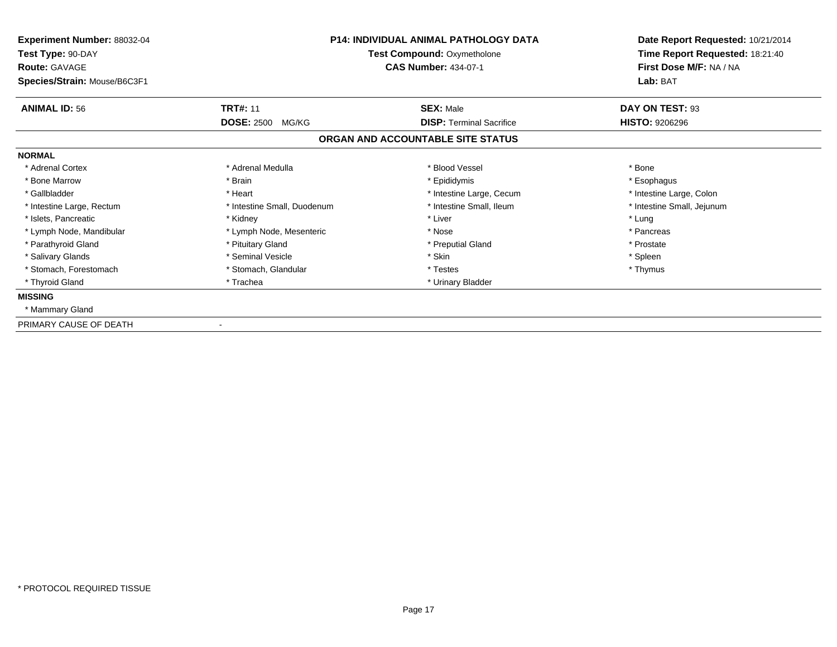| Experiment Number: 88032-04<br>Test Type: 90-DAY<br><b>Route: GAVAGE</b><br>Species/Strain: Mouse/B6C3F1 | <b>P14: INDIVIDUAL ANIMAL PATHOLOGY DATA</b><br>Test Compound: Oxymetholone<br><b>CAS Number: 434-07-1</b> |                                                     | Date Report Requested: 10/21/2014<br>Time Report Requested: 18:21:40<br>First Dose M/F: NA / NA<br>Lab: BAT |
|----------------------------------------------------------------------------------------------------------|------------------------------------------------------------------------------------------------------------|-----------------------------------------------------|-------------------------------------------------------------------------------------------------------------|
| <b>ANIMAL ID: 56</b>                                                                                     | <b>TRT#: 11</b><br><b>DOSE: 2500</b><br>MG/KG                                                              | <b>SEX: Male</b><br><b>DISP: Terminal Sacrifice</b> | DAY ON TEST: 93<br><b>HISTO: 9206296</b>                                                                    |
|                                                                                                          |                                                                                                            | ORGAN AND ACCOUNTABLE SITE STATUS                   |                                                                                                             |
| <b>NORMAL</b>                                                                                            |                                                                                                            |                                                     |                                                                                                             |
| * Adrenal Cortex                                                                                         | * Adrenal Medulla                                                                                          | * Blood Vessel                                      | * Bone                                                                                                      |
| * Bone Marrow                                                                                            | * Brain                                                                                                    | * Epididymis                                        | * Esophagus                                                                                                 |
| * Gallbladder                                                                                            | * Heart                                                                                                    | * Intestine Large, Cecum                            | * Intestine Large, Colon                                                                                    |
| * Intestine Large, Rectum                                                                                | * Intestine Small, Duodenum                                                                                | * Intestine Small, Ileum                            | * Intestine Small, Jejunum                                                                                  |
| * Islets. Pancreatic                                                                                     | * Kidney                                                                                                   | * Liver                                             | * Lung                                                                                                      |
| * Lymph Node, Mandibular                                                                                 | * Lymph Node, Mesenteric                                                                                   | * Nose                                              | * Pancreas                                                                                                  |
| * Parathyroid Gland                                                                                      | * Pituitary Gland                                                                                          | * Preputial Gland                                   | * Prostate                                                                                                  |
| * Salivary Glands                                                                                        | * Seminal Vesicle                                                                                          | * Skin                                              | * Spleen                                                                                                    |
| * Stomach, Forestomach                                                                                   | * Stomach, Glandular                                                                                       | * Testes                                            | * Thymus                                                                                                    |
| * Thyroid Gland                                                                                          | * Trachea                                                                                                  | * Urinary Bladder                                   |                                                                                                             |
| <b>MISSING</b>                                                                                           |                                                                                                            |                                                     |                                                                                                             |
| * Mammary Gland                                                                                          |                                                                                                            |                                                     |                                                                                                             |
| PRIMARY CAUSE OF DEATH                                                                                   |                                                                                                            |                                                     |                                                                                                             |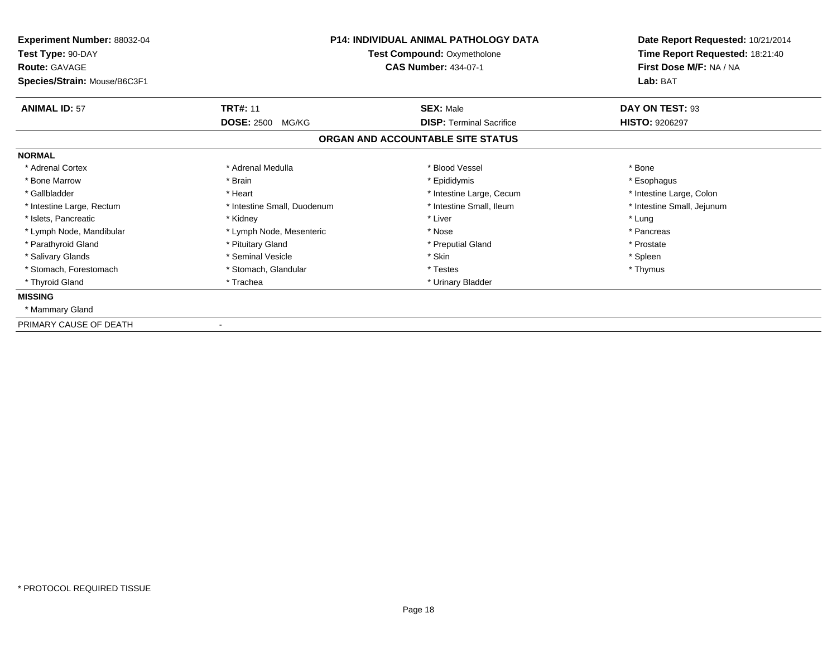| Experiment Number: 88032-04<br>Test Type: 90-DAY<br><b>Route: GAVAGE</b><br>Species/Strain: Mouse/B6C3F1 | <b>P14: INDIVIDUAL ANIMAL PATHOLOGY DATA</b><br>Test Compound: Oxymetholone<br><b>CAS Number: 434-07-1</b> |                                                     | Date Report Requested: 10/21/2014<br>Time Report Requested: 18:21:40<br>First Dose M/F: NA / NA<br>Lab: BAT |  |
|----------------------------------------------------------------------------------------------------------|------------------------------------------------------------------------------------------------------------|-----------------------------------------------------|-------------------------------------------------------------------------------------------------------------|--|
| <b>ANIMAL ID: 57</b>                                                                                     | <b>TRT#: 11</b><br><b>DOSE: 2500</b><br>MG/KG                                                              | <b>SEX: Male</b><br><b>DISP: Terminal Sacrifice</b> | DAY ON TEST: 93<br><b>HISTO: 9206297</b>                                                                    |  |
|                                                                                                          |                                                                                                            | ORGAN AND ACCOUNTABLE SITE STATUS                   |                                                                                                             |  |
| <b>NORMAL</b>                                                                                            |                                                                                                            |                                                     |                                                                                                             |  |
| * Adrenal Cortex                                                                                         | * Adrenal Medulla                                                                                          | * Blood Vessel                                      | * Bone                                                                                                      |  |
| * Bone Marrow                                                                                            | * Brain                                                                                                    | * Epididymis                                        | * Esophagus                                                                                                 |  |
| * Gallbladder                                                                                            | * Heart                                                                                                    | * Intestine Large, Cecum                            | * Intestine Large, Colon                                                                                    |  |
| * Intestine Large, Rectum                                                                                | * Intestine Small, Duodenum                                                                                | * Intestine Small, Ileum                            | * Intestine Small, Jejunum                                                                                  |  |
| * Islets. Pancreatic                                                                                     | * Kidney                                                                                                   | * Liver                                             | * Lung                                                                                                      |  |
| * Lymph Node, Mandibular                                                                                 | * Lymph Node, Mesenteric                                                                                   | * Nose                                              | * Pancreas                                                                                                  |  |
| * Parathyroid Gland                                                                                      | * Pituitary Gland                                                                                          | * Preputial Gland                                   | * Prostate                                                                                                  |  |
| * Salivary Glands                                                                                        | * Seminal Vesicle                                                                                          | * Skin                                              | * Spleen                                                                                                    |  |
| * Stomach, Forestomach                                                                                   | * Stomach, Glandular                                                                                       | * Testes                                            | * Thymus                                                                                                    |  |
| * Thyroid Gland                                                                                          | * Trachea                                                                                                  | * Urinary Bladder                                   |                                                                                                             |  |
| <b>MISSING</b>                                                                                           |                                                                                                            |                                                     |                                                                                                             |  |
| * Mammary Gland                                                                                          |                                                                                                            |                                                     |                                                                                                             |  |
| PRIMARY CAUSE OF DEATH                                                                                   |                                                                                                            |                                                     |                                                                                                             |  |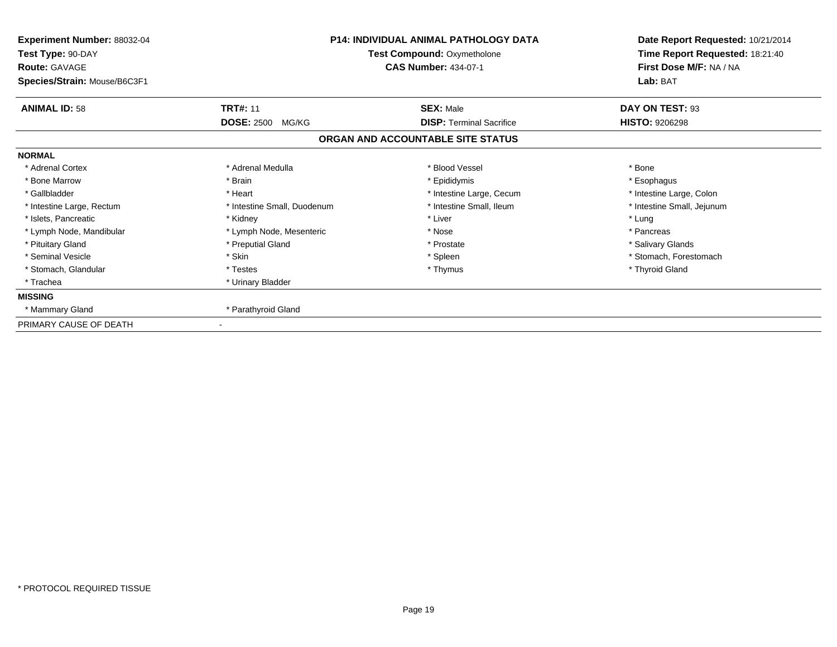| Experiment Number: 88032-04<br>Test Type: 90-DAY<br><b>Route: GAVAGE</b><br>Species/Strain: Mouse/B6C3F1 | P14: INDIVIDUAL ANIMAL PATHOLOGY DATA<br><b>Test Compound: Oxymetholone</b><br><b>CAS Number: 434-07-1</b> |                                   | Date Report Requested: 10/21/2014<br>Time Report Requested: 18:21:40<br>First Dose M/F: NA / NA<br>Lab: BAT |  |
|----------------------------------------------------------------------------------------------------------|------------------------------------------------------------------------------------------------------------|-----------------------------------|-------------------------------------------------------------------------------------------------------------|--|
| <b>ANIMAL ID: 58</b>                                                                                     | <b>TRT#: 11</b>                                                                                            | <b>SEX: Male</b>                  | DAY ON TEST: 93                                                                                             |  |
|                                                                                                          | <b>DOSE: 2500</b><br>MG/KG                                                                                 | <b>DISP: Terminal Sacrifice</b>   | <b>HISTO: 9206298</b>                                                                                       |  |
|                                                                                                          |                                                                                                            | ORGAN AND ACCOUNTABLE SITE STATUS |                                                                                                             |  |
| <b>NORMAL</b>                                                                                            |                                                                                                            |                                   |                                                                                                             |  |
| * Adrenal Cortex                                                                                         | * Adrenal Medulla                                                                                          | * Blood Vessel                    | * Bone                                                                                                      |  |
| * Bone Marrow                                                                                            | * Brain                                                                                                    | * Epididymis                      | * Esophagus                                                                                                 |  |
| * Gallbladder                                                                                            | * Heart                                                                                                    | * Intestine Large, Cecum          | * Intestine Large, Colon                                                                                    |  |
| * Intestine Large, Rectum                                                                                | * Intestine Small, Duodenum                                                                                | * Intestine Small, Ileum          | * Intestine Small, Jejunum                                                                                  |  |
| * Islets, Pancreatic                                                                                     | * Kidney                                                                                                   | * Liver                           | * Lung                                                                                                      |  |
| * Lymph Node, Mandibular                                                                                 | * Lymph Node, Mesenteric                                                                                   | * Nose                            | * Pancreas                                                                                                  |  |
| * Pituitary Gland                                                                                        | * Preputial Gland                                                                                          | * Prostate                        | * Salivary Glands                                                                                           |  |
| * Seminal Vesicle                                                                                        | * Skin                                                                                                     | * Spleen                          | * Stomach, Forestomach                                                                                      |  |
| * Stomach, Glandular                                                                                     | * Testes                                                                                                   | * Thymus                          | * Thyroid Gland                                                                                             |  |
| * Trachea                                                                                                | * Urinary Bladder                                                                                          |                                   |                                                                                                             |  |
| <b>MISSING</b>                                                                                           |                                                                                                            |                                   |                                                                                                             |  |
| * Mammary Gland                                                                                          | * Parathyroid Gland                                                                                        |                                   |                                                                                                             |  |
| PRIMARY CAUSE OF DEATH                                                                                   |                                                                                                            |                                   |                                                                                                             |  |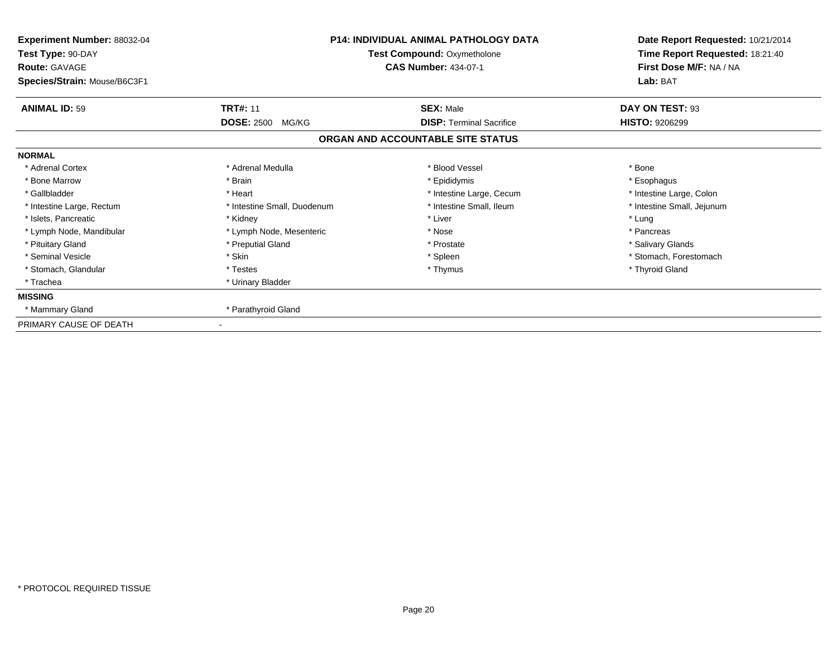| Experiment Number: 88032-04<br>Test Type: 90-DAY<br><b>Route: GAVAGE</b><br>Species/Strain: Mouse/B6C3F1 | P14: INDIVIDUAL ANIMAL PATHOLOGY DATA<br><b>Test Compound: Oxymetholone</b><br><b>CAS Number: 434-07-1</b> |                                   | Date Report Requested: 10/21/2014<br>Time Report Requested: 18:21:40<br>First Dose M/F: NA / NA<br>Lab: BAT |  |
|----------------------------------------------------------------------------------------------------------|------------------------------------------------------------------------------------------------------------|-----------------------------------|-------------------------------------------------------------------------------------------------------------|--|
| <b>ANIMAL ID: 59</b>                                                                                     | <b>TRT#: 11</b>                                                                                            | <b>SEX: Male</b>                  | DAY ON TEST: 93                                                                                             |  |
|                                                                                                          | <b>DOSE: 2500</b><br>MG/KG                                                                                 | <b>DISP: Terminal Sacrifice</b>   | <b>HISTO: 9206299</b>                                                                                       |  |
|                                                                                                          |                                                                                                            | ORGAN AND ACCOUNTABLE SITE STATUS |                                                                                                             |  |
| <b>NORMAL</b>                                                                                            |                                                                                                            |                                   |                                                                                                             |  |
| * Adrenal Cortex                                                                                         | * Adrenal Medulla                                                                                          | * Blood Vessel                    | * Bone                                                                                                      |  |
| * Bone Marrow                                                                                            | * Brain                                                                                                    | * Epididymis                      | * Esophagus                                                                                                 |  |
| * Gallbladder                                                                                            | * Heart                                                                                                    | * Intestine Large, Cecum          | * Intestine Large, Colon                                                                                    |  |
| * Intestine Large, Rectum                                                                                | * Intestine Small, Duodenum                                                                                | * Intestine Small, Ileum          | * Intestine Small, Jejunum                                                                                  |  |
| * Islets, Pancreatic                                                                                     | * Kidney                                                                                                   | * Liver                           | * Lung                                                                                                      |  |
| * Lymph Node, Mandibular                                                                                 | * Lymph Node, Mesenteric                                                                                   | * Nose                            | * Pancreas                                                                                                  |  |
| * Pituitary Gland                                                                                        | * Preputial Gland                                                                                          | * Prostate                        | * Salivary Glands                                                                                           |  |
| * Seminal Vesicle                                                                                        | * Skin                                                                                                     | * Spleen                          | * Stomach, Forestomach                                                                                      |  |
| * Stomach, Glandular                                                                                     | * Testes                                                                                                   | * Thymus                          | * Thyroid Gland                                                                                             |  |
| * Trachea                                                                                                | * Urinary Bladder                                                                                          |                                   |                                                                                                             |  |
| <b>MISSING</b>                                                                                           |                                                                                                            |                                   |                                                                                                             |  |
| * Mammary Gland                                                                                          | * Parathyroid Gland                                                                                        |                                   |                                                                                                             |  |
| PRIMARY CAUSE OF DEATH                                                                                   |                                                                                                            |                                   |                                                                                                             |  |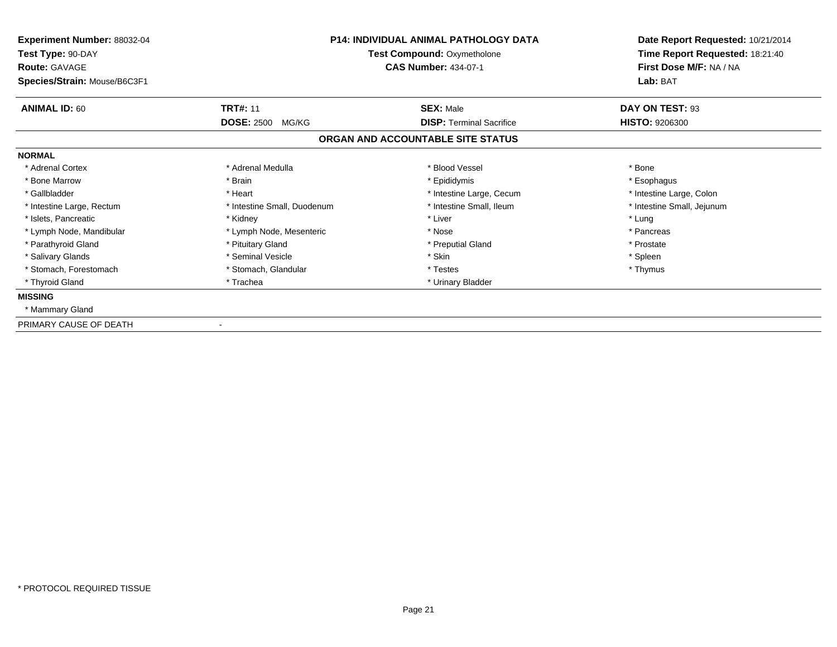| Experiment Number: 88032-04<br>Test Type: 90-DAY<br><b>Route: GAVAGE</b><br>Species/Strain: Mouse/B6C3F1 | <b>P14: INDIVIDUAL ANIMAL PATHOLOGY DATA</b><br>Test Compound: Oxymetholone<br><b>CAS Number: 434-07-1</b> |                                                     | Date Report Requested: 10/21/2014<br>Time Report Requested: 18:21:40<br>First Dose M/F: NA / NA<br>Lab: BAT |  |
|----------------------------------------------------------------------------------------------------------|------------------------------------------------------------------------------------------------------------|-----------------------------------------------------|-------------------------------------------------------------------------------------------------------------|--|
| <b>ANIMAL ID: 60</b>                                                                                     | <b>TRT#: 11</b><br><b>DOSE: 2500</b><br>MG/KG                                                              | <b>SEX: Male</b><br><b>DISP: Terminal Sacrifice</b> | DAY ON TEST: 93<br><b>HISTO: 9206300</b>                                                                    |  |
|                                                                                                          |                                                                                                            | ORGAN AND ACCOUNTABLE SITE STATUS                   |                                                                                                             |  |
| <b>NORMAL</b>                                                                                            |                                                                                                            |                                                     |                                                                                                             |  |
| * Adrenal Cortex                                                                                         | * Adrenal Medulla                                                                                          | * Blood Vessel                                      | * Bone                                                                                                      |  |
| * Bone Marrow                                                                                            | * Brain                                                                                                    | * Epididymis                                        | * Esophagus                                                                                                 |  |
| * Gallbladder                                                                                            | * Heart                                                                                                    | * Intestine Large, Cecum                            | * Intestine Large, Colon                                                                                    |  |
| * Intestine Large, Rectum                                                                                | * Intestine Small, Duodenum                                                                                | * Intestine Small, Ileum                            | * Intestine Small, Jejunum                                                                                  |  |
| * Islets, Pancreatic                                                                                     | * Kidney                                                                                                   | * Liver                                             | * Lung                                                                                                      |  |
| * Lymph Node, Mandibular                                                                                 | * Lymph Node, Mesenteric                                                                                   | * Nose                                              | * Pancreas                                                                                                  |  |
| * Parathyroid Gland                                                                                      | * Pituitary Gland                                                                                          | * Preputial Gland                                   | * Prostate                                                                                                  |  |
| * Salivary Glands                                                                                        | * Seminal Vesicle                                                                                          | * Skin                                              | * Spleen                                                                                                    |  |
| * Stomach, Forestomach                                                                                   | * Stomach, Glandular                                                                                       | * Testes                                            | * Thymus                                                                                                    |  |
| * Thyroid Gland                                                                                          | * Trachea                                                                                                  | * Urinary Bladder                                   |                                                                                                             |  |
| <b>MISSING</b>                                                                                           |                                                                                                            |                                                     |                                                                                                             |  |
| * Mammary Gland                                                                                          |                                                                                                            |                                                     |                                                                                                             |  |
| PRIMARY CAUSE OF DEATH                                                                                   |                                                                                                            |                                                     |                                                                                                             |  |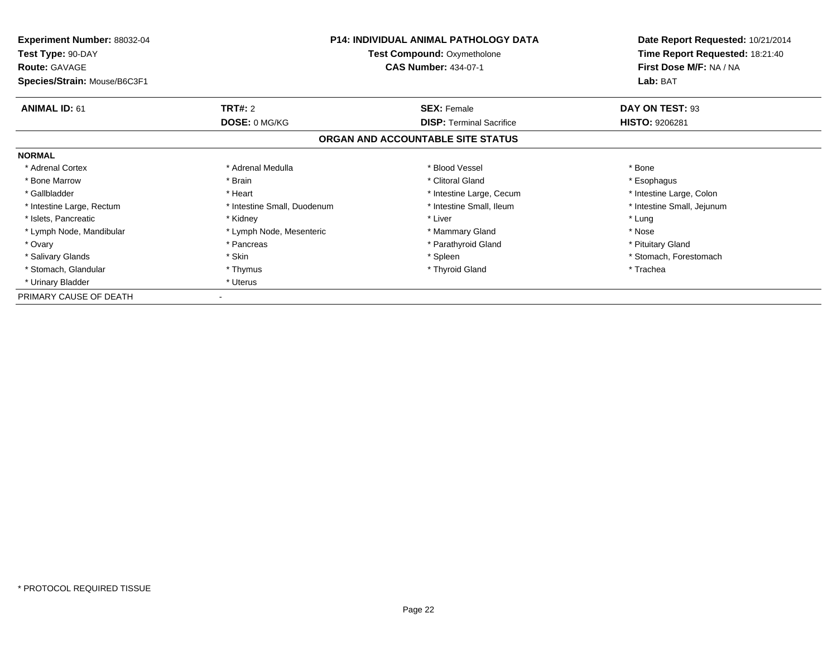| <b>Experiment Number: 88032-04</b><br>Test Type: 90-DAY<br><b>Route: GAVAGE</b> |                             | P14: INDIVIDUAL ANIMAL PATHOLOGY DATA<br><b>Test Compound: Oxymetholone</b><br><b>CAS Number: 434-07-1</b> | Date Report Requested: 10/21/2014<br>Time Report Requested: 18:21:40<br>First Dose M/F: NA / NA |
|---------------------------------------------------------------------------------|-----------------------------|------------------------------------------------------------------------------------------------------------|-------------------------------------------------------------------------------------------------|
| Species/Strain: Mouse/B6C3F1                                                    |                             |                                                                                                            | Lab: BAT                                                                                        |
| <b>ANIMAL ID: 61</b>                                                            | <b>TRT#: 2</b>              | <b>SEX: Female</b>                                                                                         | DAY ON TEST: 93                                                                                 |
|                                                                                 | <b>DOSE: 0 MG/KG</b>        | <b>DISP:</b> Terminal Sacrifice                                                                            | <b>HISTO: 9206281</b>                                                                           |
|                                                                                 |                             | ORGAN AND ACCOUNTABLE SITE STATUS                                                                          |                                                                                                 |
| <b>NORMAL</b>                                                                   |                             |                                                                                                            |                                                                                                 |
| * Adrenal Cortex                                                                | * Adrenal Medulla           | * Blood Vessel                                                                                             | * Bone                                                                                          |
| * Bone Marrow                                                                   | * Brain                     | * Clitoral Gland                                                                                           | * Esophagus                                                                                     |
| * Gallbladder                                                                   | * Heart                     | * Intestine Large, Cecum                                                                                   | * Intestine Large, Colon                                                                        |
| * Intestine Large, Rectum                                                       | * Intestine Small, Duodenum | * Intestine Small, Ileum                                                                                   | * Intestine Small, Jejunum                                                                      |
| * Islets, Pancreatic                                                            | * Kidney                    | * Liver                                                                                                    | * Lung                                                                                          |
| * Lymph Node, Mandibular                                                        | * Lymph Node, Mesenteric    | * Mammary Gland                                                                                            | * Nose                                                                                          |
| * Ovary                                                                         | * Pancreas                  | * Parathyroid Gland                                                                                        | * Pituitary Gland                                                                               |
| * Salivary Glands                                                               | * Skin                      | * Spleen                                                                                                   | * Stomach, Forestomach                                                                          |
| * Stomach, Glandular                                                            | * Thymus                    | * Thyroid Gland                                                                                            | * Trachea                                                                                       |
| * Urinary Bladder                                                               | * Uterus                    |                                                                                                            |                                                                                                 |
| PRIMARY CAUSE OF DEATH                                                          |                             |                                                                                                            |                                                                                                 |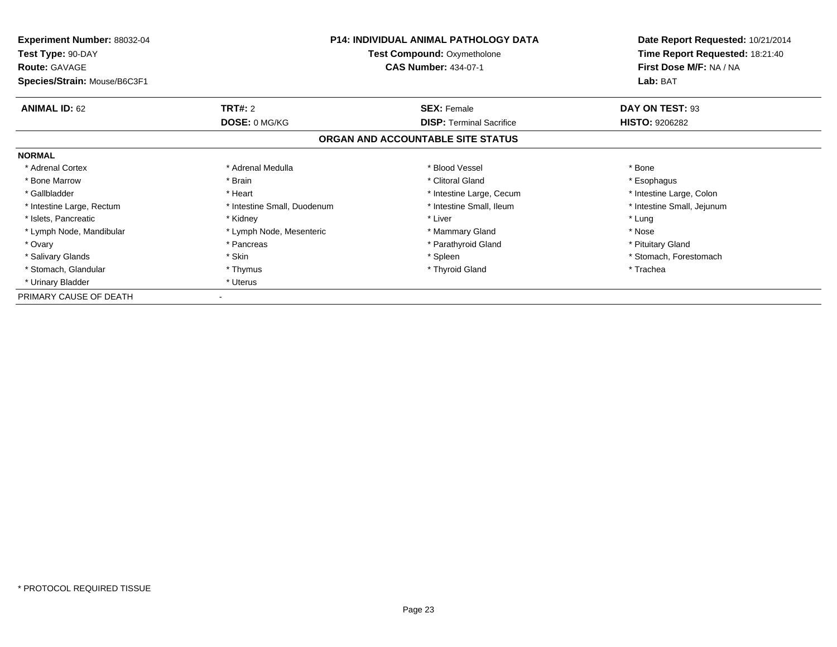| <b>Experiment Number: 88032-04</b><br>Test Type: 90-DAY<br><b>Route: GAVAGE</b> | P14: INDIVIDUAL ANIMAL PATHOLOGY DATA<br><b>Test Compound: Oxymetholone</b><br><b>CAS Number: 434-07-1</b> |                                   | Date Report Requested: 10/21/2014<br>Time Report Requested: 18:21:40<br>First Dose M/F: NA / NA |
|---------------------------------------------------------------------------------|------------------------------------------------------------------------------------------------------------|-----------------------------------|-------------------------------------------------------------------------------------------------|
| Species/Strain: Mouse/B6C3F1                                                    |                                                                                                            |                                   | Lab: BAT                                                                                        |
| <b>ANIMAL ID: 62</b>                                                            | <b>TRT#: 2</b>                                                                                             | <b>SEX: Female</b>                | DAY ON TEST: 93                                                                                 |
|                                                                                 | DOSE: 0 MG/KG                                                                                              | <b>DISP:</b> Terminal Sacrifice   | <b>HISTO: 9206282</b>                                                                           |
|                                                                                 |                                                                                                            | ORGAN AND ACCOUNTABLE SITE STATUS |                                                                                                 |
| <b>NORMAL</b>                                                                   |                                                                                                            |                                   |                                                                                                 |
| * Adrenal Cortex                                                                | * Adrenal Medulla                                                                                          | * Blood Vessel                    | * Bone                                                                                          |
| * Bone Marrow                                                                   | * Brain                                                                                                    | * Clitoral Gland                  | * Esophagus                                                                                     |
| * Gallbladder                                                                   | * Heart                                                                                                    | * Intestine Large, Cecum          | * Intestine Large, Colon                                                                        |
| * Intestine Large, Rectum                                                       | * Intestine Small, Duodenum                                                                                | * Intestine Small, Ileum          | * Intestine Small, Jejunum                                                                      |
| * Islets, Pancreatic                                                            | * Kidney                                                                                                   | * Liver                           | * Lung                                                                                          |
| * Lymph Node, Mandibular                                                        | * Lymph Node, Mesenteric                                                                                   | * Mammary Gland                   | * Nose                                                                                          |
| * Ovary                                                                         | * Pancreas                                                                                                 | * Parathyroid Gland               | * Pituitary Gland                                                                               |
| * Salivary Glands                                                               | * Skin                                                                                                     | * Spleen                          | * Stomach, Forestomach                                                                          |
| * Stomach, Glandular                                                            | * Thymus                                                                                                   | * Thyroid Gland                   | * Trachea                                                                                       |
| * Urinary Bladder                                                               | * Uterus                                                                                                   |                                   |                                                                                                 |
| PRIMARY CAUSE OF DEATH                                                          |                                                                                                            |                                   |                                                                                                 |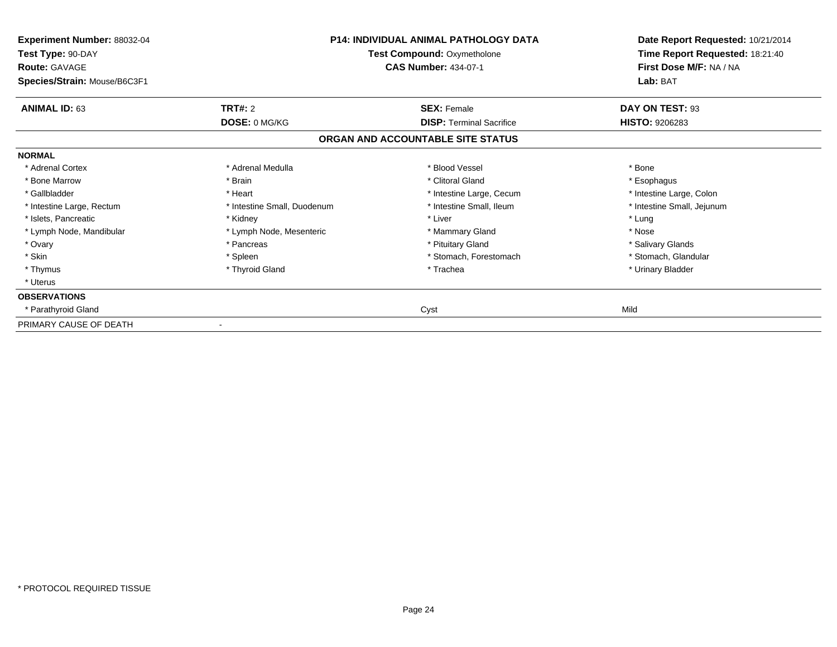| Experiment Number: 88032-04<br>Test Type: 90-DAY<br><b>Route: GAVAGE</b><br>Species/Strain: Mouse/B6C3F1 |                             | <b>P14: INDIVIDUAL ANIMAL PATHOLOGY DATA</b><br><b>Test Compound: Oxymetholone</b><br><b>CAS Number: 434-07-1</b> | Date Report Requested: 10/21/2014<br>Time Report Requested: 18:21:40<br>First Dose M/F: NA / NA<br>Lab: BAT |
|----------------------------------------------------------------------------------------------------------|-----------------------------|-------------------------------------------------------------------------------------------------------------------|-------------------------------------------------------------------------------------------------------------|
| <b>ANIMAL ID: 63</b>                                                                                     | TRT#: 2<br>DOSE: 0 MG/KG    | <b>SEX: Female</b><br><b>DISP: Terminal Sacrifice</b>                                                             | DAY ON TEST: 93<br>HISTO: 9206283                                                                           |
|                                                                                                          |                             | ORGAN AND ACCOUNTABLE SITE STATUS                                                                                 |                                                                                                             |
| <b>NORMAL</b>                                                                                            |                             |                                                                                                                   |                                                                                                             |
| * Adrenal Cortex                                                                                         | * Adrenal Medulla           | * Blood Vessel                                                                                                    | * Bone                                                                                                      |
| * Bone Marrow                                                                                            | * Brain                     | * Clitoral Gland                                                                                                  | * Esophagus                                                                                                 |
| * Gallbladder                                                                                            | * Heart                     | * Intestine Large, Cecum                                                                                          | * Intestine Large, Colon                                                                                    |
| * Intestine Large, Rectum                                                                                | * Intestine Small, Duodenum | * Intestine Small, Ileum                                                                                          | * Intestine Small, Jejunum                                                                                  |
| * Islets, Pancreatic                                                                                     | * Kidney                    | * Liver                                                                                                           | * Lung                                                                                                      |
| * Lymph Node, Mandibular                                                                                 | * Lymph Node, Mesenteric    | * Mammary Gland                                                                                                   | * Nose                                                                                                      |
| * Ovary                                                                                                  | * Pancreas                  | * Pituitary Gland                                                                                                 | * Salivary Glands                                                                                           |
| * Skin                                                                                                   | * Spleen                    | * Stomach, Forestomach                                                                                            | * Stomach, Glandular                                                                                        |
| * Thymus                                                                                                 | * Thyroid Gland             | * Trachea                                                                                                         | * Urinary Bladder                                                                                           |
| * Uterus                                                                                                 |                             |                                                                                                                   |                                                                                                             |
| <b>OBSERVATIONS</b>                                                                                      |                             |                                                                                                                   |                                                                                                             |
| * Parathyroid Gland                                                                                      |                             | Cyst                                                                                                              | Mild                                                                                                        |
| PRIMARY CAUSE OF DEATH                                                                                   |                             |                                                                                                                   |                                                                                                             |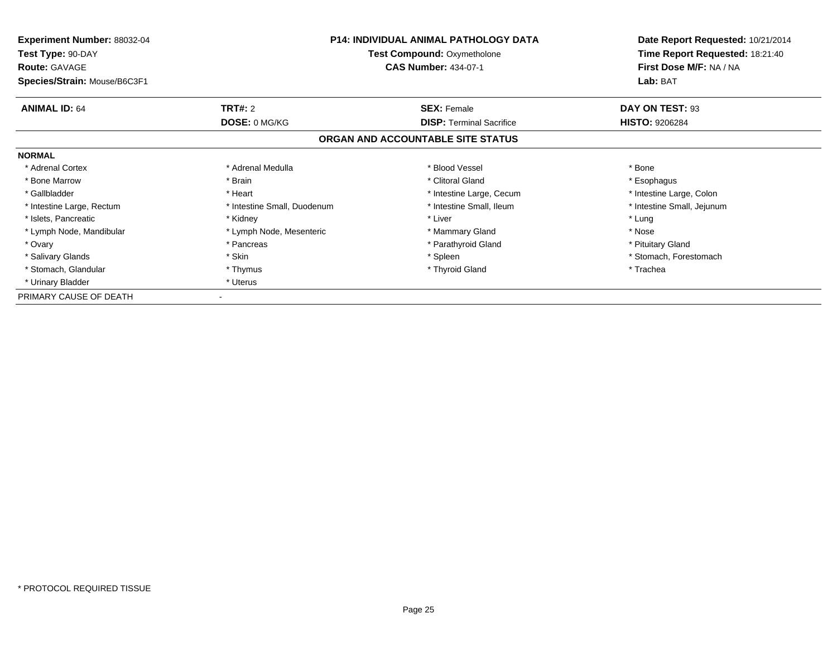| <b>Experiment Number: 88032-04</b><br>Test Type: 90-DAY<br><b>Route: GAVAGE</b> |                             | P14: INDIVIDUAL ANIMAL PATHOLOGY DATA<br><b>Test Compound: Oxymetholone</b><br><b>CAS Number: 434-07-1</b> | Date Report Requested: 10/21/2014<br>Time Report Requested: 18:21:40<br>First Dose M/F: NA / NA |
|---------------------------------------------------------------------------------|-----------------------------|------------------------------------------------------------------------------------------------------------|-------------------------------------------------------------------------------------------------|
| Species/Strain: Mouse/B6C3F1                                                    |                             |                                                                                                            | Lab: BAT                                                                                        |
| <b>ANIMAL ID: 64</b>                                                            | <b>TRT#: 2</b>              | <b>SEX: Female</b>                                                                                         | DAY ON TEST: 93                                                                                 |
|                                                                                 | <b>DOSE: 0 MG/KG</b>        | <b>DISP:</b> Terminal Sacrifice                                                                            | <b>HISTO: 9206284</b>                                                                           |
|                                                                                 |                             | ORGAN AND ACCOUNTABLE SITE STATUS                                                                          |                                                                                                 |
| <b>NORMAL</b>                                                                   |                             |                                                                                                            |                                                                                                 |
| * Adrenal Cortex                                                                | * Adrenal Medulla           | * Blood Vessel                                                                                             | * Bone                                                                                          |
| * Bone Marrow                                                                   | * Brain                     | * Clitoral Gland                                                                                           | * Esophagus                                                                                     |
| * Gallbladder                                                                   | * Heart                     | * Intestine Large, Cecum                                                                                   | * Intestine Large, Colon                                                                        |
| * Intestine Large, Rectum                                                       | * Intestine Small, Duodenum | * Intestine Small, Ileum                                                                                   | * Intestine Small, Jejunum                                                                      |
| * Islets, Pancreatic                                                            | * Kidney                    | * Liver                                                                                                    | * Lung                                                                                          |
| * Lymph Node, Mandibular                                                        | * Lymph Node, Mesenteric    | * Mammary Gland                                                                                            | * Nose                                                                                          |
| * Ovary                                                                         | * Pancreas                  | * Parathyroid Gland                                                                                        | * Pituitary Gland                                                                               |
| * Salivary Glands                                                               | * Skin                      | * Spleen                                                                                                   | * Stomach, Forestomach                                                                          |
| * Stomach, Glandular                                                            | * Thymus                    | * Thyroid Gland                                                                                            | * Trachea                                                                                       |
| * Urinary Bladder                                                               | * Uterus                    |                                                                                                            |                                                                                                 |
| PRIMARY CAUSE OF DEATH                                                          |                             |                                                                                                            |                                                                                                 |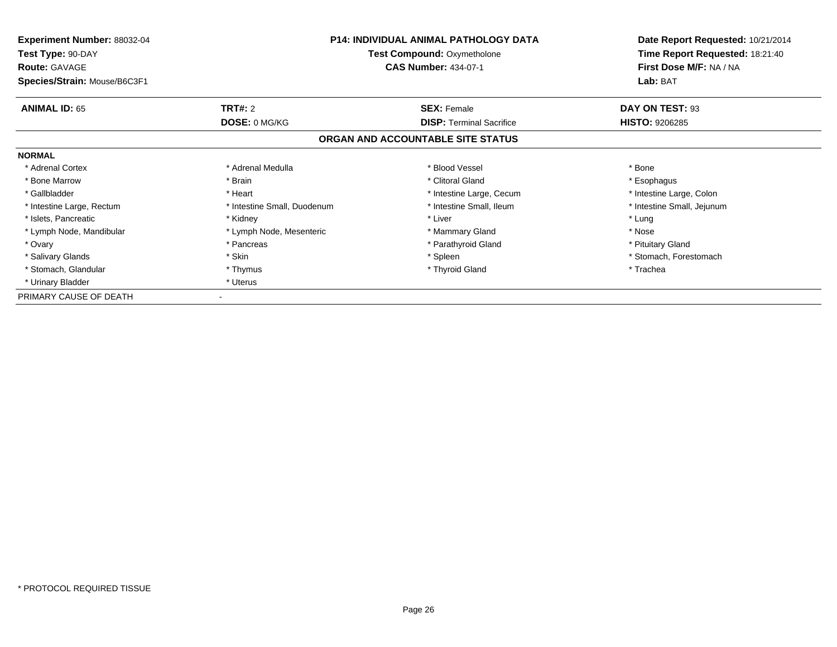| <b>Experiment Number: 88032-04</b><br>Test Type: 90-DAY<br><b>Route: GAVAGE</b> |                             | P14: INDIVIDUAL ANIMAL PATHOLOGY DATA<br><b>Test Compound: Oxymetholone</b><br><b>CAS Number: 434-07-1</b> | Date Report Requested: 10/21/2014<br>Time Report Requested: 18:21:40<br>First Dose M/F: NA / NA |
|---------------------------------------------------------------------------------|-----------------------------|------------------------------------------------------------------------------------------------------------|-------------------------------------------------------------------------------------------------|
| Species/Strain: Mouse/B6C3F1                                                    |                             |                                                                                                            | Lab: BAT                                                                                        |
| <b>ANIMAL ID: 65</b>                                                            | <b>TRT#: 2</b>              | <b>SEX: Female</b>                                                                                         | DAY ON TEST: 93                                                                                 |
|                                                                                 | <b>DOSE: 0 MG/KG</b>        | <b>DISP:</b> Terminal Sacrifice                                                                            | <b>HISTO: 9206285</b>                                                                           |
|                                                                                 |                             | ORGAN AND ACCOUNTABLE SITE STATUS                                                                          |                                                                                                 |
| <b>NORMAL</b>                                                                   |                             |                                                                                                            |                                                                                                 |
| * Adrenal Cortex                                                                | * Adrenal Medulla           | * Blood Vessel                                                                                             | * Bone                                                                                          |
| * Bone Marrow                                                                   | * Brain                     | * Clitoral Gland                                                                                           | * Esophagus                                                                                     |
| * Gallbladder                                                                   | * Heart                     | * Intestine Large, Cecum                                                                                   | * Intestine Large, Colon                                                                        |
| * Intestine Large, Rectum                                                       | * Intestine Small, Duodenum | * Intestine Small, Ileum                                                                                   | * Intestine Small, Jejunum                                                                      |
| * Islets, Pancreatic                                                            | * Kidney                    | * Liver                                                                                                    | * Lung                                                                                          |
| * Lymph Node, Mandibular                                                        | * Lymph Node, Mesenteric    | * Mammary Gland                                                                                            | * Nose                                                                                          |
| * Ovary                                                                         | * Pancreas                  | * Parathyroid Gland                                                                                        | * Pituitary Gland                                                                               |
| * Salivary Glands                                                               | * Skin                      | * Spleen                                                                                                   | * Stomach, Forestomach                                                                          |
| * Stomach, Glandular                                                            | * Thymus                    | * Thyroid Gland                                                                                            | * Trachea                                                                                       |
| * Urinary Bladder                                                               | * Uterus                    |                                                                                                            |                                                                                                 |
| PRIMARY CAUSE OF DEATH                                                          |                             |                                                                                                            |                                                                                                 |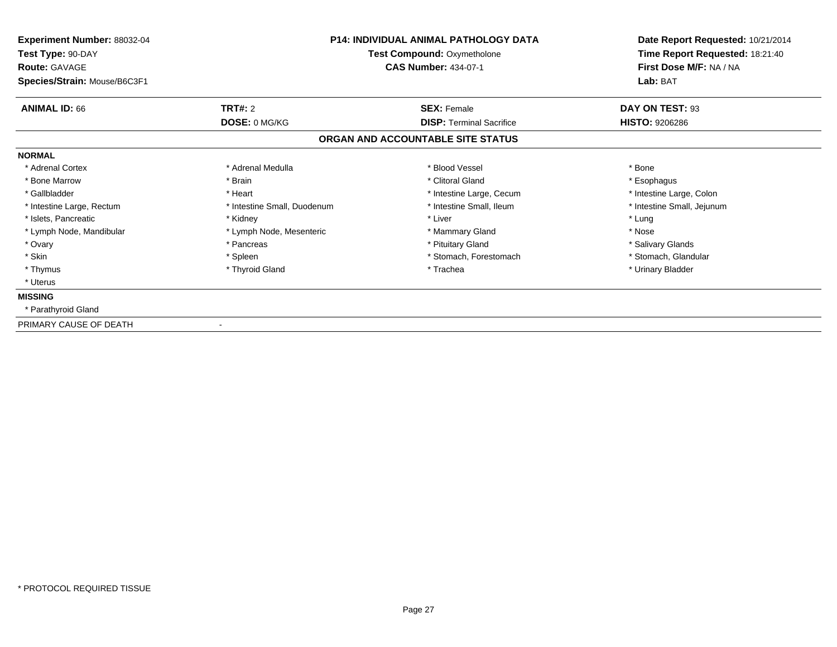| Experiment Number: 88032-04<br>Test Type: 90-DAY<br><b>Route: GAVAGE</b> | <b>P14: INDIVIDUAL ANIMAL PATHOLOGY DATA</b><br><b>Test Compound: Oxymetholone</b><br><b>CAS Number: 434-07-1</b> |                                   | Date Report Requested: 10/21/2014<br>Time Report Requested: 18:21:40<br>First Dose M/F: NA / NA |
|--------------------------------------------------------------------------|-------------------------------------------------------------------------------------------------------------------|-----------------------------------|-------------------------------------------------------------------------------------------------|
| Species/Strain: Mouse/B6C3F1                                             |                                                                                                                   |                                   | Lab: BAT                                                                                        |
| <b>ANIMAL ID: 66</b>                                                     | TRT#: 2                                                                                                           | <b>SEX: Female</b>                | DAY ON TEST: 93                                                                                 |
|                                                                          | DOSE: 0 MG/KG                                                                                                     | <b>DISP:</b> Terminal Sacrifice   | <b>HISTO: 9206286</b>                                                                           |
|                                                                          |                                                                                                                   | ORGAN AND ACCOUNTABLE SITE STATUS |                                                                                                 |
| <b>NORMAL</b>                                                            |                                                                                                                   |                                   |                                                                                                 |
| * Adrenal Cortex                                                         | * Adrenal Medulla                                                                                                 | * Blood Vessel                    | * Bone                                                                                          |
| * Bone Marrow                                                            | * Brain                                                                                                           | * Clitoral Gland                  | * Esophagus                                                                                     |
| * Gallbladder                                                            | * Heart                                                                                                           | * Intestine Large, Cecum          | * Intestine Large, Colon                                                                        |
| * Intestine Large, Rectum                                                | * Intestine Small, Duodenum                                                                                       | * Intestine Small, Ileum          | * Intestine Small, Jejunum                                                                      |
| * Islets, Pancreatic                                                     | * Kidney                                                                                                          | * Liver                           | * Lung                                                                                          |
| * Lymph Node, Mandibular                                                 | * Lymph Node, Mesenteric                                                                                          | * Mammary Gland                   | * Nose                                                                                          |
| * Ovary                                                                  | * Pancreas                                                                                                        | * Pituitary Gland                 | * Salivary Glands                                                                               |
| * Skin                                                                   | * Spleen                                                                                                          | * Stomach, Forestomach            | * Stomach, Glandular                                                                            |
| * Thymus                                                                 | * Thyroid Gland                                                                                                   | * Trachea                         | * Urinary Bladder                                                                               |
| * Uterus                                                                 |                                                                                                                   |                                   |                                                                                                 |
| <b>MISSING</b>                                                           |                                                                                                                   |                                   |                                                                                                 |
| * Parathyroid Gland                                                      |                                                                                                                   |                                   |                                                                                                 |
| PRIMARY CAUSE OF DEATH                                                   |                                                                                                                   |                                   |                                                                                                 |

-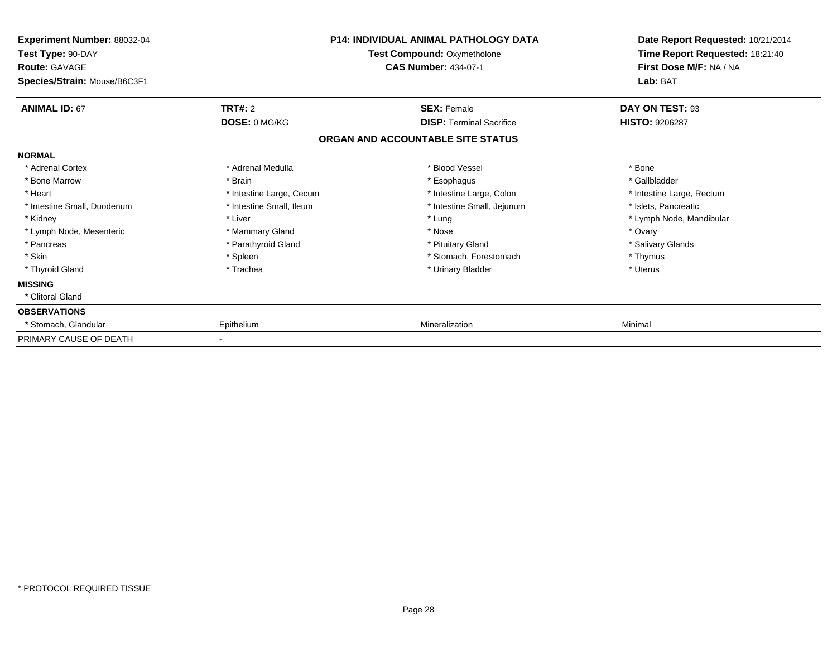| <b>Experiment Number: 88032-04</b><br>Test Type: 90-DAY<br><b>Route: GAVAGE</b><br>Species/Strain: Mouse/B6C3F1 | P14: INDIVIDUAL ANIMAL PATHOLOGY DATA<br>Test Compound: Oxymetholone<br><b>CAS Number: 434-07-1</b> |                                   | Date Report Requested: 10/21/2014<br>Time Report Requested: 18:21:40<br>First Dose M/F: NA / NA<br>Lab: BAT |
|-----------------------------------------------------------------------------------------------------------------|-----------------------------------------------------------------------------------------------------|-----------------------------------|-------------------------------------------------------------------------------------------------------------|
| <b>ANIMAL ID: 67</b>                                                                                            | <b>TRT#: 2</b>                                                                                      | <b>SEX: Female</b>                | DAY ON TEST: 93                                                                                             |
|                                                                                                                 | DOSE: 0 MG/KG                                                                                       | <b>DISP: Terminal Sacrifice</b>   | <b>HISTO: 9206287</b>                                                                                       |
|                                                                                                                 |                                                                                                     | ORGAN AND ACCOUNTABLE SITE STATUS |                                                                                                             |
| <b>NORMAL</b>                                                                                                   |                                                                                                     |                                   |                                                                                                             |
| * Adrenal Cortex                                                                                                | * Adrenal Medulla                                                                                   | * Blood Vessel                    | * Bone                                                                                                      |
| * Bone Marrow                                                                                                   | * Brain                                                                                             | * Esophagus                       | * Gallbladder                                                                                               |
| * Heart                                                                                                         | * Intestine Large, Cecum                                                                            | * Intestine Large, Colon          | * Intestine Large, Rectum                                                                                   |
| * Intestine Small, Duodenum                                                                                     | * Intestine Small, Ileum                                                                            | * Intestine Small, Jejunum        | * Islets, Pancreatic                                                                                        |
| * Kidney                                                                                                        | * Liver                                                                                             | * Lung                            | * Lymph Node, Mandibular                                                                                    |
| * Lymph Node, Mesenteric                                                                                        | * Mammary Gland                                                                                     | * Nose                            | * Ovary                                                                                                     |
| * Pancreas                                                                                                      | * Parathyroid Gland                                                                                 | * Pituitary Gland                 | * Salivary Glands                                                                                           |
| * Skin                                                                                                          | * Spleen                                                                                            | * Stomach, Forestomach            | * Thymus                                                                                                    |
| * Thyroid Gland                                                                                                 | * Trachea                                                                                           | * Urinary Bladder                 | * Uterus                                                                                                    |
| <b>MISSING</b>                                                                                                  |                                                                                                     |                                   |                                                                                                             |
| * Clitoral Gland                                                                                                |                                                                                                     |                                   |                                                                                                             |
| <b>OBSERVATIONS</b>                                                                                             |                                                                                                     |                                   |                                                                                                             |
| * Stomach, Glandular                                                                                            | Epithelium                                                                                          | Mineralization                    | Minimal                                                                                                     |
| PRIMARY CAUSE OF DEATH                                                                                          |                                                                                                     |                                   |                                                                                                             |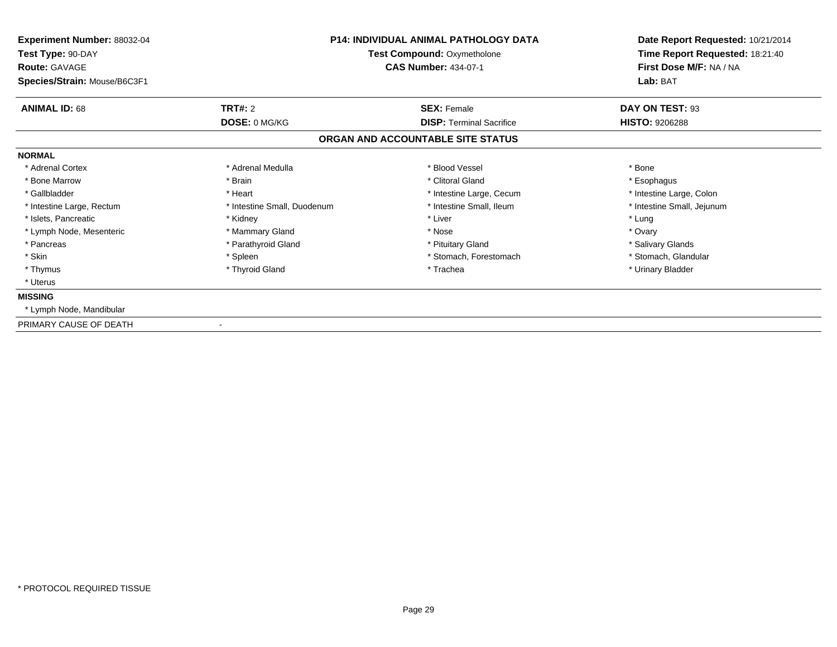| Experiment Number: 88032-04<br>Test Type: 90-DAY<br><b>Route: GAVAGE</b> |                             | <b>P14: INDIVIDUAL ANIMAL PATHOLOGY DATA</b><br><b>Test Compound: Oxymetholone</b><br><b>CAS Number: 434-07-1</b> | Date Report Requested: 10/21/2014<br>Time Report Requested: 18:21:40<br>First Dose M/F: NA / NA |  |
|--------------------------------------------------------------------------|-----------------------------|-------------------------------------------------------------------------------------------------------------------|-------------------------------------------------------------------------------------------------|--|
| Species/Strain: Mouse/B6C3F1                                             |                             |                                                                                                                   | Lab: BAT                                                                                        |  |
| <b>ANIMAL ID: 68</b>                                                     | TRT#: 2                     | <b>SEX: Female</b>                                                                                                | DAY ON TEST: 93                                                                                 |  |
|                                                                          | DOSE: 0 MG/KG               | <b>DISP: Terminal Sacrifice</b>                                                                                   | <b>HISTO: 9206288</b>                                                                           |  |
|                                                                          |                             | ORGAN AND ACCOUNTABLE SITE STATUS                                                                                 |                                                                                                 |  |
| <b>NORMAL</b>                                                            |                             |                                                                                                                   |                                                                                                 |  |
| * Adrenal Cortex                                                         | * Adrenal Medulla           | * Blood Vessel                                                                                                    | * Bone                                                                                          |  |
| * Bone Marrow                                                            | * Brain                     | * Clitoral Gland                                                                                                  | * Esophagus                                                                                     |  |
| * Gallbladder                                                            | * Heart                     | * Intestine Large, Cecum                                                                                          | * Intestine Large, Colon                                                                        |  |
| * Intestine Large, Rectum                                                | * Intestine Small, Duodenum | * Intestine Small, Ileum                                                                                          | * Intestine Small, Jejunum                                                                      |  |
| * Islets, Pancreatic                                                     | * Kidney                    | * Liver                                                                                                           | * Lung                                                                                          |  |
| * Lymph Node, Mesenteric                                                 | * Mammary Gland             | * Nose                                                                                                            | * Ovary                                                                                         |  |
| * Pancreas                                                               | * Parathyroid Gland         | * Pituitary Gland                                                                                                 | * Salivary Glands                                                                               |  |
| * Skin                                                                   | * Spleen                    | * Stomach, Forestomach                                                                                            | * Stomach, Glandular                                                                            |  |
| * Thymus                                                                 | * Thyroid Gland             | * Trachea                                                                                                         | * Urinary Bladder                                                                               |  |
| * Uterus                                                                 |                             |                                                                                                                   |                                                                                                 |  |
| <b>MISSING</b>                                                           |                             |                                                                                                                   |                                                                                                 |  |
| * Lymph Node, Mandibular                                                 |                             |                                                                                                                   |                                                                                                 |  |
| PRIMARY CAUSE OF DEATH                                                   |                             |                                                                                                                   |                                                                                                 |  |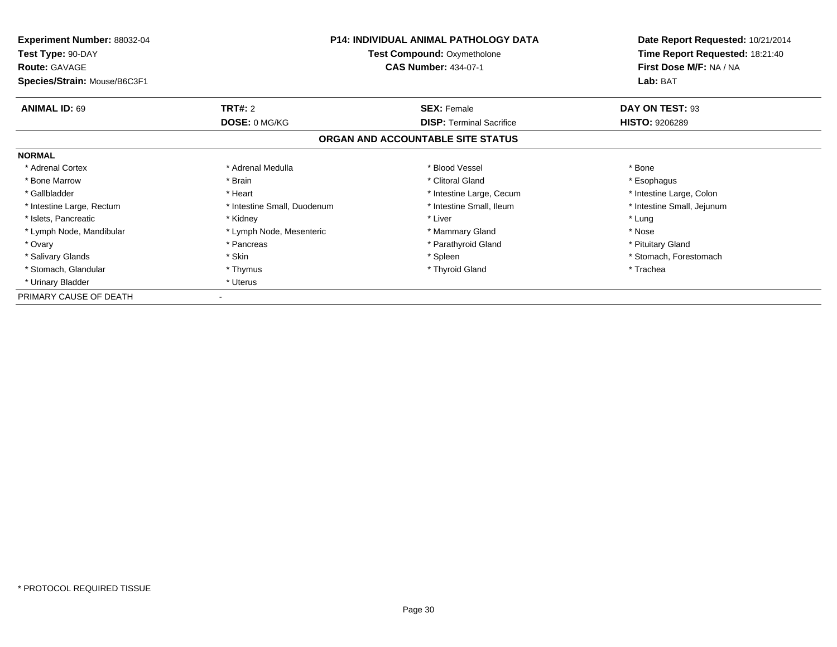| <b>Experiment Number: 88032-04</b><br>Test Type: 90-DAY<br><b>Route: GAVAGE</b> | <b>P14: INDIVIDUAL ANIMAL PATHOLOGY DATA</b><br><b>Test Compound: Oxymetholone</b><br><b>CAS Number: 434-07-1</b> |                                   | Date Report Requested: 10/21/2014<br>Time Report Requested: 18:21:40<br>First Dose M/F: NA / NA |
|---------------------------------------------------------------------------------|-------------------------------------------------------------------------------------------------------------------|-----------------------------------|-------------------------------------------------------------------------------------------------|
| Species/Strain: Mouse/B6C3F1                                                    |                                                                                                                   |                                   | Lab: BAT                                                                                        |
| <b>ANIMAL ID: 69</b>                                                            | <b>TRT#: 2</b>                                                                                                    | <b>SEX: Female</b>                | DAY ON TEST: 93                                                                                 |
|                                                                                 | DOSE: 0 MG/KG                                                                                                     | <b>DISP:</b> Terminal Sacrifice   | <b>HISTO: 9206289</b>                                                                           |
|                                                                                 |                                                                                                                   | ORGAN AND ACCOUNTABLE SITE STATUS |                                                                                                 |
| <b>NORMAL</b>                                                                   |                                                                                                                   |                                   |                                                                                                 |
| * Adrenal Cortex                                                                | * Adrenal Medulla                                                                                                 | * Blood Vessel                    | * Bone                                                                                          |
| * Bone Marrow                                                                   | * Brain                                                                                                           | * Clitoral Gland                  | * Esophagus                                                                                     |
| * Gallbladder                                                                   | * Heart                                                                                                           | * Intestine Large, Cecum          | * Intestine Large, Colon                                                                        |
| * Intestine Large, Rectum                                                       | * Intestine Small, Duodenum                                                                                       | * Intestine Small, Ileum          | * Intestine Small, Jejunum                                                                      |
| * Islets, Pancreatic                                                            | * Kidney                                                                                                          | * Liver                           | * Lung                                                                                          |
| * Lymph Node, Mandibular                                                        | * Lymph Node, Mesenteric                                                                                          | * Mammary Gland                   | * Nose                                                                                          |
| * Ovary                                                                         | * Pancreas                                                                                                        | * Parathyroid Gland               | * Pituitary Gland                                                                               |
| * Salivary Glands                                                               | * Skin                                                                                                            | * Spleen                          | * Stomach, Forestomach                                                                          |
| * Stomach, Glandular                                                            | * Thymus                                                                                                          | * Thyroid Gland                   | * Trachea                                                                                       |
| * Urinary Bladder                                                               | * Uterus                                                                                                          |                                   |                                                                                                 |
| PRIMARY CAUSE OF DEATH                                                          |                                                                                                                   |                                   |                                                                                                 |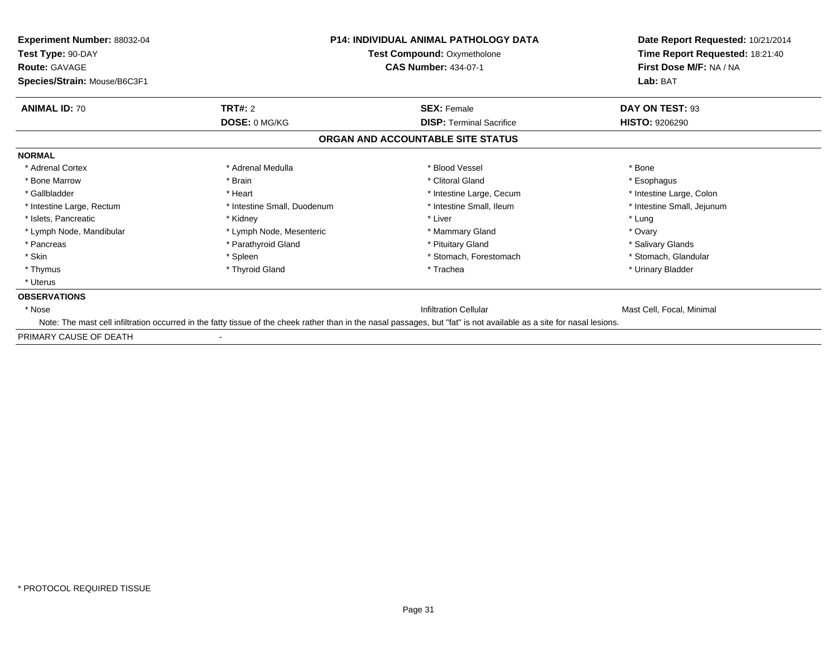| <b>Experiment Number: 88032-04</b><br>Test Type: 90-DAY<br><b>Route: GAVAGE</b> |                             | <b>P14: INDIVIDUAL ANIMAL PATHOLOGY DATA</b><br><b>Test Compound: Oxymetholone</b><br><b>CAS Number: 434-07-1</b>                                                     | Date Report Requested: 10/21/2014<br>Time Report Requested: 18:21:40<br>First Dose M/F: NA / NA |  |
|---------------------------------------------------------------------------------|-----------------------------|-----------------------------------------------------------------------------------------------------------------------------------------------------------------------|-------------------------------------------------------------------------------------------------|--|
| Species/Strain: Mouse/B6C3F1                                                    |                             |                                                                                                                                                                       | Lab: BAT                                                                                        |  |
| <b>ANIMAL ID: 70</b>                                                            | TRT#: 2                     | <b>SEX: Female</b>                                                                                                                                                    | DAY ON TEST: 93                                                                                 |  |
|                                                                                 | DOSE: 0 MG/KG               | <b>DISP: Terminal Sacrifice</b>                                                                                                                                       | <b>HISTO: 9206290</b>                                                                           |  |
|                                                                                 |                             | ORGAN AND ACCOUNTABLE SITE STATUS                                                                                                                                     |                                                                                                 |  |
| <b>NORMAL</b>                                                                   |                             |                                                                                                                                                                       |                                                                                                 |  |
| * Adrenal Cortex                                                                | * Adrenal Medulla           | * Blood Vessel                                                                                                                                                        | * Bone                                                                                          |  |
| * Bone Marrow                                                                   | * Brain                     | * Clitoral Gland                                                                                                                                                      | * Esophagus                                                                                     |  |
| * Gallbladder                                                                   | * Heart                     | * Intestine Large, Cecum                                                                                                                                              | * Intestine Large, Colon                                                                        |  |
| * Intestine Large, Rectum                                                       | * Intestine Small, Duodenum | * Intestine Small, Ileum                                                                                                                                              | * Intestine Small, Jejunum                                                                      |  |
| * Islets, Pancreatic                                                            | * Kidney                    | * Liver                                                                                                                                                               | * Lung                                                                                          |  |
| * Lymph Node, Mandibular                                                        | * Lymph Node, Mesenteric    | * Mammary Gland                                                                                                                                                       | * Ovary                                                                                         |  |
| * Pancreas                                                                      | * Parathyroid Gland         | * Pituitary Gland                                                                                                                                                     | * Salivary Glands                                                                               |  |
| * Skin                                                                          | * Spleen                    | * Stomach, Forestomach                                                                                                                                                | * Stomach, Glandular                                                                            |  |
| * Thymus                                                                        | * Thyroid Gland             | * Trachea                                                                                                                                                             | * Urinary Bladder                                                                               |  |
| * Uterus                                                                        |                             |                                                                                                                                                                       |                                                                                                 |  |
| <b>OBSERVATIONS</b>                                                             |                             |                                                                                                                                                                       |                                                                                                 |  |
| * Nose                                                                          |                             | <b>Infiltration Cellular</b>                                                                                                                                          | Mast Cell, Focal, Minimal                                                                       |  |
|                                                                                 |                             | Note: The mast cell infiltration occurred in the fatty tissue of the cheek rather than in the nasal passages, but "fat" is not available as a site for nasal lesions. |                                                                                                 |  |
| PRIMARY CAUSE OF DEATH                                                          |                             |                                                                                                                                                                       |                                                                                                 |  |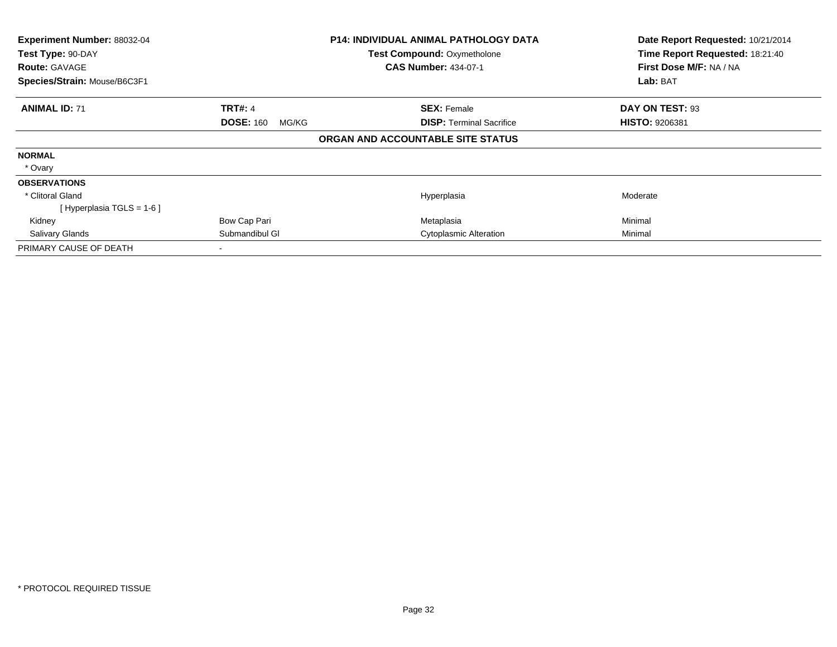| Experiment Number: 88032-04<br>Test Type: 90-DAY |                           | P14: INDIVIDUAL ANIMAL PATHOLOGY DATA | Date Report Requested: 10/21/2014<br>Time Report Requested: 18:21:40 |
|--------------------------------------------------|---------------------------|---------------------------------------|----------------------------------------------------------------------|
|                                                  |                           | <b>Test Compound: Oxymetholone</b>    |                                                                      |
| <b>Route: GAVAGE</b>                             |                           | <b>CAS Number: 434-07-1</b>           | First Dose M/F: NA / NA                                              |
| Species/Strain: Mouse/B6C3F1                     |                           |                                       | Lab: BAT                                                             |
| <b>ANIMAL ID: 71</b>                             | <b>TRT#: 4</b>            | <b>SEX: Female</b>                    | DAY ON TEST: 93                                                      |
|                                                  | <b>DOSE: 160</b><br>MG/KG | <b>DISP:</b> Terminal Sacrifice       | <b>HISTO: 9206381</b>                                                |
|                                                  |                           | ORGAN AND ACCOUNTABLE SITE STATUS     |                                                                      |
| <b>NORMAL</b>                                    |                           |                                       |                                                                      |
| * Ovary                                          |                           |                                       |                                                                      |
| <b>OBSERVATIONS</b>                              |                           |                                       |                                                                      |
| * Clitoral Gland                                 |                           | Hyperplasia                           | Moderate                                                             |
| [Hyperplasia TGLS = $1-6$ ]                      |                           |                                       |                                                                      |
| Kidney                                           | Bow Cap Pari              | Metaplasia                            | Minimal                                                              |
| <b>Salivary Glands</b>                           | Submandibul GI            | Cytoplasmic Alteration                | Minimal                                                              |
| PRIMARY CAUSE OF DEATH                           |                           |                                       |                                                                      |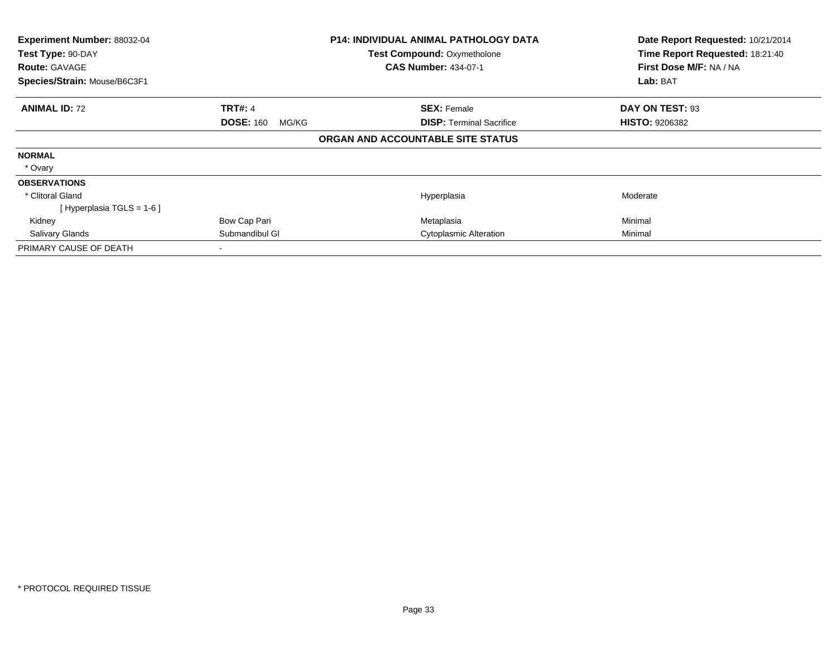| Experiment Number: 88032-04<br>Test Type: 90-DAY |                           | P14: INDIVIDUAL ANIMAL PATHOLOGY DATA | Date Report Requested: 10/21/2014 |
|--------------------------------------------------|---------------------------|---------------------------------------|-----------------------------------|
|                                                  |                           | <b>Test Compound: Oxymetholone</b>    | Time Report Requested: 18:21:40   |
| <b>Route: GAVAGE</b>                             |                           | <b>CAS Number: 434-07-1</b>           | First Dose M/F: NA / NA           |
| Species/Strain: Mouse/B6C3F1                     |                           |                                       | Lab: BAT                          |
| <b>ANIMAL ID: 72</b>                             | <b>TRT#: 4</b>            | <b>SEX: Female</b>                    | DAY ON TEST: 93                   |
|                                                  | <b>DOSE: 160</b><br>MG/KG | <b>DISP:</b> Terminal Sacrifice       | <b>HISTO: 9206382</b>             |
|                                                  |                           | ORGAN AND ACCOUNTABLE SITE STATUS     |                                   |
| <b>NORMAL</b>                                    |                           |                                       |                                   |
| * Ovary                                          |                           |                                       |                                   |
| <b>OBSERVATIONS</b>                              |                           |                                       |                                   |
| * Clitoral Gland                                 |                           | Hyperplasia                           | Moderate                          |
| [Hyperplasia TGLS = $1-6$ ]                      |                           |                                       |                                   |
| Kidney                                           | Bow Cap Pari              | Metaplasia                            | Minimal                           |
| <b>Salivary Glands</b>                           | Submandibul GI            | Cytoplasmic Alteration                | Minimal                           |
| PRIMARY CAUSE OF DEATH                           |                           |                                       |                                   |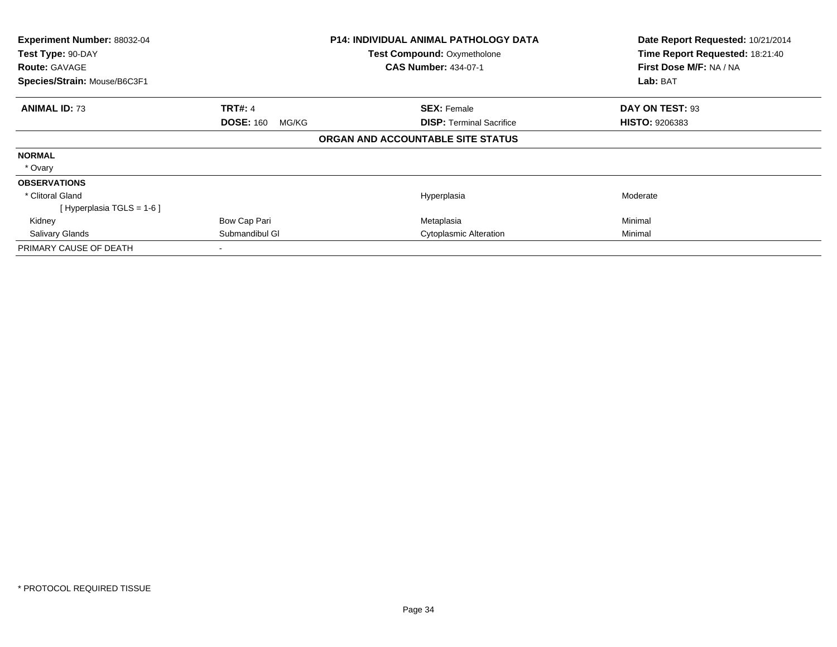| Experiment Number: 88032-04<br>Test Type: 90-DAY |                           | P14: INDIVIDUAL ANIMAL PATHOLOGY DATA | Date Report Requested: 10/21/2014<br>Time Report Requested: 18:21:40 |
|--------------------------------------------------|---------------------------|---------------------------------------|----------------------------------------------------------------------|
|                                                  |                           | <b>Test Compound: Oxymetholone</b>    |                                                                      |
| <b>Route: GAVAGE</b>                             |                           | <b>CAS Number: 434-07-1</b>           | First Dose M/F: NA / NA                                              |
| Species/Strain: Mouse/B6C3F1                     |                           |                                       | Lab: BAT                                                             |
| <b>ANIMAL ID: 73</b>                             | <b>TRT#: 4</b>            | <b>SEX: Female</b>                    | DAY ON TEST: 93                                                      |
|                                                  | <b>DOSE: 160</b><br>MG/KG | <b>DISP:</b> Terminal Sacrifice       | <b>HISTO: 9206383</b>                                                |
|                                                  |                           | ORGAN AND ACCOUNTABLE SITE STATUS     |                                                                      |
| <b>NORMAL</b>                                    |                           |                                       |                                                                      |
| * Ovary                                          |                           |                                       |                                                                      |
| <b>OBSERVATIONS</b>                              |                           |                                       |                                                                      |
| * Clitoral Gland                                 |                           | Hyperplasia                           | Moderate                                                             |
| [Hyperplasia TGLS = $1-6$ ]                      |                           |                                       |                                                                      |
| Kidney                                           | Bow Cap Pari              | Metaplasia                            | Minimal                                                              |
| <b>Salivary Glands</b>                           | Submandibul GI            | Cytoplasmic Alteration                | Minimal                                                              |
| PRIMARY CAUSE OF DEATH                           |                           |                                       |                                                                      |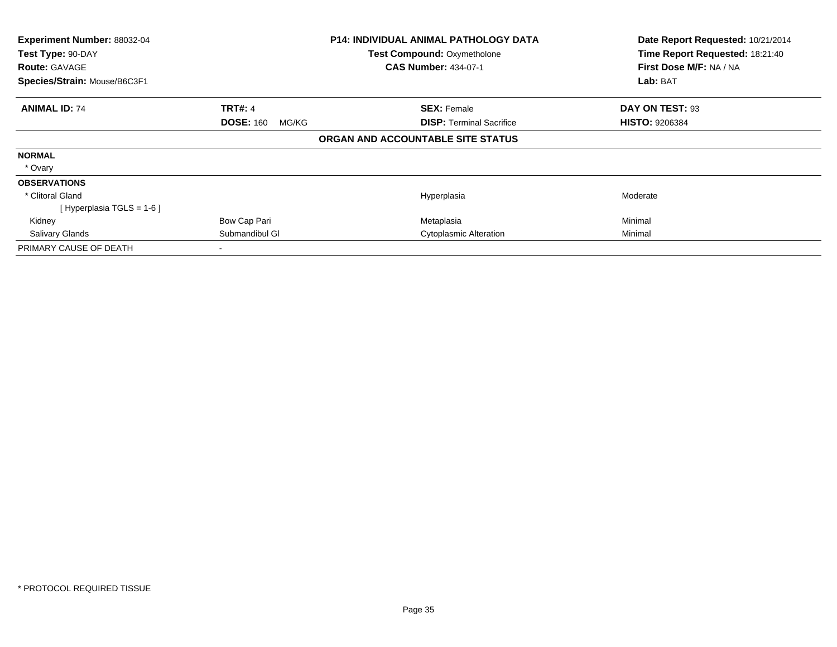| Experiment Number: 88032-04<br>Test Type: 90-DAY |                           | P14: INDIVIDUAL ANIMAL PATHOLOGY DATA | Date Report Requested: 10/21/2014<br>Time Report Requested: 18:21:40 |
|--------------------------------------------------|---------------------------|---------------------------------------|----------------------------------------------------------------------|
|                                                  |                           | <b>Test Compound: Oxymetholone</b>    |                                                                      |
| <b>Route: GAVAGE</b>                             |                           | <b>CAS Number: 434-07-1</b>           | First Dose M/F: NA / NA                                              |
| Species/Strain: Mouse/B6C3F1                     |                           |                                       | Lab: BAT                                                             |
| <b>ANIMAL ID: 74</b>                             | <b>TRT#: 4</b>            | <b>SEX: Female</b>                    | DAY ON TEST: 93                                                      |
|                                                  | <b>DOSE: 160</b><br>MG/KG | <b>DISP:</b> Terminal Sacrifice       | <b>HISTO: 9206384</b>                                                |
|                                                  |                           | ORGAN AND ACCOUNTABLE SITE STATUS     |                                                                      |
| <b>NORMAL</b>                                    |                           |                                       |                                                                      |
| * Ovary                                          |                           |                                       |                                                                      |
| <b>OBSERVATIONS</b>                              |                           |                                       |                                                                      |
| * Clitoral Gland                                 |                           | Hyperplasia                           | Moderate                                                             |
| [Hyperplasia TGLS = $1-6$ ]                      |                           |                                       |                                                                      |
| Kidney                                           | Bow Cap Pari              | Metaplasia                            | Minimal                                                              |
| <b>Salivary Glands</b>                           | Submandibul GI            | Cytoplasmic Alteration                | Minimal                                                              |
| PRIMARY CAUSE OF DEATH                           |                           |                                       |                                                                      |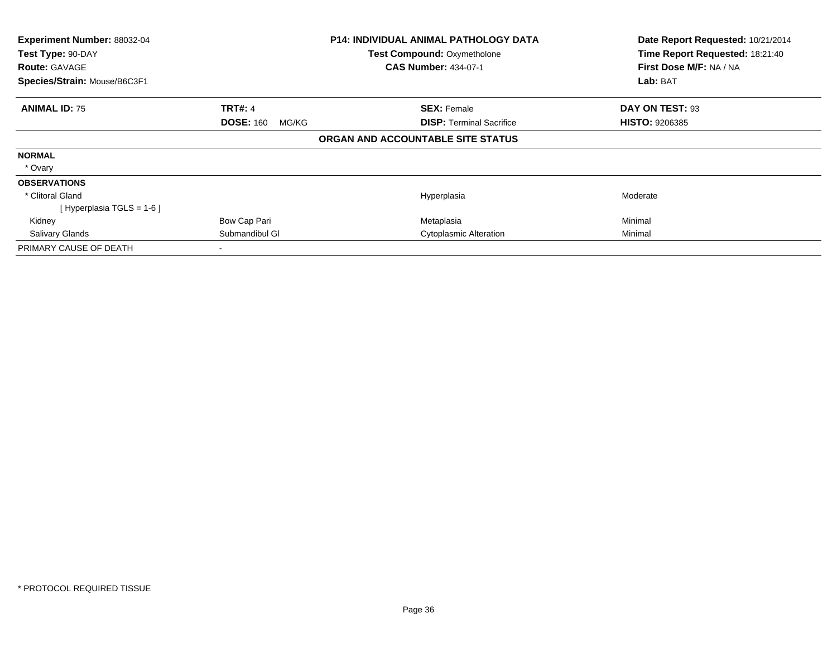| Experiment Number: 88032-04  |                           | P14: INDIVIDUAL ANIMAL PATHOLOGY DATA | Date Report Requested: 10/21/2014 |
|------------------------------|---------------------------|---------------------------------------|-----------------------------------|
| Test Type: 90-DAY            |                           | <b>Test Compound: Oxymetholone</b>    | Time Report Requested: 18:21:40   |
| <b>Route: GAVAGE</b>         |                           | <b>CAS Number: 434-07-1</b>           | First Dose M/F: NA / NA           |
| Species/Strain: Mouse/B6C3F1 |                           |                                       | Lab: BAT                          |
| <b>ANIMAL ID: 75</b>         | <b>TRT#: 4</b>            | <b>SEX: Female</b>                    | DAY ON TEST: 93                   |
|                              | <b>DOSE: 160</b><br>MG/KG | <b>DISP:</b> Terminal Sacrifice       | <b>HISTO: 9206385</b>             |
|                              |                           | ORGAN AND ACCOUNTABLE SITE STATUS     |                                   |
| <b>NORMAL</b>                |                           |                                       |                                   |
| * Ovary                      |                           |                                       |                                   |
| <b>OBSERVATIONS</b>          |                           |                                       |                                   |
| * Clitoral Gland             |                           | Hyperplasia                           | Moderate                          |
| [Hyperplasia TGLS = $1-6$ ]  |                           |                                       |                                   |
| Kidney                       | Bow Cap Pari              | Metaplasia                            | Minimal                           |
| <b>Salivary Glands</b>       | Submandibul GI            | Cytoplasmic Alteration                | Minimal                           |
| PRIMARY CAUSE OF DEATH       |                           |                                       |                                   |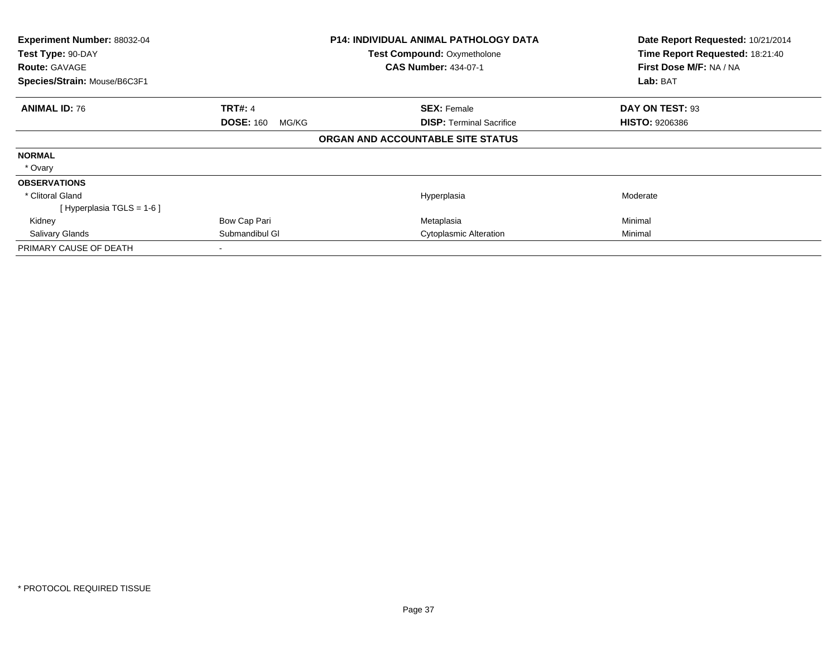| Experiment Number: 88032-04  | P14: INDIVIDUAL ANIMAL PATHOLOGY DATA |                                    | Date Report Requested: 10/21/2014 |
|------------------------------|---------------------------------------|------------------------------------|-----------------------------------|
| Test Type: 90-DAY            |                                       | <b>Test Compound: Oxymetholone</b> | Time Report Requested: 18:21:40   |
| <b>Route: GAVAGE</b>         |                                       | <b>CAS Number: 434-07-1</b>        | First Dose M/F: NA / NA           |
| Species/Strain: Mouse/B6C3F1 |                                       |                                    | Lab: BAT                          |
| <b>ANIMAL ID: 76</b>         | <b>TRT#: 4</b>                        | <b>SEX: Female</b>                 | DAY ON TEST: 93                   |
|                              | <b>DOSE: 160</b><br>MG/KG             | <b>DISP:</b> Terminal Sacrifice    | <b>HISTO: 9206386</b>             |
|                              |                                       | ORGAN AND ACCOUNTABLE SITE STATUS  |                                   |
| <b>NORMAL</b>                |                                       |                                    |                                   |
| * Ovary                      |                                       |                                    |                                   |
| <b>OBSERVATIONS</b>          |                                       |                                    |                                   |
| * Clitoral Gland             |                                       | Hyperplasia                        | Moderate                          |
| [Hyperplasia TGLS = $1-6$ ]  |                                       |                                    |                                   |
| Kidney                       | Bow Cap Pari                          | Metaplasia                         | Minimal                           |
| <b>Salivary Glands</b>       | Submandibul GI                        | Cytoplasmic Alteration             | Minimal                           |
| PRIMARY CAUSE OF DEATH       |                                       |                                    |                                   |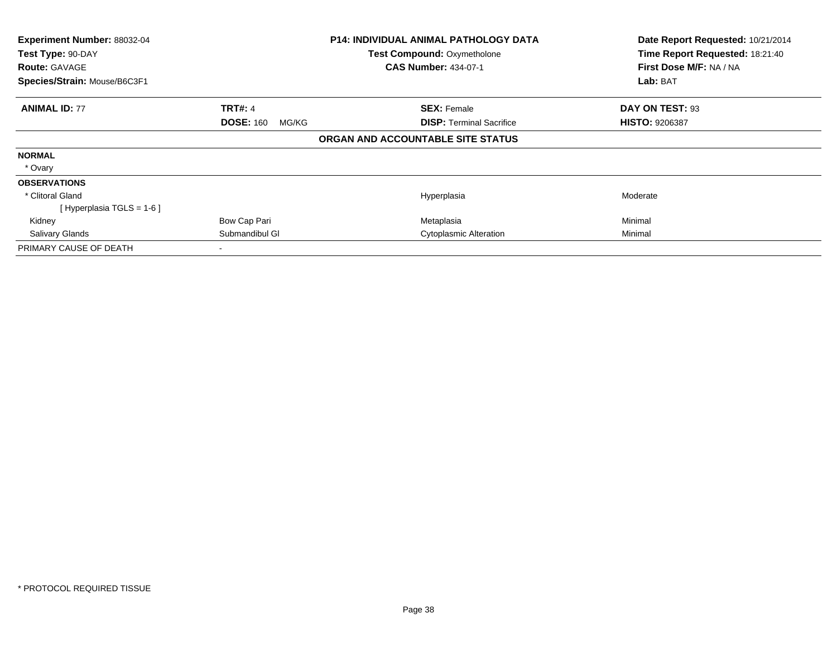| Experiment Number: 88032-04  |                           | P14: INDIVIDUAL ANIMAL PATHOLOGY DATA | Date Report Requested: 10/21/2014 |
|------------------------------|---------------------------|---------------------------------------|-----------------------------------|
| Test Type: 90-DAY            |                           | <b>Test Compound: Oxymetholone</b>    | Time Report Requested: 18:21:40   |
| <b>Route: GAVAGE</b>         |                           | <b>CAS Number: 434-07-1</b>           | First Dose M/F: NA / NA           |
| Species/Strain: Mouse/B6C3F1 |                           |                                       | Lab: BAT                          |
| <b>ANIMAL ID: 77</b>         | <b>TRT#: 4</b>            | <b>SEX: Female</b>                    | DAY ON TEST: 93                   |
|                              | <b>DOSE: 160</b><br>MG/KG | <b>DISP:</b> Terminal Sacrifice       | <b>HISTO: 9206387</b>             |
|                              |                           | ORGAN AND ACCOUNTABLE SITE STATUS     |                                   |
| <b>NORMAL</b>                |                           |                                       |                                   |
| * Ovary                      |                           |                                       |                                   |
| <b>OBSERVATIONS</b>          |                           |                                       |                                   |
| * Clitoral Gland             |                           | Hyperplasia                           | Moderate                          |
| [Hyperplasia TGLS = $1-6$ ]  |                           |                                       |                                   |
| Kidney                       | Bow Cap Pari              | Metaplasia                            | Minimal                           |
| <b>Salivary Glands</b>       | Submandibul GI            | Cytoplasmic Alteration                | Minimal                           |
| PRIMARY CAUSE OF DEATH       |                           |                                       |                                   |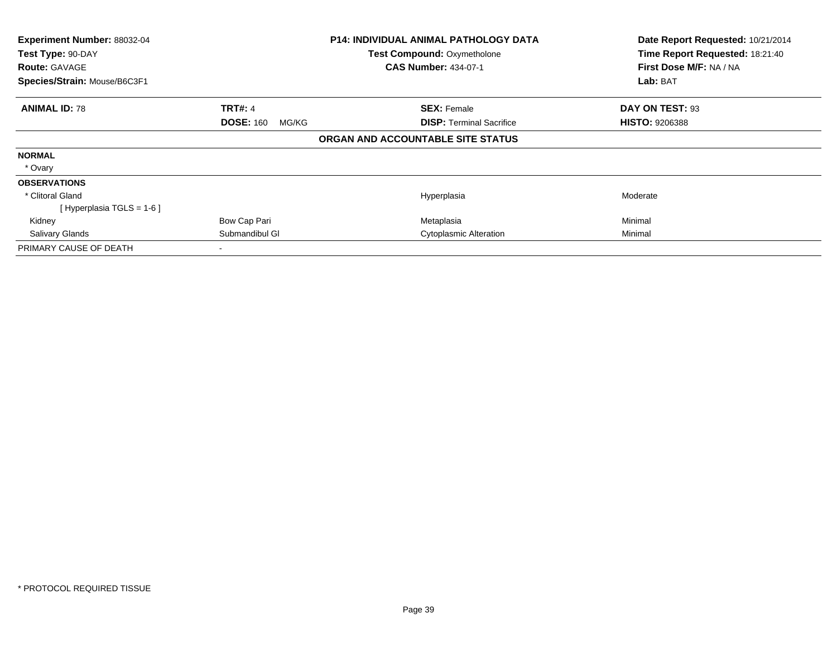| Experiment Number: 88032-04  |                           | P14: INDIVIDUAL ANIMAL PATHOLOGY DATA | Date Report Requested: 10/21/2014 |
|------------------------------|---------------------------|---------------------------------------|-----------------------------------|
| Test Type: 90-DAY            |                           | <b>Test Compound: Oxymetholone</b>    | Time Report Requested: 18:21:40   |
| <b>Route: GAVAGE</b>         |                           | <b>CAS Number: 434-07-1</b>           | First Dose M/F: NA / NA           |
| Species/Strain: Mouse/B6C3F1 |                           |                                       | Lab: BAT                          |
| <b>ANIMAL ID: 78</b>         | <b>TRT#: 4</b>            | <b>SEX: Female</b>                    | DAY ON TEST: 93                   |
|                              | <b>DOSE: 160</b><br>MG/KG | <b>DISP:</b> Terminal Sacrifice       | <b>HISTO: 9206388</b>             |
|                              |                           | ORGAN AND ACCOUNTABLE SITE STATUS     |                                   |
| <b>NORMAL</b>                |                           |                                       |                                   |
| * Ovary                      |                           |                                       |                                   |
| <b>OBSERVATIONS</b>          |                           |                                       |                                   |
| * Clitoral Gland             |                           | Hyperplasia                           | Moderate                          |
| [Hyperplasia TGLS = $1-6$ ]  |                           |                                       |                                   |
| Kidney                       | Bow Cap Pari              | Metaplasia                            | Minimal                           |
| <b>Salivary Glands</b>       | Submandibul GI            | Cytoplasmic Alteration                | Minimal                           |
| PRIMARY CAUSE OF DEATH       |                           |                                       |                                   |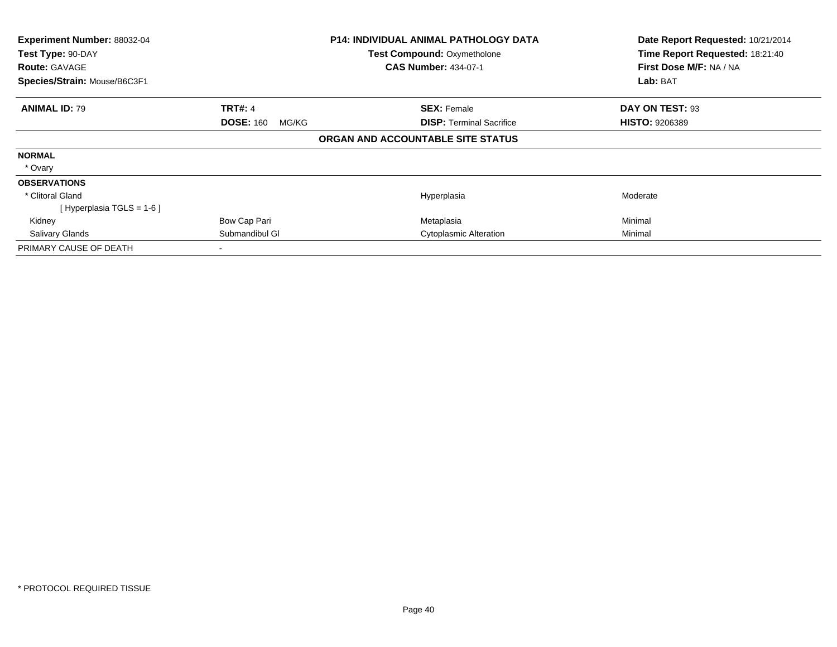| Experiment Number: 88032-04  | P14: INDIVIDUAL ANIMAL PATHOLOGY DATA |                                    | Date Report Requested: 10/21/2014 |
|------------------------------|---------------------------------------|------------------------------------|-----------------------------------|
| Test Type: 90-DAY            |                                       | <b>Test Compound: Oxymetholone</b> | Time Report Requested: 18:21:40   |
| <b>Route: GAVAGE</b>         |                                       | <b>CAS Number: 434-07-1</b>        | First Dose M/F: NA / NA           |
| Species/Strain: Mouse/B6C3F1 |                                       |                                    | Lab: BAT                          |
| <b>ANIMAL ID: 79</b>         | <b>TRT#: 4</b>                        | <b>SEX: Female</b>                 | DAY ON TEST: 93                   |
|                              | <b>DOSE: 160</b><br>MG/KG             | <b>DISP:</b> Terminal Sacrifice    | <b>HISTO: 9206389</b>             |
|                              |                                       | ORGAN AND ACCOUNTABLE SITE STATUS  |                                   |
| <b>NORMAL</b>                |                                       |                                    |                                   |
| * Ovary                      |                                       |                                    |                                   |
| <b>OBSERVATIONS</b>          |                                       |                                    |                                   |
| * Clitoral Gland             |                                       | Hyperplasia                        | Moderate                          |
| [Hyperplasia TGLS = $1-6$ ]  |                                       |                                    |                                   |
| Kidney                       | Bow Cap Pari                          | Metaplasia                         | Minimal                           |
| <b>Salivary Glands</b>       | Submandibul GI                        | Cytoplasmic Alteration             | Minimal                           |
| PRIMARY CAUSE OF DEATH       |                                       |                                    |                                   |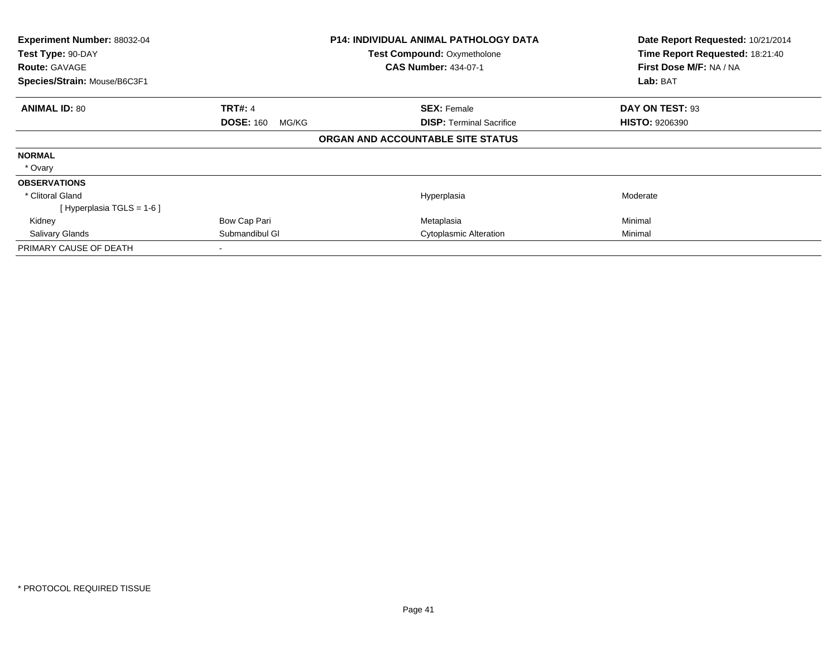| Experiment Number: 88032-04  |                           | P14: INDIVIDUAL ANIMAL PATHOLOGY DATA | Date Report Requested: 10/21/2014 |
|------------------------------|---------------------------|---------------------------------------|-----------------------------------|
| Test Type: 90-DAY            |                           | <b>Test Compound: Oxymetholone</b>    | Time Report Requested: 18:21:40   |
| <b>Route: GAVAGE</b>         |                           | <b>CAS Number: 434-07-1</b>           | First Dose M/F: NA / NA           |
| Species/Strain: Mouse/B6C3F1 |                           |                                       | Lab: BAT                          |
| <b>ANIMAL ID: 80</b>         | <b>TRT#: 4</b>            | <b>SEX: Female</b>                    | DAY ON TEST: 93                   |
|                              | <b>DOSE: 160</b><br>MG/KG | <b>DISP:</b> Terminal Sacrifice       | <b>HISTO: 9206390</b>             |
|                              |                           | ORGAN AND ACCOUNTABLE SITE STATUS     |                                   |
| <b>NORMAL</b>                |                           |                                       |                                   |
| * Ovary                      |                           |                                       |                                   |
| <b>OBSERVATIONS</b>          |                           |                                       |                                   |
| * Clitoral Gland             |                           | Hyperplasia                           | Moderate                          |
| [Hyperplasia TGLS = $1-6$ ]  |                           |                                       |                                   |
| Kidney                       | Bow Cap Pari              | Metaplasia                            | Minimal                           |
| <b>Salivary Glands</b>       | Submandibul GI            | Cytoplasmic Alteration                | Minimal                           |
| PRIMARY CAUSE OF DEATH       |                           |                                       |                                   |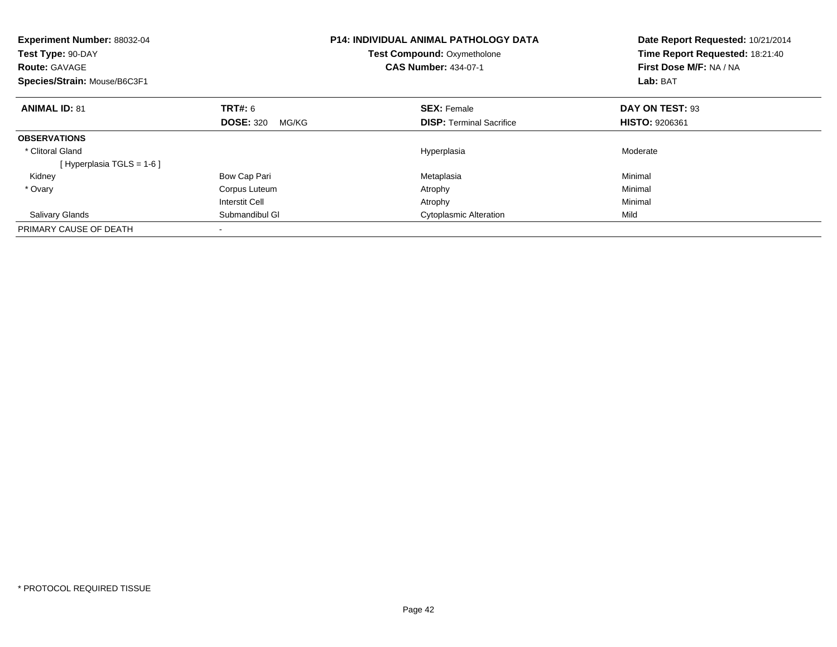| <b>Experiment Number: 88032-04</b><br>Test Type: 90-DAY<br><b>Route: GAVAGE</b><br>Species/Strain: Mouse/B6C3F1 |                           | <b>P14: INDIVIDUAL ANIMAL PATHOLOGY DATA</b><br>Test Compound: Oxymetholone<br><b>CAS Number: 434-07-1</b> | Date Report Requested: 10/21/2014<br>Time Report Requested: 18:21:40<br>First Dose M/F: NA / NA<br>Lab: BAT |
|-----------------------------------------------------------------------------------------------------------------|---------------------------|------------------------------------------------------------------------------------------------------------|-------------------------------------------------------------------------------------------------------------|
| <b>ANIMAL ID: 81</b>                                                                                            | TRT#: 6                   | <b>SEX: Female</b>                                                                                         | DAY ON TEST: 93                                                                                             |
|                                                                                                                 | <b>DOSE: 320</b><br>MG/KG | <b>DISP:</b> Terminal Sacrifice                                                                            | <b>HISTO: 9206361</b>                                                                                       |
| <b>OBSERVATIONS</b>                                                                                             |                           |                                                                                                            |                                                                                                             |
| * Clitoral Gland                                                                                                |                           | Hyperplasia                                                                                                | Moderate                                                                                                    |
| [Hyperplasia TGLS = $1-6$ ]                                                                                     |                           |                                                                                                            |                                                                                                             |
| Kidney                                                                                                          | Bow Cap Pari              | Metaplasia                                                                                                 | Minimal                                                                                                     |
| * Ovary                                                                                                         | Corpus Luteum             | Atrophy                                                                                                    | Minimal                                                                                                     |
|                                                                                                                 | <b>Interstit Cell</b>     | Atrophy                                                                                                    | Minimal                                                                                                     |
| <b>Salivary Glands</b>                                                                                          | Submandibul GI            | <b>Cytoplasmic Alteration</b>                                                                              | Mild                                                                                                        |
| PRIMARY CAUSE OF DEATH                                                                                          |                           |                                                                                                            |                                                                                                             |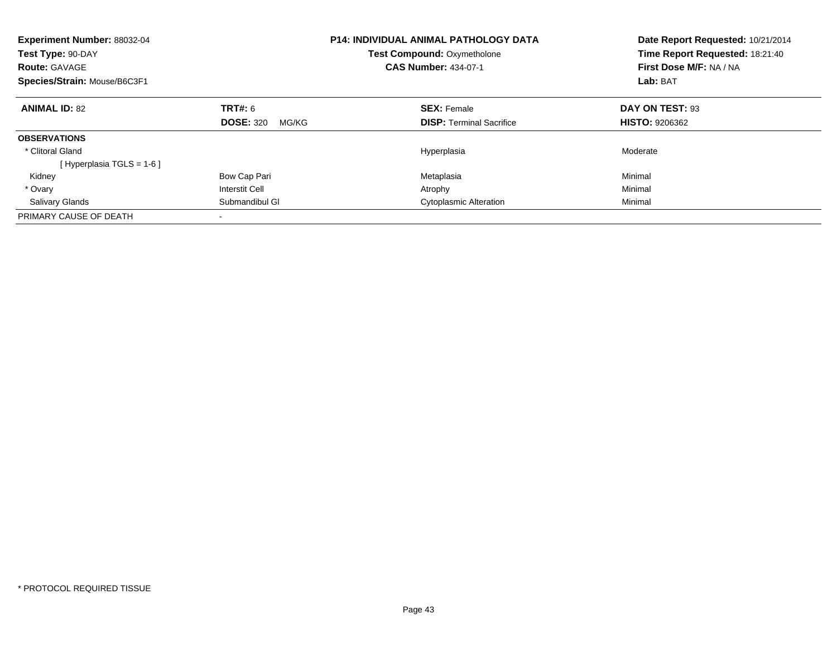| Experiment Number: 88032-04<br>Test Type: 90-DAY<br><b>Route: GAVAGE</b><br>Species/Strain: Mouse/B6C3F1 |                           | <b>P14: INDIVIDUAL ANIMAL PATHOLOGY DATA</b><br>Test Compound: Oxymetholone<br><b>CAS Number: 434-07-1</b> | Date Report Requested: 10/21/2014<br>Time Report Requested: 18:21:40<br>First Dose M/F: NA / NA<br>Lab: BAT |
|----------------------------------------------------------------------------------------------------------|---------------------------|------------------------------------------------------------------------------------------------------------|-------------------------------------------------------------------------------------------------------------|
| <b>ANIMAL ID: 82</b>                                                                                     | TRT#: 6                   | <b>SEX: Female</b>                                                                                         | DAY ON TEST: 93                                                                                             |
|                                                                                                          | <b>DOSE: 320</b><br>MG/KG | <b>DISP:</b> Terminal Sacrifice                                                                            | <b>HISTO: 9206362</b>                                                                                       |
| <b>OBSERVATIONS</b>                                                                                      |                           |                                                                                                            |                                                                                                             |
| * Clitoral Gland                                                                                         |                           | Hyperplasia                                                                                                | Moderate                                                                                                    |
| [Hyperplasia TGLS = $1-6$ ]                                                                              |                           |                                                                                                            |                                                                                                             |
| Kidney                                                                                                   | Bow Cap Pari              | Metaplasia                                                                                                 | Minimal                                                                                                     |
| * Ovary                                                                                                  | <b>Interstit Cell</b>     | Atrophy                                                                                                    | Minimal                                                                                                     |
| <b>Salivary Glands</b>                                                                                   | Submandibul GI            | <b>Cytoplasmic Alteration</b>                                                                              | Minimal                                                                                                     |
| PRIMARY CAUSE OF DEATH                                                                                   |                           |                                                                                                            |                                                                                                             |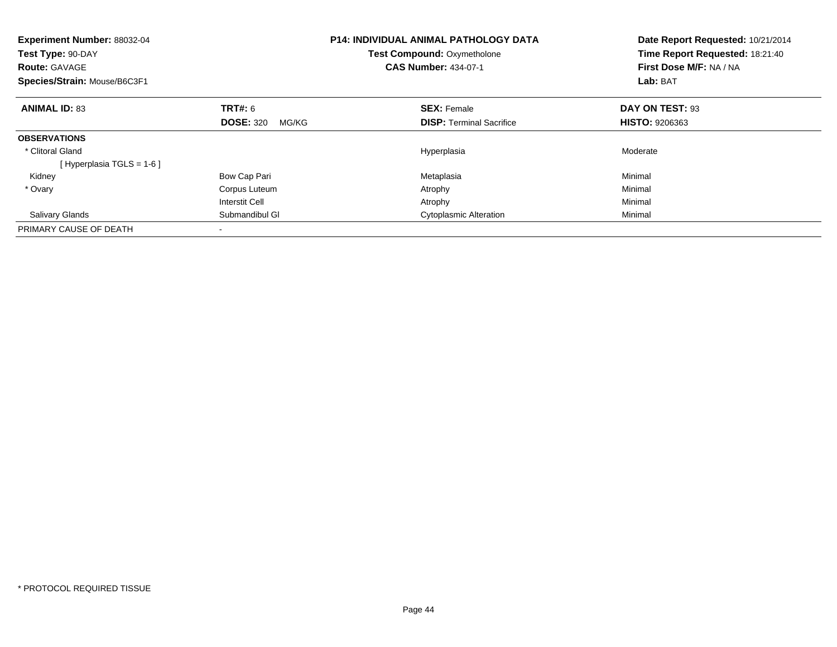| <b>Experiment Number: 88032-04</b><br>Test Type: 90-DAY<br><b>Route: GAVAGE</b><br>Species/Strain: Mouse/B6C3F1 |                           | <b>P14: INDIVIDUAL ANIMAL PATHOLOGY DATA</b><br>Test Compound: Oxymetholone<br><b>CAS Number: 434-07-1</b> | Date Report Requested: 10/21/2014<br>Time Report Requested: 18:21:40<br>First Dose M/F: NA / NA<br>Lab: BAT |
|-----------------------------------------------------------------------------------------------------------------|---------------------------|------------------------------------------------------------------------------------------------------------|-------------------------------------------------------------------------------------------------------------|
| <b>ANIMAL ID: 83</b>                                                                                            | TRT#: 6                   | <b>SEX: Female</b>                                                                                         | DAY ON TEST: 93                                                                                             |
|                                                                                                                 | <b>DOSE: 320</b><br>MG/KG | <b>DISP:</b> Terminal Sacrifice                                                                            | <b>HISTO: 9206363</b>                                                                                       |
| <b>OBSERVATIONS</b>                                                                                             |                           |                                                                                                            |                                                                                                             |
| * Clitoral Gland                                                                                                |                           | Hyperplasia                                                                                                | Moderate                                                                                                    |
| [Hyperplasia TGLS = $1-6$ ]                                                                                     |                           |                                                                                                            |                                                                                                             |
| Kidney                                                                                                          | Bow Cap Pari              | Metaplasia                                                                                                 | Minimal                                                                                                     |
| * Ovary                                                                                                         | Corpus Luteum             | Atrophy                                                                                                    | Minimal                                                                                                     |
|                                                                                                                 | <b>Interstit Cell</b>     | Atrophy                                                                                                    | Minimal                                                                                                     |
| <b>Salivary Glands</b>                                                                                          | Submandibul GI            | <b>Cytoplasmic Alteration</b>                                                                              | Minimal                                                                                                     |
| PRIMARY CAUSE OF DEATH                                                                                          |                           |                                                                                                            |                                                                                                             |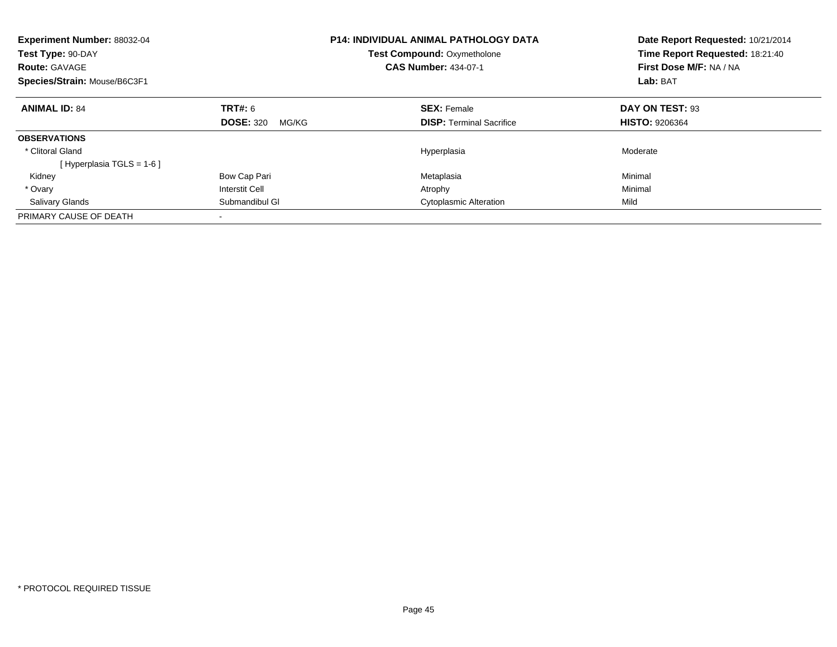| Experiment Number: 88032-04<br>Test Type: 90-DAY<br><b>Route: GAVAGE</b><br>Species/Strain: Mouse/B6C3F1 |                           | <b>P14: INDIVIDUAL ANIMAL PATHOLOGY DATA</b><br><b>Test Compound: Oxymetholone</b><br><b>CAS Number: 434-07-1</b> | Date Report Requested: 10/21/2014<br>Time Report Requested: 18:21:40<br>First Dose M/F: NA / NA<br>Lab: BAT |
|----------------------------------------------------------------------------------------------------------|---------------------------|-------------------------------------------------------------------------------------------------------------------|-------------------------------------------------------------------------------------------------------------|
| <b>ANIMAL ID: 84</b>                                                                                     | <b>TRT#: 6</b>            | <b>SEX: Female</b>                                                                                                | DAY ON TEST: 93                                                                                             |
|                                                                                                          | <b>DOSE: 320</b><br>MG/KG | <b>DISP:</b> Terminal Sacrifice                                                                                   | <b>HISTO: 9206364</b>                                                                                       |
| <b>OBSERVATIONS</b>                                                                                      |                           |                                                                                                                   |                                                                                                             |
| * Clitoral Gland                                                                                         |                           | Hyperplasia                                                                                                       | Moderate                                                                                                    |
| [Hyperplasia TGLS = $1-6$ ]                                                                              |                           |                                                                                                                   |                                                                                                             |
| Kidney                                                                                                   | Bow Cap Pari              | Metaplasia                                                                                                        | Minimal                                                                                                     |
| * Ovary                                                                                                  | <b>Interstit Cell</b>     | Atrophy                                                                                                           | Minimal                                                                                                     |
| <b>Salivary Glands</b>                                                                                   | Submandibul GI            | <b>Cytoplasmic Alteration</b>                                                                                     | Mild                                                                                                        |
| PRIMARY CAUSE OF DEATH                                                                                   |                           |                                                                                                                   |                                                                                                             |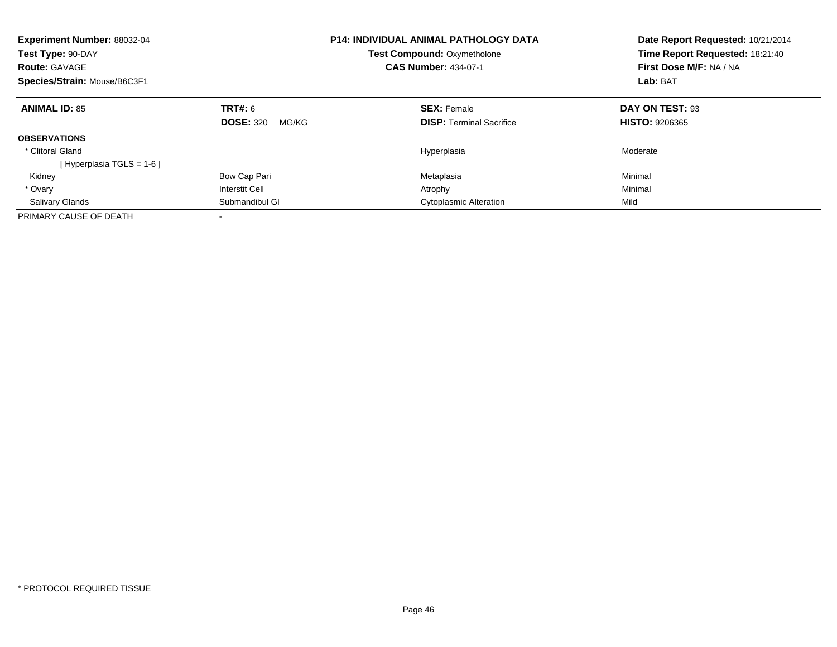| Experiment Number: 88032-04<br>Test Type: 90-DAY<br><b>Route: GAVAGE</b><br>Species/Strain: Mouse/B6C3F1 |                           | <b>P14: INDIVIDUAL ANIMAL PATHOLOGY DATA</b><br>Test Compound: Oxymetholone<br><b>CAS Number: 434-07-1</b> | Date Report Requested: 10/21/2014<br>Time Report Requested: 18:21:40<br>First Dose M/F: NA / NA<br>Lab: BAT |
|----------------------------------------------------------------------------------------------------------|---------------------------|------------------------------------------------------------------------------------------------------------|-------------------------------------------------------------------------------------------------------------|
| <b>ANIMAL ID: 85</b>                                                                                     | TRT#: 6                   | <b>SEX: Female</b>                                                                                         | DAY ON TEST: 93                                                                                             |
|                                                                                                          | <b>DOSE: 320</b><br>MG/KG | <b>DISP:</b> Terminal Sacrifice                                                                            | <b>HISTO: 9206365</b>                                                                                       |
| <b>OBSERVATIONS</b>                                                                                      |                           |                                                                                                            |                                                                                                             |
| * Clitoral Gland                                                                                         |                           | Hyperplasia                                                                                                | Moderate                                                                                                    |
| [Hyperplasia TGLS = $1-6$ ]                                                                              |                           |                                                                                                            |                                                                                                             |
| Kidney                                                                                                   | Bow Cap Pari              | Metaplasia                                                                                                 | Minimal                                                                                                     |
| * Ovary                                                                                                  | <b>Interstit Cell</b>     | Atrophy                                                                                                    | Minimal                                                                                                     |
| <b>Salivary Glands</b>                                                                                   | Submandibul GI            | <b>Cytoplasmic Alteration</b>                                                                              | Mild                                                                                                        |
| PRIMARY CAUSE OF DEATH                                                                                   |                           |                                                                                                            |                                                                                                             |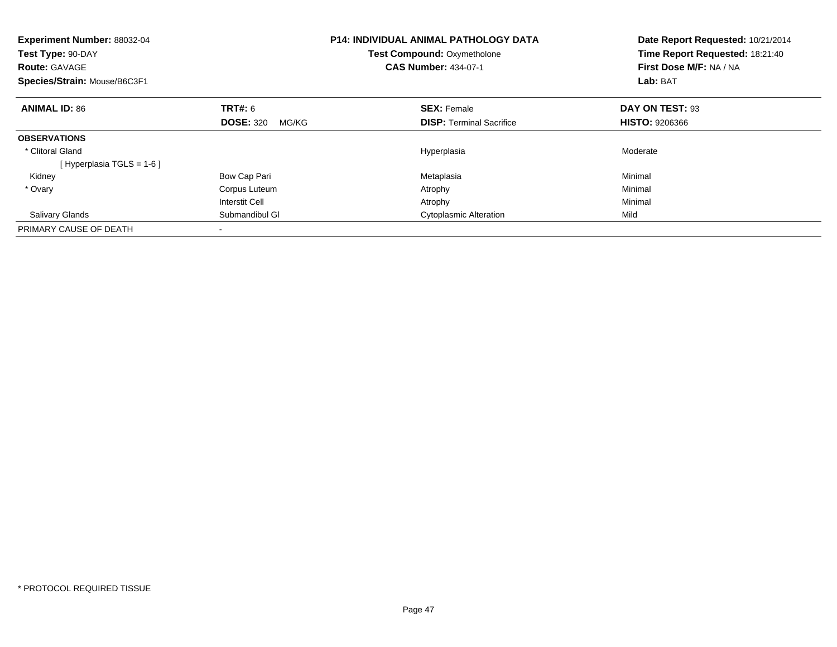| <b>Experiment Number: 88032-04</b><br>Test Type: 90-DAY<br><b>Route: GAVAGE</b><br>Species/Strain: Mouse/B6C3F1 |                           | <b>P14: INDIVIDUAL ANIMAL PATHOLOGY DATA</b><br>Test Compound: Oxymetholone<br><b>CAS Number: 434-07-1</b> | Date Report Requested: 10/21/2014<br>Time Report Requested: 18:21:40<br>First Dose M/F: NA / NA<br>Lab: BAT |
|-----------------------------------------------------------------------------------------------------------------|---------------------------|------------------------------------------------------------------------------------------------------------|-------------------------------------------------------------------------------------------------------------|
| <b>ANIMAL ID: 86</b>                                                                                            | TRT#: 6                   | <b>SEX: Female</b>                                                                                         | DAY ON TEST: 93                                                                                             |
|                                                                                                                 | <b>DOSE: 320</b><br>MG/KG | <b>DISP:</b> Terminal Sacrifice                                                                            | <b>HISTO: 9206366</b>                                                                                       |
| <b>OBSERVATIONS</b>                                                                                             |                           |                                                                                                            |                                                                                                             |
| * Clitoral Gland                                                                                                |                           | Hyperplasia                                                                                                | Moderate                                                                                                    |
| [Hyperplasia TGLS = $1-6$ ]                                                                                     |                           |                                                                                                            |                                                                                                             |
| Kidney                                                                                                          | Bow Cap Pari              | Metaplasia                                                                                                 | Minimal                                                                                                     |
| * Ovary                                                                                                         | Corpus Luteum             | Atrophy                                                                                                    | Minimal                                                                                                     |
|                                                                                                                 | <b>Interstit Cell</b>     | Atrophy                                                                                                    | Minimal                                                                                                     |
| <b>Salivary Glands</b>                                                                                          | Submandibul GI            | <b>Cytoplasmic Alteration</b>                                                                              | Mild                                                                                                        |
| PRIMARY CAUSE OF DEATH                                                                                          |                           |                                                                                                            |                                                                                                             |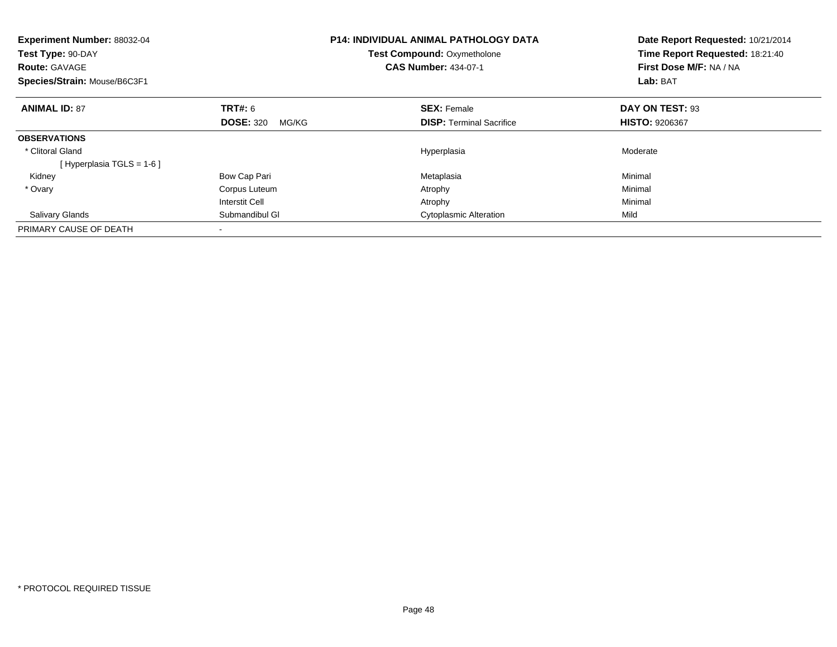| <b>Experiment Number: 88032-04</b><br>Test Type: 90-DAY<br><b>Route: GAVAGE</b><br>Species/Strain: Mouse/B6C3F1 |                           | <b>P14: INDIVIDUAL ANIMAL PATHOLOGY DATA</b><br>Test Compound: Oxymetholone<br><b>CAS Number: 434-07-1</b> | Date Report Requested: 10/21/2014<br>Time Report Requested: 18:21:40<br>First Dose M/F: NA / NA<br>Lab: BAT |
|-----------------------------------------------------------------------------------------------------------------|---------------------------|------------------------------------------------------------------------------------------------------------|-------------------------------------------------------------------------------------------------------------|
| <b>ANIMAL ID: 87</b>                                                                                            | TRT#: 6                   | <b>SEX: Female</b>                                                                                         | DAY ON TEST: 93                                                                                             |
|                                                                                                                 | <b>DOSE: 320</b><br>MG/KG | <b>DISP:</b> Terminal Sacrifice                                                                            | <b>HISTO: 9206367</b>                                                                                       |
| <b>OBSERVATIONS</b>                                                                                             |                           |                                                                                                            |                                                                                                             |
| * Clitoral Gland                                                                                                |                           | Hyperplasia                                                                                                | Moderate                                                                                                    |
| [Hyperplasia TGLS = $1-6$ ]                                                                                     |                           |                                                                                                            |                                                                                                             |
| Kidney                                                                                                          | Bow Cap Pari              | Metaplasia                                                                                                 | Minimal                                                                                                     |
| * Ovary                                                                                                         | Corpus Luteum             | Atrophy                                                                                                    | Minimal                                                                                                     |
|                                                                                                                 | <b>Interstit Cell</b>     | Atrophy                                                                                                    | Minimal                                                                                                     |
| <b>Salivary Glands</b>                                                                                          | Submandibul GI            | <b>Cytoplasmic Alteration</b>                                                                              | Mild                                                                                                        |
| PRIMARY CAUSE OF DEATH                                                                                          |                           |                                                                                                            |                                                                                                             |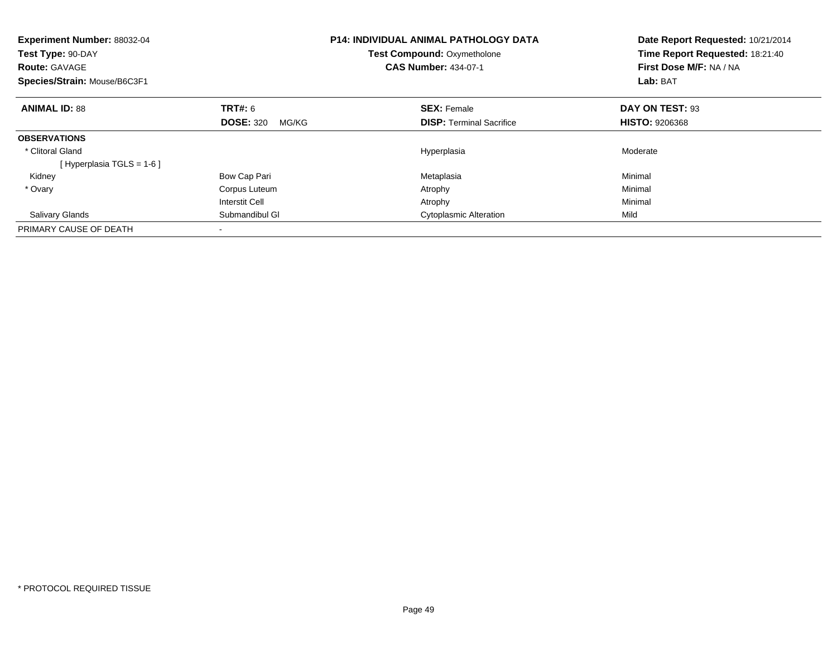| <b>Experiment Number: 88032-04</b><br>Test Type: 90-DAY<br><b>Route: GAVAGE</b><br>Species/Strain: Mouse/B6C3F1 |                           | <b>P14: INDIVIDUAL ANIMAL PATHOLOGY DATA</b><br>Test Compound: Oxymetholone<br><b>CAS Number: 434-07-1</b> | Date Report Requested: 10/21/2014<br>Time Report Requested: 18:21:40<br>First Dose M/F: NA / NA<br>Lab: BAT |
|-----------------------------------------------------------------------------------------------------------------|---------------------------|------------------------------------------------------------------------------------------------------------|-------------------------------------------------------------------------------------------------------------|
| <b>ANIMAL ID: 88</b>                                                                                            | TRT#: 6                   | <b>SEX: Female</b>                                                                                         | DAY ON TEST: 93                                                                                             |
|                                                                                                                 | <b>DOSE: 320</b><br>MG/KG | <b>DISP:</b> Terminal Sacrifice                                                                            | <b>HISTO: 9206368</b>                                                                                       |
| <b>OBSERVATIONS</b>                                                                                             |                           |                                                                                                            |                                                                                                             |
| * Clitoral Gland                                                                                                |                           | Hyperplasia                                                                                                | Moderate                                                                                                    |
| [Hyperplasia TGLS = $1-6$ ]                                                                                     |                           |                                                                                                            |                                                                                                             |
| Kidney                                                                                                          | Bow Cap Pari              | Metaplasia                                                                                                 | Minimal                                                                                                     |
| * Ovary                                                                                                         | Corpus Luteum             | Atrophy                                                                                                    | Minimal                                                                                                     |
|                                                                                                                 | <b>Interstit Cell</b>     | Atrophy                                                                                                    | Minimal                                                                                                     |
| <b>Salivary Glands</b>                                                                                          | Submandibul GI            | <b>Cytoplasmic Alteration</b>                                                                              | Mild                                                                                                        |
| PRIMARY CAUSE OF DEATH                                                                                          |                           |                                                                                                            |                                                                                                             |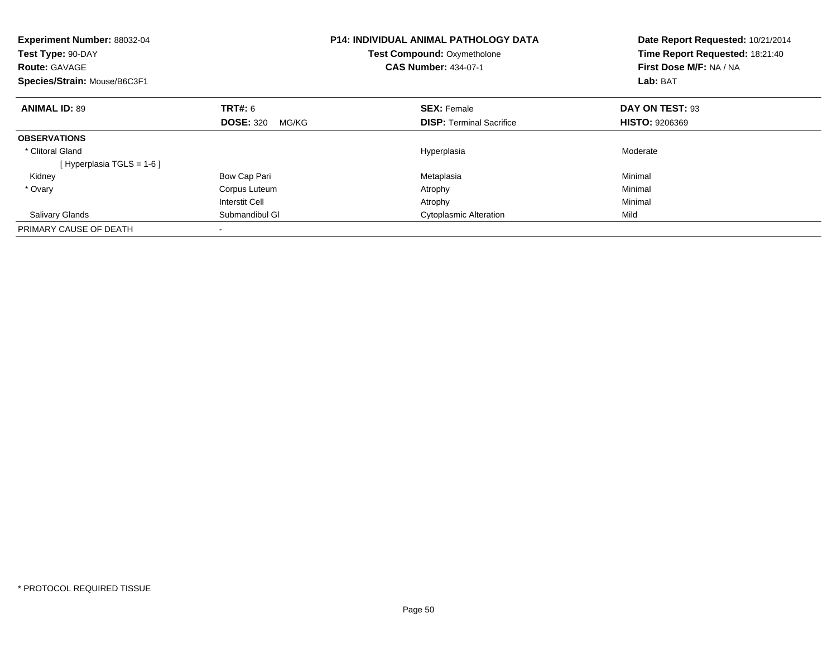| <b>Experiment Number: 88032-04</b><br>Test Type: 90-DAY<br><b>Route: GAVAGE</b><br>Species/Strain: Mouse/B6C3F1 |                           | <b>P14: INDIVIDUAL ANIMAL PATHOLOGY DATA</b><br>Test Compound: Oxymetholone<br><b>CAS Number: 434-07-1</b> | Date Report Requested: 10/21/2014<br>Time Report Requested: 18:21:40<br>First Dose M/F: NA / NA<br>Lab: BAT |
|-----------------------------------------------------------------------------------------------------------------|---------------------------|------------------------------------------------------------------------------------------------------------|-------------------------------------------------------------------------------------------------------------|
| <b>ANIMAL ID: 89</b>                                                                                            | TRT#: 6                   | <b>SEX: Female</b>                                                                                         | DAY ON TEST: 93                                                                                             |
|                                                                                                                 | <b>DOSE: 320</b><br>MG/KG | <b>DISP:</b> Terminal Sacrifice                                                                            | <b>HISTO: 9206369</b>                                                                                       |
| <b>OBSERVATIONS</b>                                                                                             |                           |                                                                                                            |                                                                                                             |
| * Clitoral Gland                                                                                                |                           | Hyperplasia                                                                                                | Moderate                                                                                                    |
| [Hyperplasia TGLS = $1-6$ ]                                                                                     |                           |                                                                                                            |                                                                                                             |
| Kidney                                                                                                          | Bow Cap Pari              | Metaplasia                                                                                                 | Minimal                                                                                                     |
| * Ovary                                                                                                         | Corpus Luteum             | Atrophy                                                                                                    | Minimal                                                                                                     |
|                                                                                                                 | <b>Interstit Cell</b>     | Atrophy                                                                                                    | Minimal                                                                                                     |
| <b>Salivary Glands</b>                                                                                          | Submandibul GI            | <b>Cytoplasmic Alteration</b>                                                                              | Mild                                                                                                        |
| PRIMARY CAUSE OF DEATH                                                                                          |                           |                                                                                                            |                                                                                                             |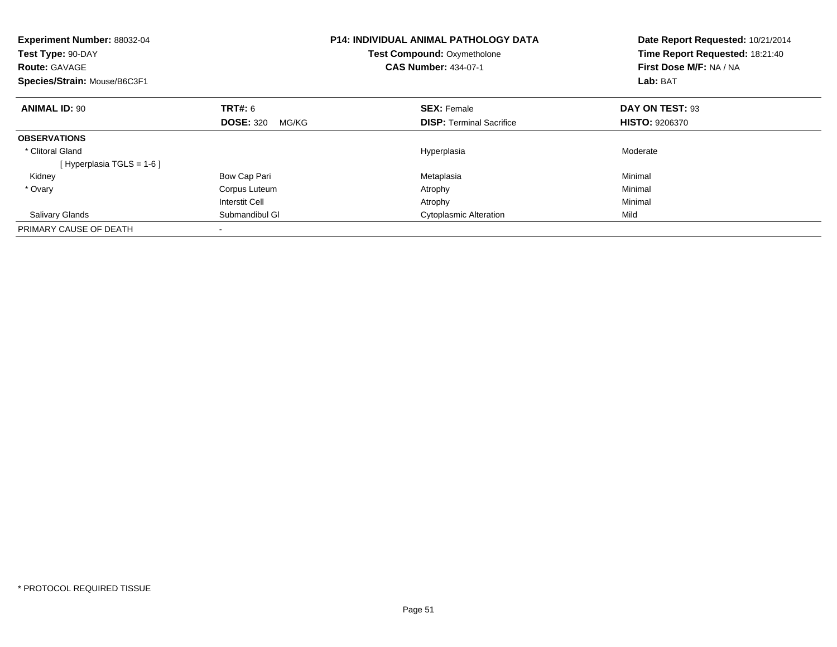| <b>Experiment Number: 88032-04</b><br>Test Type: 90-DAY<br><b>Route: GAVAGE</b><br>Species/Strain: Mouse/B6C3F1 |                           | <b>P14: INDIVIDUAL ANIMAL PATHOLOGY DATA</b><br>Test Compound: Oxymetholone<br><b>CAS Number: 434-07-1</b> | Date Report Requested: 10/21/2014<br>Time Report Requested: 18:21:40<br>First Dose M/F: NA / NA<br>Lab: BAT |
|-----------------------------------------------------------------------------------------------------------------|---------------------------|------------------------------------------------------------------------------------------------------------|-------------------------------------------------------------------------------------------------------------|
| <b>ANIMAL ID: 90</b>                                                                                            | TRT#: 6                   | <b>SEX: Female</b>                                                                                         | DAY ON TEST: 93                                                                                             |
|                                                                                                                 | <b>DOSE: 320</b><br>MG/KG | <b>DISP:</b> Terminal Sacrifice                                                                            | <b>HISTO: 9206370</b>                                                                                       |
| <b>OBSERVATIONS</b>                                                                                             |                           |                                                                                                            |                                                                                                             |
| * Clitoral Gland                                                                                                |                           | Hyperplasia                                                                                                | Moderate                                                                                                    |
| [Hyperplasia TGLS = $1-6$ ]                                                                                     |                           |                                                                                                            |                                                                                                             |
| Kidney                                                                                                          | Bow Cap Pari              | Metaplasia                                                                                                 | Minimal                                                                                                     |
| * Ovary                                                                                                         | Corpus Luteum             | Atrophy                                                                                                    | Minimal                                                                                                     |
|                                                                                                                 | <b>Interstit Cell</b>     | Atrophy                                                                                                    | Minimal                                                                                                     |
| <b>Salivary Glands</b>                                                                                          | Submandibul GI            | <b>Cytoplasmic Alteration</b>                                                                              | Mild                                                                                                        |
| PRIMARY CAUSE OF DEATH                                                                                          |                           |                                                                                                            |                                                                                                             |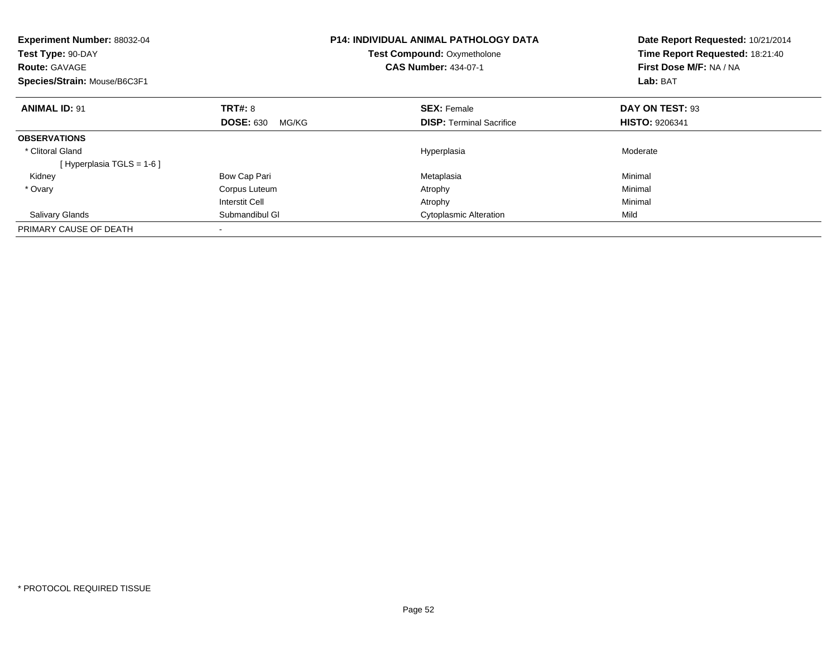| <b>Experiment Number: 88032-04</b><br>Test Type: 90-DAY<br><b>Route: GAVAGE</b><br>Species/Strain: Mouse/B6C3F1 |                           | <b>P14: INDIVIDUAL ANIMAL PATHOLOGY DATA</b><br>Test Compound: Oxymetholone<br><b>CAS Number: 434-07-1</b> | Date Report Requested: 10/21/2014<br>Time Report Requested: 18:21:40<br>First Dose M/F: NA / NA<br>Lab: BAT |
|-----------------------------------------------------------------------------------------------------------------|---------------------------|------------------------------------------------------------------------------------------------------------|-------------------------------------------------------------------------------------------------------------|
| <b>ANIMAL ID: 91</b>                                                                                            | TRT#: 8                   | <b>SEX: Female</b>                                                                                         | DAY ON TEST: 93                                                                                             |
|                                                                                                                 | <b>DOSE: 630</b><br>MG/KG | <b>DISP:</b> Terminal Sacrifice                                                                            | <b>HISTO: 9206341</b>                                                                                       |
| <b>OBSERVATIONS</b>                                                                                             |                           |                                                                                                            |                                                                                                             |
| * Clitoral Gland                                                                                                |                           | Hyperplasia                                                                                                | Moderate                                                                                                    |
| [Hyperplasia TGLS = $1-6$ ]                                                                                     |                           |                                                                                                            |                                                                                                             |
| Kidney                                                                                                          | Bow Cap Pari              | Metaplasia                                                                                                 | Minimal                                                                                                     |
| * Ovary                                                                                                         | Corpus Luteum             | Atrophy                                                                                                    | Minimal                                                                                                     |
|                                                                                                                 | <b>Interstit Cell</b>     | Atrophy                                                                                                    | Minimal                                                                                                     |
| <b>Salivary Glands</b>                                                                                          | Submandibul GI            | <b>Cytoplasmic Alteration</b>                                                                              | Mild                                                                                                        |
| PRIMARY CAUSE OF DEATH                                                                                          |                           |                                                                                                            |                                                                                                             |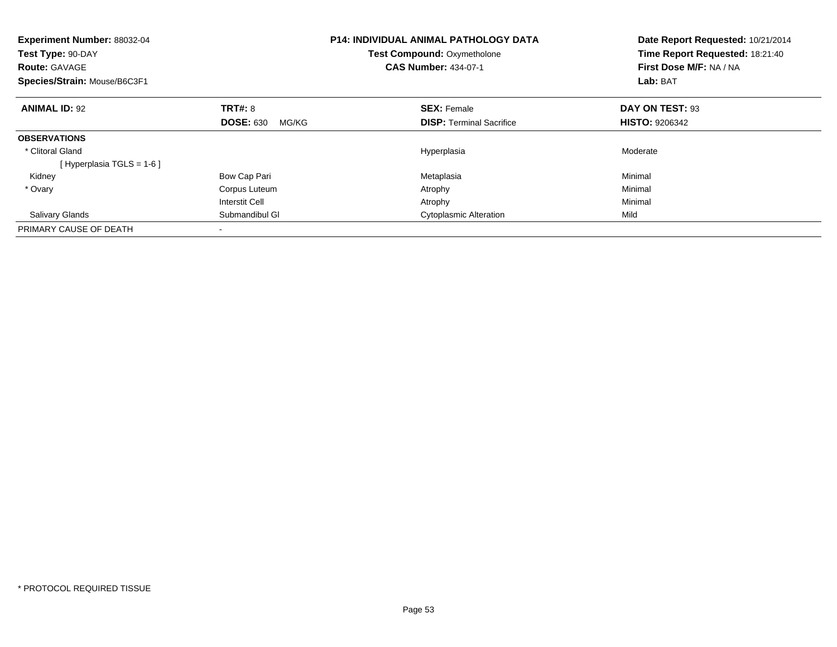| <b>Experiment Number: 88032-04</b><br>Test Type: 90-DAY<br><b>Route: GAVAGE</b><br>Species/Strain: Mouse/B6C3F1 |                           | <b>P14: INDIVIDUAL ANIMAL PATHOLOGY DATA</b><br>Test Compound: Oxymetholone<br><b>CAS Number: 434-07-1</b> | Date Report Requested: 10/21/2014<br>Time Report Requested: 18:21:40<br>First Dose M/F: NA / NA<br>Lab: BAT |
|-----------------------------------------------------------------------------------------------------------------|---------------------------|------------------------------------------------------------------------------------------------------------|-------------------------------------------------------------------------------------------------------------|
| <b>ANIMAL ID: 92</b>                                                                                            | TRT#: 8                   | <b>SEX: Female</b>                                                                                         | DAY ON TEST: 93                                                                                             |
|                                                                                                                 | <b>DOSE: 630</b><br>MG/KG | <b>DISP:</b> Terminal Sacrifice                                                                            | <b>HISTO: 9206342</b>                                                                                       |
| <b>OBSERVATIONS</b>                                                                                             |                           |                                                                                                            |                                                                                                             |
| * Clitoral Gland                                                                                                |                           | Hyperplasia                                                                                                | Moderate                                                                                                    |
| [Hyperplasia TGLS = $1-6$ ]                                                                                     |                           |                                                                                                            |                                                                                                             |
| Kidney                                                                                                          | Bow Cap Pari              | Metaplasia                                                                                                 | Minimal                                                                                                     |
| * Ovary                                                                                                         | Corpus Luteum             | Atrophy                                                                                                    | Minimal                                                                                                     |
|                                                                                                                 | <b>Interstit Cell</b>     | Atrophy                                                                                                    | Minimal                                                                                                     |
| <b>Salivary Glands</b>                                                                                          | Submandibul GI            | <b>Cytoplasmic Alteration</b>                                                                              | Mild                                                                                                        |
| PRIMARY CAUSE OF DEATH                                                                                          |                           |                                                                                                            |                                                                                                             |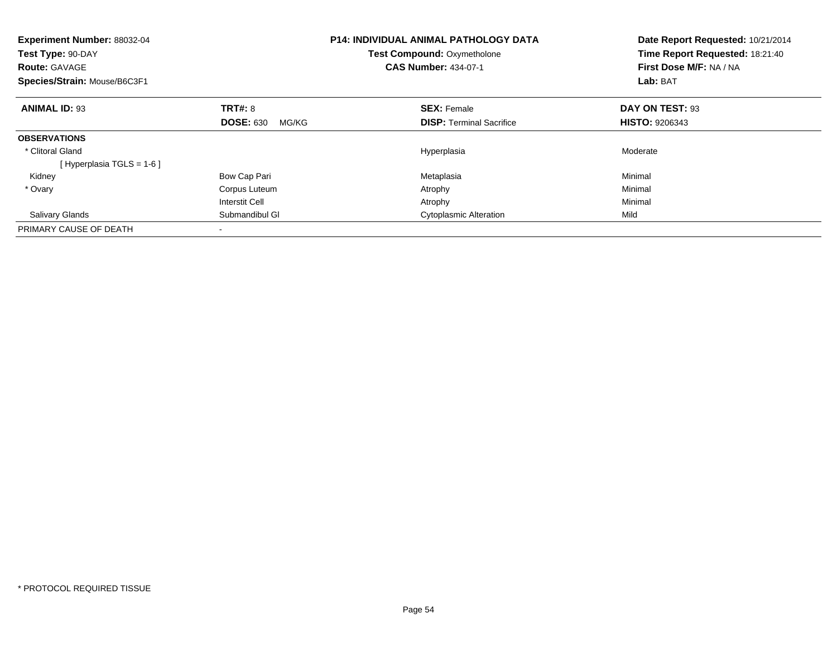| <b>Experiment Number: 88032-04</b><br>Test Type: 90-DAY<br><b>Route: GAVAGE</b><br>Species/Strain: Mouse/B6C3F1 |                           | <b>P14: INDIVIDUAL ANIMAL PATHOLOGY DATA</b><br>Test Compound: Oxymetholone<br><b>CAS Number: 434-07-1</b> | Date Report Requested: 10/21/2014<br>Time Report Requested: 18:21:40<br>First Dose M/F: NA / NA<br>Lab: BAT |
|-----------------------------------------------------------------------------------------------------------------|---------------------------|------------------------------------------------------------------------------------------------------------|-------------------------------------------------------------------------------------------------------------|
| <b>ANIMAL ID: 93</b>                                                                                            | TRT#: 8                   | <b>SEX: Female</b>                                                                                         | DAY ON TEST: 93                                                                                             |
|                                                                                                                 | <b>DOSE: 630</b><br>MG/KG | <b>DISP:</b> Terminal Sacrifice                                                                            | <b>HISTO: 9206343</b>                                                                                       |
| <b>OBSERVATIONS</b>                                                                                             |                           |                                                                                                            |                                                                                                             |
| * Clitoral Gland                                                                                                |                           | Hyperplasia                                                                                                | Moderate                                                                                                    |
| [Hyperplasia TGLS = $1-6$ ]                                                                                     |                           |                                                                                                            |                                                                                                             |
| Kidney                                                                                                          | Bow Cap Pari              | Metaplasia                                                                                                 | Minimal                                                                                                     |
| * Ovary                                                                                                         | Corpus Luteum             | Atrophy                                                                                                    | Minimal                                                                                                     |
|                                                                                                                 | <b>Interstit Cell</b>     | Atrophy                                                                                                    | Minimal                                                                                                     |
| <b>Salivary Glands</b>                                                                                          | Submandibul GI            | <b>Cytoplasmic Alteration</b>                                                                              | Mild                                                                                                        |
| PRIMARY CAUSE OF DEATH                                                                                          |                           |                                                                                                            |                                                                                                             |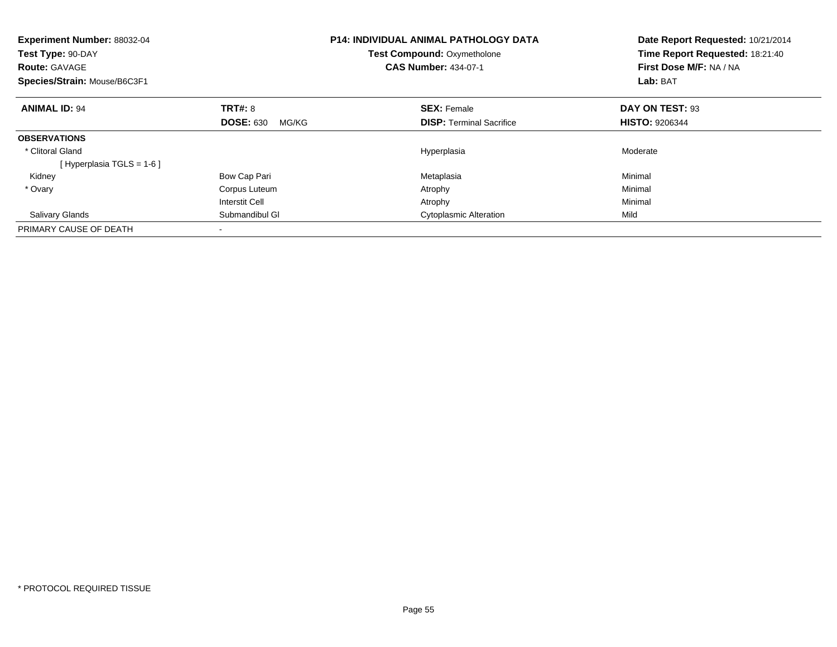| <b>Experiment Number: 88032-04</b><br>Test Type: 90-DAY<br><b>Route: GAVAGE</b><br>Species/Strain: Mouse/B6C3F1 |                           | <b>P14: INDIVIDUAL ANIMAL PATHOLOGY DATA</b><br>Test Compound: Oxymetholone<br><b>CAS Number: 434-07-1</b> | Date Report Requested: 10/21/2014<br>Time Report Requested: 18:21:40<br>First Dose M/F: NA / NA<br>Lab: BAT |
|-----------------------------------------------------------------------------------------------------------------|---------------------------|------------------------------------------------------------------------------------------------------------|-------------------------------------------------------------------------------------------------------------|
| <b>ANIMAL ID: 94</b>                                                                                            | TRT#: 8                   | <b>SEX: Female</b>                                                                                         | DAY ON TEST: 93                                                                                             |
|                                                                                                                 | <b>DOSE: 630</b><br>MG/KG | <b>DISP:</b> Terminal Sacrifice                                                                            | <b>HISTO: 9206344</b>                                                                                       |
| <b>OBSERVATIONS</b>                                                                                             |                           |                                                                                                            |                                                                                                             |
| * Clitoral Gland                                                                                                |                           | Hyperplasia                                                                                                | Moderate                                                                                                    |
| [Hyperplasia TGLS = $1-6$ ]                                                                                     |                           |                                                                                                            |                                                                                                             |
| Kidney                                                                                                          | Bow Cap Pari              | Metaplasia                                                                                                 | Minimal                                                                                                     |
| * Ovary                                                                                                         | Corpus Luteum             | Atrophy                                                                                                    | Minimal                                                                                                     |
|                                                                                                                 | <b>Interstit Cell</b>     | Atrophy                                                                                                    | Minimal                                                                                                     |
| <b>Salivary Glands</b>                                                                                          | Submandibul GI            | <b>Cytoplasmic Alteration</b>                                                                              | Mild                                                                                                        |
| PRIMARY CAUSE OF DEATH                                                                                          |                           |                                                                                                            |                                                                                                             |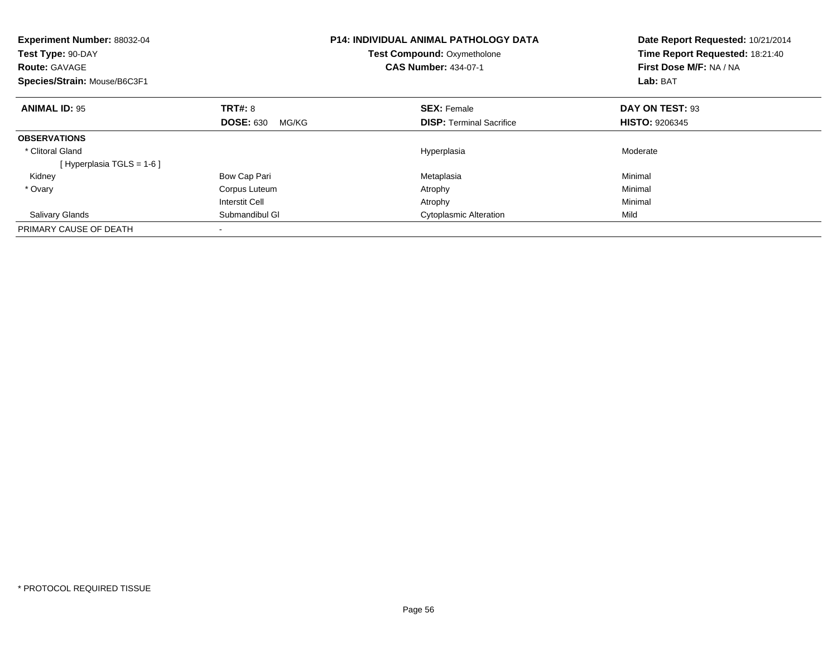| <b>Experiment Number: 88032-04</b><br>Test Type: 90-DAY<br><b>Route: GAVAGE</b><br>Species/Strain: Mouse/B6C3F1 |                           | <b>P14: INDIVIDUAL ANIMAL PATHOLOGY DATA</b><br>Test Compound: Oxymetholone<br><b>CAS Number: 434-07-1</b> | Date Report Requested: 10/21/2014<br>Time Report Requested: 18:21:40<br>First Dose M/F: NA / NA<br>Lab: BAT |
|-----------------------------------------------------------------------------------------------------------------|---------------------------|------------------------------------------------------------------------------------------------------------|-------------------------------------------------------------------------------------------------------------|
| <b>ANIMAL ID: 95</b>                                                                                            | TRT#: 8                   | <b>SEX: Female</b>                                                                                         | DAY ON TEST: 93                                                                                             |
|                                                                                                                 | <b>DOSE: 630</b><br>MG/KG | <b>DISP:</b> Terminal Sacrifice                                                                            | <b>HISTO: 9206345</b>                                                                                       |
| <b>OBSERVATIONS</b>                                                                                             |                           |                                                                                                            |                                                                                                             |
| * Clitoral Gland                                                                                                |                           | Hyperplasia                                                                                                | Moderate                                                                                                    |
| [Hyperplasia TGLS = $1-6$ ]                                                                                     |                           |                                                                                                            |                                                                                                             |
| Kidney                                                                                                          | Bow Cap Pari              | Metaplasia                                                                                                 | Minimal                                                                                                     |
| * Ovary                                                                                                         | Corpus Luteum             | Atrophy                                                                                                    | Minimal                                                                                                     |
|                                                                                                                 | <b>Interstit Cell</b>     | Atrophy                                                                                                    | Minimal                                                                                                     |
| <b>Salivary Glands</b>                                                                                          | Submandibul GI            | <b>Cytoplasmic Alteration</b>                                                                              | Mild                                                                                                        |
| PRIMARY CAUSE OF DEATH                                                                                          |                           |                                                                                                            |                                                                                                             |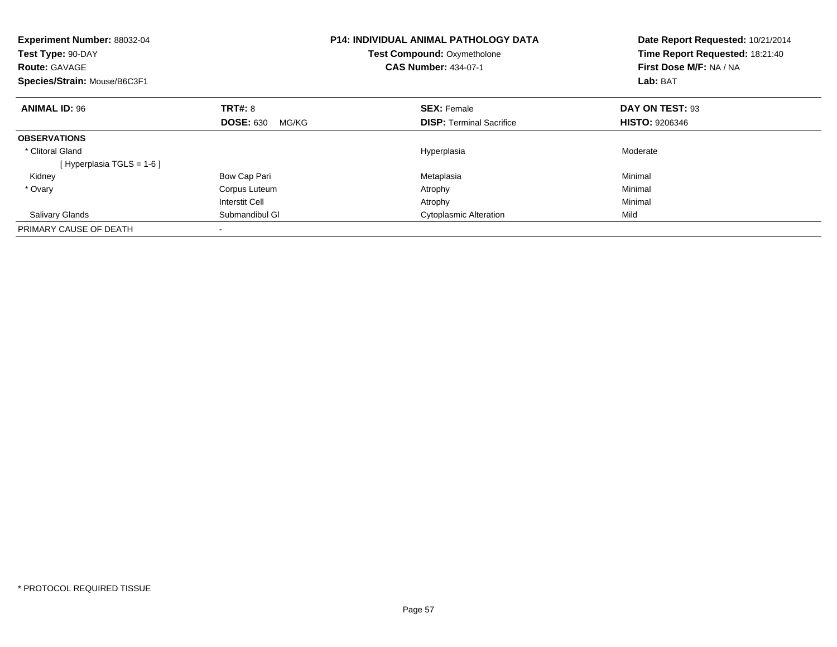| <b>Experiment Number: 88032-04</b><br>Test Type: 90-DAY<br><b>Route: GAVAGE</b><br>Species/Strain: Mouse/B6C3F1 |                           | <b>P14: INDIVIDUAL ANIMAL PATHOLOGY DATA</b><br>Test Compound: Oxymetholone<br><b>CAS Number: 434-07-1</b> | Date Report Requested: 10/21/2014<br>Time Report Requested: 18:21:40<br>First Dose M/F: NA / NA<br>Lab: BAT |
|-----------------------------------------------------------------------------------------------------------------|---------------------------|------------------------------------------------------------------------------------------------------------|-------------------------------------------------------------------------------------------------------------|
| <b>ANIMAL ID: 96</b>                                                                                            | TRT#: 8                   | <b>SEX: Female</b>                                                                                         | DAY ON TEST: 93                                                                                             |
|                                                                                                                 | <b>DOSE: 630</b><br>MG/KG | <b>DISP:</b> Terminal Sacrifice                                                                            | <b>HISTO: 9206346</b>                                                                                       |
| <b>OBSERVATIONS</b>                                                                                             |                           |                                                                                                            |                                                                                                             |
| * Clitoral Gland                                                                                                |                           | Hyperplasia                                                                                                | Moderate                                                                                                    |
| [Hyperplasia TGLS = $1-6$ ]                                                                                     |                           |                                                                                                            |                                                                                                             |
| Kidney                                                                                                          | Bow Cap Pari              | Metaplasia                                                                                                 | Minimal                                                                                                     |
| * Ovary                                                                                                         | Corpus Luteum             | Atrophy                                                                                                    | Minimal                                                                                                     |
|                                                                                                                 | <b>Interstit Cell</b>     | Atrophy                                                                                                    | Minimal                                                                                                     |
| <b>Salivary Glands</b>                                                                                          | Submandibul GI            | <b>Cytoplasmic Alteration</b>                                                                              | Mild                                                                                                        |
| PRIMARY CAUSE OF DEATH                                                                                          |                           |                                                                                                            |                                                                                                             |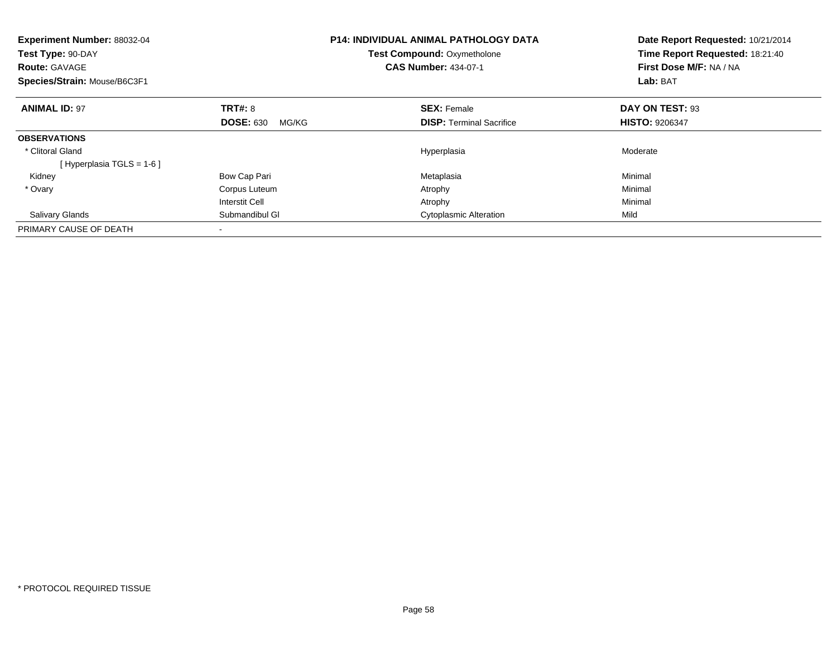| <b>Experiment Number: 88032-04</b><br>Test Type: 90-DAY<br><b>Route: GAVAGE</b><br>Species/Strain: Mouse/B6C3F1 |                           | <b>P14: INDIVIDUAL ANIMAL PATHOLOGY DATA</b><br>Test Compound: Oxymetholone<br><b>CAS Number: 434-07-1</b> | Date Report Requested: 10/21/2014<br>Time Report Requested: 18:21:40<br>First Dose M/F: NA / NA<br>Lab: BAT |
|-----------------------------------------------------------------------------------------------------------------|---------------------------|------------------------------------------------------------------------------------------------------------|-------------------------------------------------------------------------------------------------------------|
| <b>ANIMAL ID: 97</b>                                                                                            | TRT#: 8                   | <b>SEX: Female</b>                                                                                         | DAY ON TEST: 93                                                                                             |
|                                                                                                                 | <b>DOSE: 630</b><br>MG/KG | <b>DISP:</b> Terminal Sacrifice                                                                            | <b>HISTO: 9206347</b>                                                                                       |
| <b>OBSERVATIONS</b>                                                                                             |                           |                                                                                                            |                                                                                                             |
| * Clitoral Gland                                                                                                |                           | Hyperplasia                                                                                                | Moderate                                                                                                    |
| [Hyperplasia TGLS = $1-6$ ]                                                                                     |                           |                                                                                                            |                                                                                                             |
| Kidney                                                                                                          | Bow Cap Pari              | Metaplasia                                                                                                 | Minimal                                                                                                     |
| * Ovary                                                                                                         | Corpus Luteum             | Atrophy                                                                                                    | Minimal                                                                                                     |
|                                                                                                                 | <b>Interstit Cell</b>     | Atrophy                                                                                                    | Minimal                                                                                                     |
| <b>Salivary Glands</b>                                                                                          | Submandibul GI            | <b>Cytoplasmic Alteration</b>                                                                              | Mild                                                                                                        |
| PRIMARY CAUSE OF DEATH                                                                                          |                           |                                                                                                            |                                                                                                             |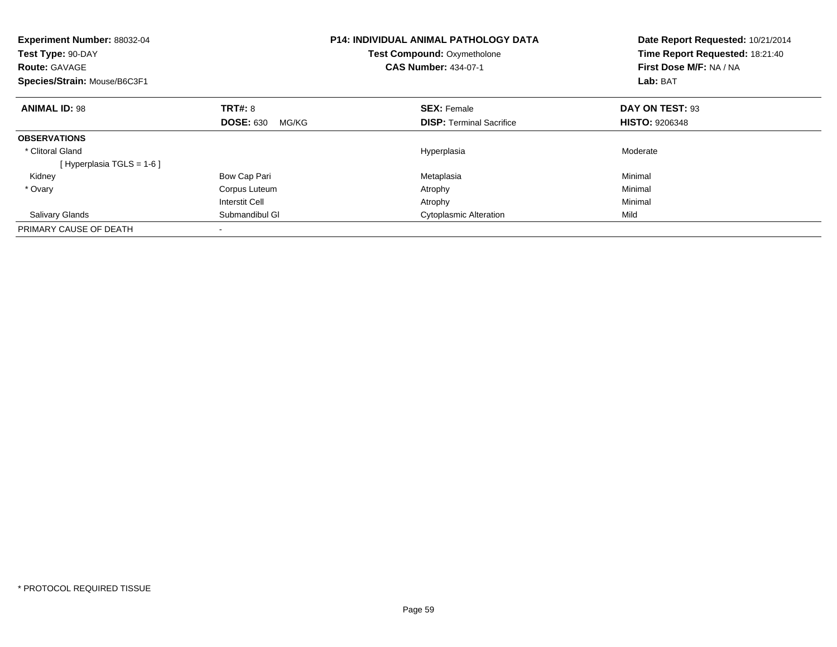| <b>Experiment Number: 88032-04</b><br>Test Type: 90-DAY<br><b>Route: GAVAGE</b><br>Species/Strain: Mouse/B6C3F1 |                           | <b>P14: INDIVIDUAL ANIMAL PATHOLOGY DATA</b><br>Test Compound: Oxymetholone<br><b>CAS Number: 434-07-1</b> | Date Report Requested: 10/21/2014<br>Time Report Requested: 18:21:40<br>First Dose M/F: NA / NA<br>Lab: BAT |
|-----------------------------------------------------------------------------------------------------------------|---------------------------|------------------------------------------------------------------------------------------------------------|-------------------------------------------------------------------------------------------------------------|
| <b>ANIMAL ID: 98</b>                                                                                            | TRT#: 8                   | <b>SEX: Female</b>                                                                                         | DAY ON TEST: 93                                                                                             |
|                                                                                                                 | <b>DOSE: 630</b><br>MG/KG | <b>DISP:</b> Terminal Sacrifice                                                                            | <b>HISTO: 9206348</b>                                                                                       |
| <b>OBSERVATIONS</b>                                                                                             |                           |                                                                                                            |                                                                                                             |
| * Clitoral Gland                                                                                                |                           | Hyperplasia                                                                                                | Moderate                                                                                                    |
| [Hyperplasia TGLS = $1-6$ ]                                                                                     |                           |                                                                                                            |                                                                                                             |
| Kidney                                                                                                          | Bow Cap Pari              | Metaplasia                                                                                                 | Minimal                                                                                                     |
| * Ovary                                                                                                         | Corpus Luteum             | Atrophy                                                                                                    | Minimal                                                                                                     |
|                                                                                                                 | <b>Interstit Cell</b>     | Atrophy                                                                                                    | Minimal                                                                                                     |
| <b>Salivary Glands</b>                                                                                          | Submandibul GI            | <b>Cytoplasmic Alteration</b>                                                                              | Mild                                                                                                        |
| PRIMARY CAUSE OF DEATH                                                                                          |                           |                                                                                                            |                                                                                                             |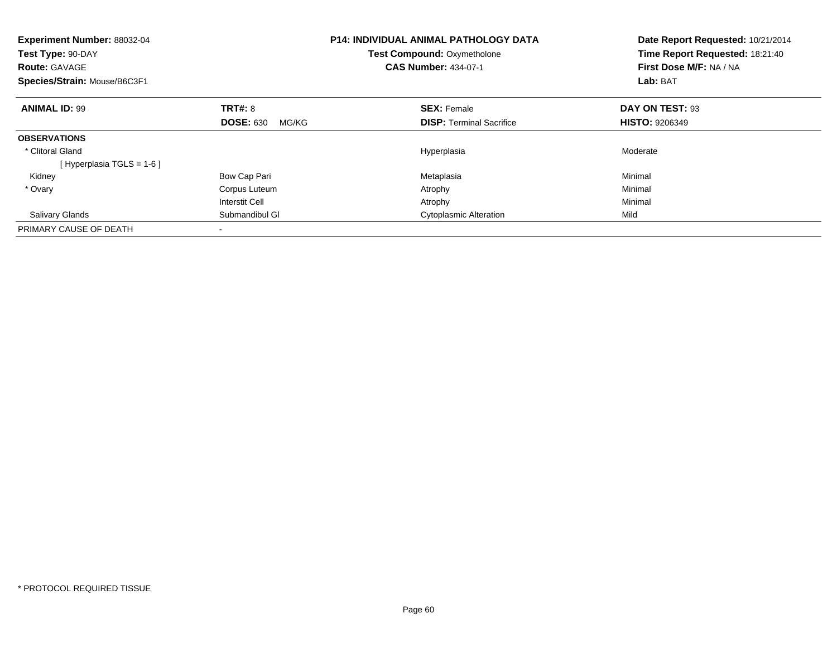| <b>Experiment Number: 88032-04</b><br>Test Type: 90-DAY<br><b>Route: GAVAGE</b><br>Species/Strain: Mouse/B6C3F1 |                           | <b>P14: INDIVIDUAL ANIMAL PATHOLOGY DATA</b><br>Test Compound: Oxymetholone<br><b>CAS Number: 434-07-1</b> | Date Report Requested: 10/21/2014<br>Time Report Requested: 18:21:40<br>First Dose M/F: NA / NA<br>Lab: BAT |
|-----------------------------------------------------------------------------------------------------------------|---------------------------|------------------------------------------------------------------------------------------------------------|-------------------------------------------------------------------------------------------------------------|
| <b>ANIMAL ID: 99</b>                                                                                            | TRT#: 8                   | <b>SEX: Female</b>                                                                                         | DAY ON TEST: 93                                                                                             |
|                                                                                                                 | <b>DOSE: 630</b><br>MG/KG | <b>DISP:</b> Terminal Sacrifice                                                                            | <b>HISTO: 9206349</b>                                                                                       |
| <b>OBSERVATIONS</b>                                                                                             |                           |                                                                                                            |                                                                                                             |
| * Clitoral Gland                                                                                                |                           | Hyperplasia                                                                                                | Moderate                                                                                                    |
| [Hyperplasia TGLS = $1-6$ ]                                                                                     |                           |                                                                                                            |                                                                                                             |
| Kidney                                                                                                          | Bow Cap Pari              | Metaplasia                                                                                                 | Minimal                                                                                                     |
| * Ovary                                                                                                         | Corpus Luteum             | Atrophy                                                                                                    | Minimal                                                                                                     |
|                                                                                                                 | <b>Interstit Cell</b>     | Atrophy                                                                                                    | Minimal                                                                                                     |
| <b>Salivary Glands</b>                                                                                          | Submandibul GI            | <b>Cytoplasmic Alteration</b>                                                                              | Mild                                                                                                        |
| PRIMARY CAUSE OF DEATH                                                                                          |                           |                                                                                                            |                                                                                                             |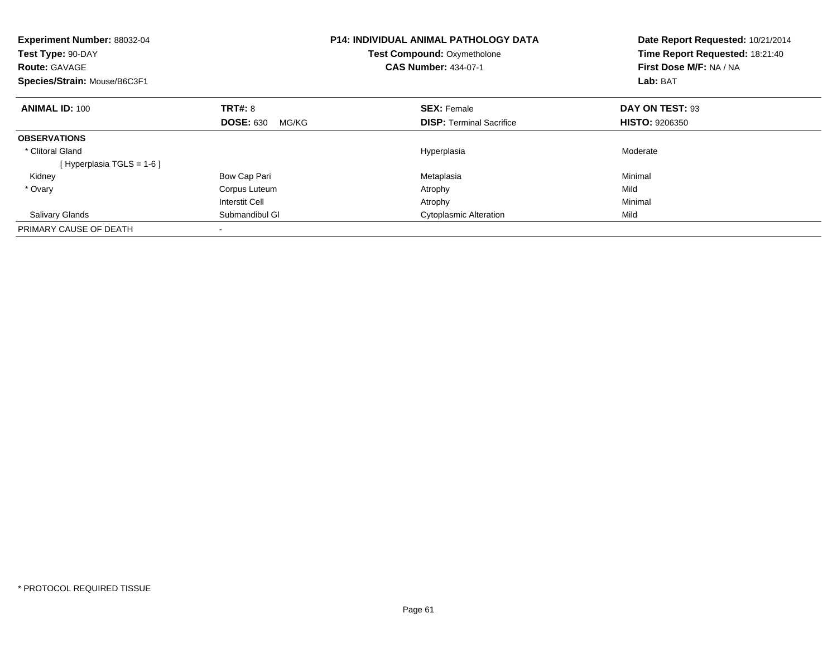| <b>Experiment Number: 88032-04</b><br>Test Type: 90-DAY<br><b>Route: GAVAGE</b><br>Species/Strain: Mouse/B6C3F1 | <b>P14: INDIVIDUAL ANIMAL PATHOLOGY DATA</b><br>Test Compound: Oxymetholone<br><b>CAS Number: 434-07-1</b> |                                 | Date Report Requested: 10/21/2014<br>Time Report Requested: 18:21:40<br>First Dose M/F: NA / NA<br>Lab: BAT |
|-----------------------------------------------------------------------------------------------------------------|------------------------------------------------------------------------------------------------------------|---------------------------------|-------------------------------------------------------------------------------------------------------------|
| <b>ANIMAL ID: 100</b>                                                                                           | TRT#: 8                                                                                                    | <b>SEX: Female</b>              | DAY ON TEST: 93                                                                                             |
|                                                                                                                 | <b>DOSE: 630</b><br>MG/KG                                                                                  | <b>DISP:</b> Terminal Sacrifice | <b>HISTO: 9206350</b>                                                                                       |
| <b>OBSERVATIONS</b>                                                                                             |                                                                                                            |                                 |                                                                                                             |
| * Clitoral Gland                                                                                                |                                                                                                            | Hyperplasia                     | Moderate                                                                                                    |
| [Hyperplasia TGLS = $1-6$ ]                                                                                     |                                                                                                            |                                 |                                                                                                             |
| Kidney                                                                                                          | Bow Cap Pari                                                                                               | Metaplasia                      | Minimal                                                                                                     |
| * Ovary                                                                                                         | Corpus Luteum                                                                                              | Atrophy                         | Mild                                                                                                        |
|                                                                                                                 | <b>Interstit Cell</b>                                                                                      | Atrophy                         | Minimal                                                                                                     |
| <b>Salivary Glands</b>                                                                                          | Submandibul GI                                                                                             | <b>Cytoplasmic Alteration</b>   | Mild                                                                                                        |
| PRIMARY CAUSE OF DEATH                                                                                          |                                                                                                            |                                 |                                                                                                             |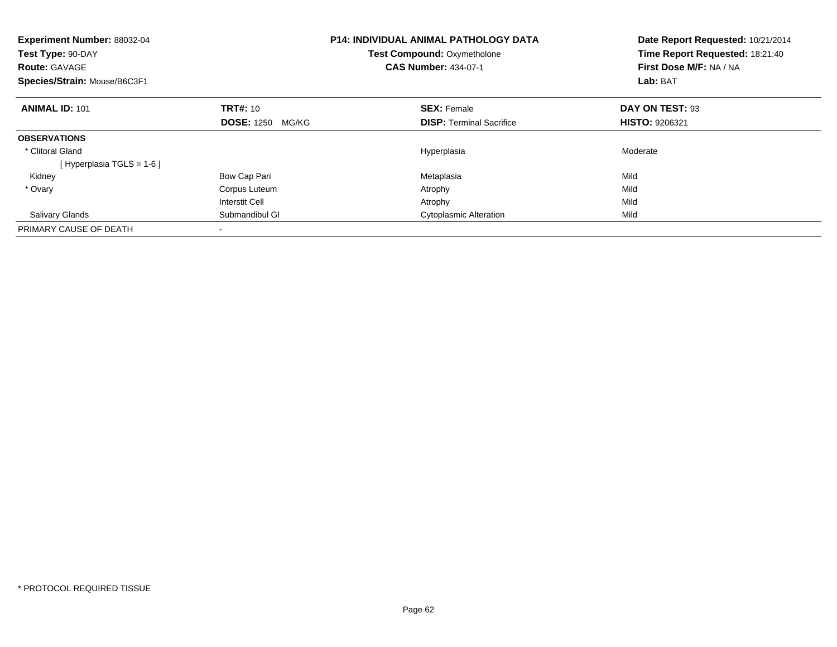| Experiment Number: 88032-04<br>Test Type: 90-DAY<br><b>Route: GAVAGE</b><br>Species/Strain: Mouse/B6C3F1 |                            | <b>P14: INDIVIDUAL ANIMAL PATHOLOGY DATA</b><br><b>Test Compound: Oxymetholone</b><br><b>CAS Number: 434-07-1</b> | Date Report Requested: 10/21/2014<br>Time Report Requested: 18:21:40<br>First Dose M/F: NA / NA<br>Lab: BAT |
|----------------------------------------------------------------------------------------------------------|----------------------------|-------------------------------------------------------------------------------------------------------------------|-------------------------------------------------------------------------------------------------------------|
| <b>ANIMAL ID: 101</b>                                                                                    | <b>TRT#: 10</b>            | <b>SEX: Female</b>                                                                                                | DAY ON TEST: 93                                                                                             |
|                                                                                                          | <b>DOSE: 1250</b><br>MG/KG | <b>DISP:</b> Terminal Sacrifice                                                                                   | <b>HISTO: 9206321</b>                                                                                       |
| <b>OBSERVATIONS</b>                                                                                      |                            |                                                                                                                   |                                                                                                             |
| * Clitoral Gland                                                                                         |                            | Hyperplasia                                                                                                       | Moderate                                                                                                    |
| [Hyperplasia TGLS = $1-6$ ]                                                                              |                            |                                                                                                                   |                                                                                                             |
| Kidney                                                                                                   | Bow Cap Pari               | Metaplasia                                                                                                        | Mild                                                                                                        |
| * Ovary                                                                                                  | Corpus Luteum              | Atrophy                                                                                                           | Mild                                                                                                        |
|                                                                                                          | <b>Interstit Cell</b>      | Atrophy                                                                                                           | Mild                                                                                                        |
| <b>Salivary Glands</b>                                                                                   | Submandibul GI             | <b>Cytoplasmic Alteration</b>                                                                                     | Mild                                                                                                        |
| PRIMARY CAUSE OF DEATH                                                                                   |                            |                                                                                                                   |                                                                                                             |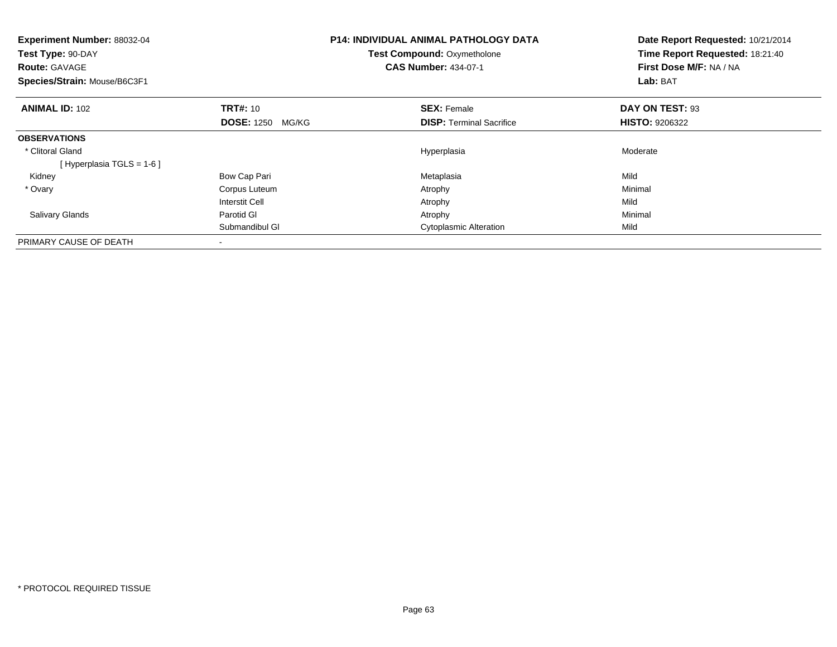| <b>Experiment Number: 88032-04</b><br>Test Type: 90-DAY<br><b>Route: GAVAGE</b><br>Species/Strain: Mouse/B6C3F1 |                            | <b>P14: INDIVIDUAL ANIMAL PATHOLOGY DATA</b><br><b>Test Compound: Oxymetholone</b><br><b>CAS Number: 434-07-1</b> |                                 | Date Report Requested: 10/21/2014<br>Time Report Requested: 18:21:40<br>First Dose M/F: NA / NA<br>Lab: BAT |  |
|-----------------------------------------------------------------------------------------------------------------|----------------------------|-------------------------------------------------------------------------------------------------------------------|---------------------------------|-------------------------------------------------------------------------------------------------------------|--|
| <b>ANIMAL ID: 102</b>                                                                                           | <b>TRT#: 10</b>            |                                                                                                                   | <b>SEX: Female</b>              | DAY ON TEST: 93                                                                                             |  |
|                                                                                                                 | <b>DOSE: 1250</b><br>MG/KG |                                                                                                                   | <b>DISP:</b> Terminal Sacrifice | <b>HISTO: 9206322</b>                                                                                       |  |
| <b>OBSERVATIONS</b>                                                                                             |                            |                                                                                                                   |                                 |                                                                                                             |  |
| * Clitoral Gland                                                                                                |                            |                                                                                                                   | Hyperplasia                     | Moderate                                                                                                    |  |
| [Hyperplasia TGLS = $1-6$ ]                                                                                     |                            |                                                                                                                   |                                 |                                                                                                             |  |
| Kidney                                                                                                          | Bow Cap Pari               |                                                                                                                   | Metaplasia                      | Mild                                                                                                        |  |
| * Ovary                                                                                                         | Corpus Luteum              |                                                                                                                   | Atrophy                         | Minimal                                                                                                     |  |
|                                                                                                                 | Interstit Cell             |                                                                                                                   | Atrophy                         | Mild                                                                                                        |  |
| <b>Salivary Glands</b>                                                                                          | Parotid GI                 |                                                                                                                   | Atrophy                         | Minimal                                                                                                     |  |
|                                                                                                                 | Submandibul GI             |                                                                                                                   | <b>Cytoplasmic Alteration</b>   | Mild                                                                                                        |  |
| PRIMARY CAUSE OF DEATH                                                                                          |                            |                                                                                                                   |                                 |                                                                                                             |  |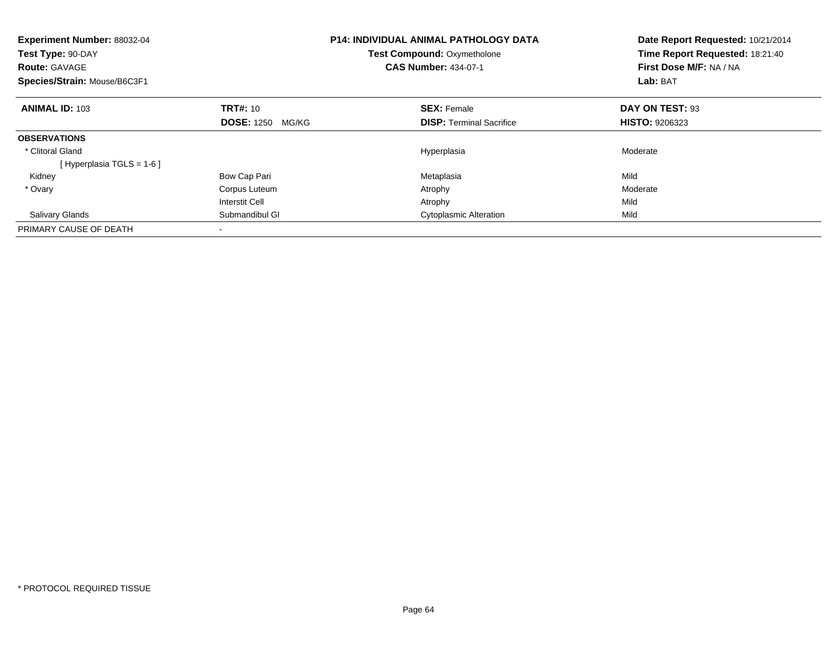| Experiment Number: 88032-04<br>Test Type: 90-DAY<br><b>Route: GAVAGE</b><br>Species/Strain: Mouse/B6C3F1 |                            | <b>P14: INDIVIDUAL ANIMAL PATHOLOGY DATA</b><br><b>Test Compound: Oxymetholone</b><br><b>CAS Number: 434-07-1</b> | Date Report Requested: 10/21/2014<br>Time Report Requested: 18:21:40<br>First Dose M/F: NA / NA<br>Lab: BAT |  |
|----------------------------------------------------------------------------------------------------------|----------------------------|-------------------------------------------------------------------------------------------------------------------|-------------------------------------------------------------------------------------------------------------|--|
| <b>ANIMAL ID: 103</b>                                                                                    | <b>TRT#: 10</b>            | <b>SEX: Female</b>                                                                                                | DAY ON TEST: 93                                                                                             |  |
|                                                                                                          | <b>DOSE: 1250</b><br>MG/KG | <b>DISP:</b> Terminal Sacrifice                                                                                   | <b>HISTO: 9206323</b>                                                                                       |  |
| <b>OBSERVATIONS</b>                                                                                      |                            |                                                                                                                   |                                                                                                             |  |
| * Clitoral Gland                                                                                         |                            | Hyperplasia                                                                                                       | Moderate                                                                                                    |  |
| [Hyperplasia TGLS = $1-6$ ]                                                                              |                            |                                                                                                                   |                                                                                                             |  |
| Kidney                                                                                                   | Bow Cap Pari               | Metaplasia                                                                                                        | Mild                                                                                                        |  |
| * Ovary                                                                                                  | Corpus Luteum              | Atrophy                                                                                                           | Moderate                                                                                                    |  |
|                                                                                                          | <b>Interstit Cell</b>      | Atrophy                                                                                                           | Mild                                                                                                        |  |
| <b>Salivary Glands</b>                                                                                   | Submandibul GI             | <b>Cytoplasmic Alteration</b>                                                                                     | Mild                                                                                                        |  |
| PRIMARY CAUSE OF DEATH                                                                                   |                            |                                                                                                                   |                                                                                                             |  |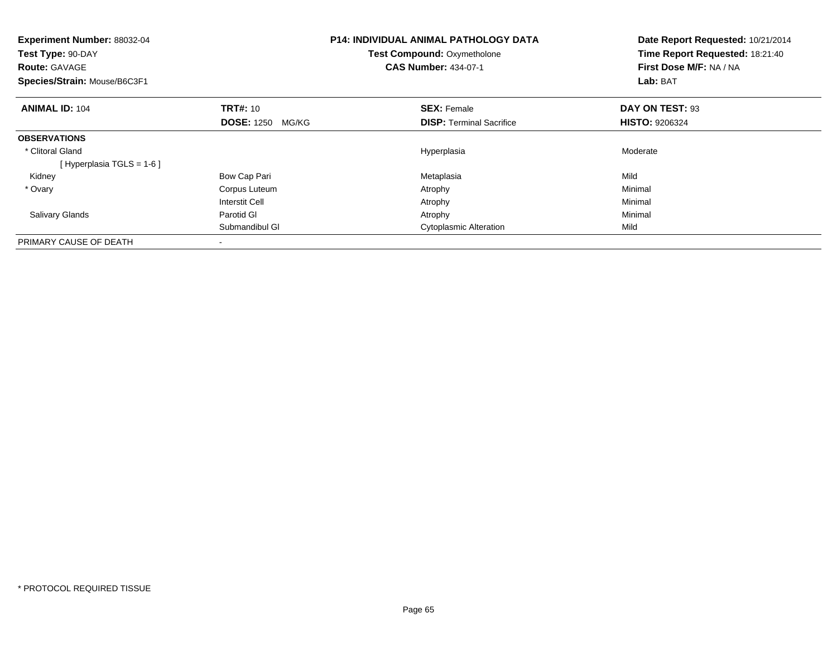| <b>Experiment Number: 88032-04</b><br>Test Type: 90-DAY<br><b>Route: GAVAGE</b><br>Species/Strain: Mouse/B6C3F1 |                            | <b>P14: INDIVIDUAL ANIMAL PATHOLOGY DATA</b><br><b>Test Compound: Oxymetholone</b><br><b>CAS Number: 434-07-1</b> |                                 | Date Report Requested: 10/21/2014<br>Time Report Requested: 18:21:40<br>First Dose M/F: NA / NA<br>Lab: BAT |  |
|-----------------------------------------------------------------------------------------------------------------|----------------------------|-------------------------------------------------------------------------------------------------------------------|---------------------------------|-------------------------------------------------------------------------------------------------------------|--|
| <b>ANIMAL ID: 104</b>                                                                                           | <b>TRT#: 10</b>            |                                                                                                                   | <b>SEX: Female</b>              | DAY ON TEST: 93                                                                                             |  |
|                                                                                                                 | <b>DOSE: 1250</b><br>MG/KG |                                                                                                                   | <b>DISP:</b> Terminal Sacrifice | <b>HISTO: 9206324</b>                                                                                       |  |
| <b>OBSERVATIONS</b>                                                                                             |                            |                                                                                                                   |                                 |                                                                                                             |  |
| * Clitoral Gland                                                                                                |                            |                                                                                                                   | Hyperplasia                     | Moderate                                                                                                    |  |
| [Hyperplasia TGLS = $1-6$ ]                                                                                     |                            |                                                                                                                   |                                 |                                                                                                             |  |
| Kidney                                                                                                          | Bow Cap Pari               |                                                                                                                   | Metaplasia                      | Mild                                                                                                        |  |
| * Ovary                                                                                                         | Corpus Luteum              |                                                                                                                   | Atrophy                         | Minimal                                                                                                     |  |
|                                                                                                                 | Interstit Cell             |                                                                                                                   | Atrophy                         | Minimal                                                                                                     |  |
| <b>Salivary Glands</b>                                                                                          | Parotid GI                 |                                                                                                                   | Atrophy                         | Minimal                                                                                                     |  |
|                                                                                                                 | Submandibul GI             |                                                                                                                   | <b>Cytoplasmic Alteration</b>   | Mild                                                                                                        |  |
| PRIMARY CAUSE OF DEATH                                                                                          |                            |                                                                                                                   |                                 |                                                                                                             |  |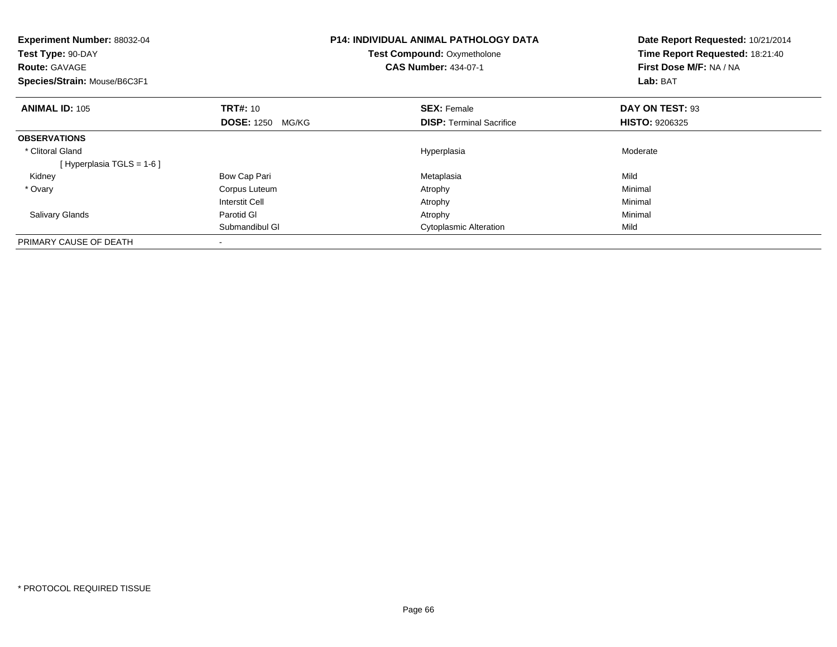| <b>Experiment Number: 88032-04</b><br>Test Type: 90-DAY<br><b>Route: GAVAGE</b><br>Species/Strain: Mouse/B6C3F1 |                            | <b>P14: INDIVIDUAL ANIMAL PATHOLOGY DATA</b><br><b>Test Compound: Oxymetholone</b><br><b>CAS Number: 434-07-1</b> |                                 | Date Report Requested: 10/21/2014<br>Time Report Requested: 18:21:40<br>First Dose M/F: NA / NA<br>Lab: BAT |  |
|-----------------------------------------------------------------------------------------------------------------|----------------------------|-------------------------------------------------------------------------------------------------------------------|---------------------------------|-------------------------------------------------------------------------------------------------------------|--|
| <b>ANIMAL ID: 105</b>                                                                                           | <b>TRT#: 10</b>            |                                                                                                                   | <b>SEX: Female</b>              | DAY ON TEST: 93                                                                                             |  |
|                                                                                                                 | <b>DOSE: 1250</b><br>MG/KG |                                                                                                                   | <b>DISP:</b> Terminal Sacrifice | <b>HISTO: 9206325</b>                                                                                       |  |
| <b>OBSERVATIONS</b>                                                                                             |                            |                                                                                                                   |                                 |                                                                                                             |  |
| * Clitoral Gland                                                                                                |                            |                                                                                                                   | Hyperplasia                     | Moderate                                                                                                    |  |
| [Hyperplasia TGLS = $1-6$ ]                                                                                     |                            |                                                                                                                   |                                 |                                                                                                             |  |
| Kidney                                                                                                          | Bow Cap Pari               |                                                                                                                   | Metaplasia                      | Mild                                                                                                        |  |
| * Ovary                                                                                                         | Corpus Luteum              |                                                                                                                   | Atrophy                         | Minimal                                                                                                     |  |
|                                                                                                                 | Interstit Cell             |                                                                                                                   | Atrophy                         | Minimal                                                                                                     |  |
| <b>Salivary Glands</b>                                                                                          | Parotid GI                 |                                                                                                                   | Atrophy                         | Minimal                                                                                                     |  |
|                                                                                                                 | Submandibul GI             |                                                                                                                   | <b>Cytoplasmic Alteration</b>   | Mild                                                                                                        |  |
| PRIMARY CAUSE OF DEATH                                                                                          |                            |                                                                                                                   |                                 |                                                                                                             |  |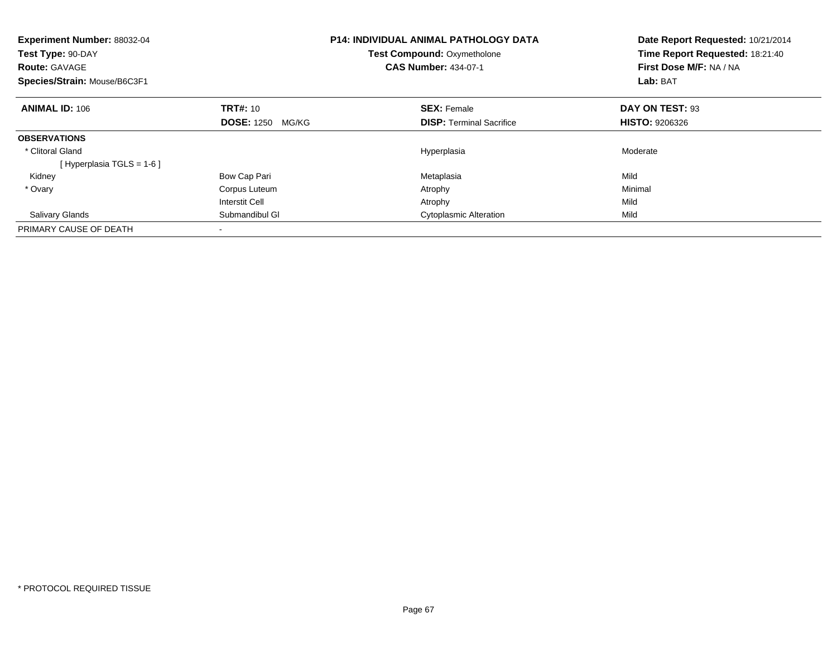| Experiment Number: 88032-04<br>Test Type: 90-DAY<br><b>Route: GAVAGE</b><br>Species/Strain: Mouse/B6C3F1 |                            | <b>P14: INDIVIDUAL ANIMAL PATHOLOGY DATA</b><br><b>Test Compound: Oxymetholone</b><br><b>CAS Number: 434-07-1</b> | Date Report Requested: 10/21/2014<br>Time Report Requested: 18:21:40<br>First Dose M/F: NA / NA<br>Lab: BAT |
|----------------------------------------------------------------------------------------------------------|----------------------------|-------------------------------------------------------------------------------------------------------------------|-------------------------------------------------------------------------------------------------------------|
| <b>ANIMAL ID: 106</b>                                                                                    | <b>TRT#: 10</b>            | <b>SEX: Female</b>                                                                                                | DAY ON TEST: 93                                                                                             |
|                                                                                                          | <b>DOSE: 1250</b><br>MG/KG | <b>DISP:</b> Terminal Sacrifice                                                                                   | <b>HISTO: 9206326</b>                                                                                       |
| <b>OBSERVATIONS</b>                                                                                      |                            |                                                                                                                   |                                                                                                             |
| * Clitoral Gland                                                                                         |                            | Hyperplasia                                                                                                       | Moderate                                                                                                    |
| [Hyperplasia TGLS = $1-6$ ]                                                                              |                            |                                                                                                                   |                                                                                                             |
| Kidney                                                                                                   | Bow Cap Pari               | Metaplasia                                                                                                        | Mild                                                                                                        |
| * Ovary                                                                                                  | Corpus Luteum              | Atrophy                                                                                                           | Minimal                                                                                                     |
|                                                                                                          | <b>Interstit Cell</b>      | Atrophy                                                                                                           | Mild                                                                                                        |
| <b>Salivary Glands</b>                                                                                   | Submandibul GI             | <b>Cytoplasmic Alteration</b>                                                                                     | Mild                                                                                                        |
| PRIMARY CAUSE OF DEATH                                                                                   |                            |                                                                                                                   |                                                                                                             |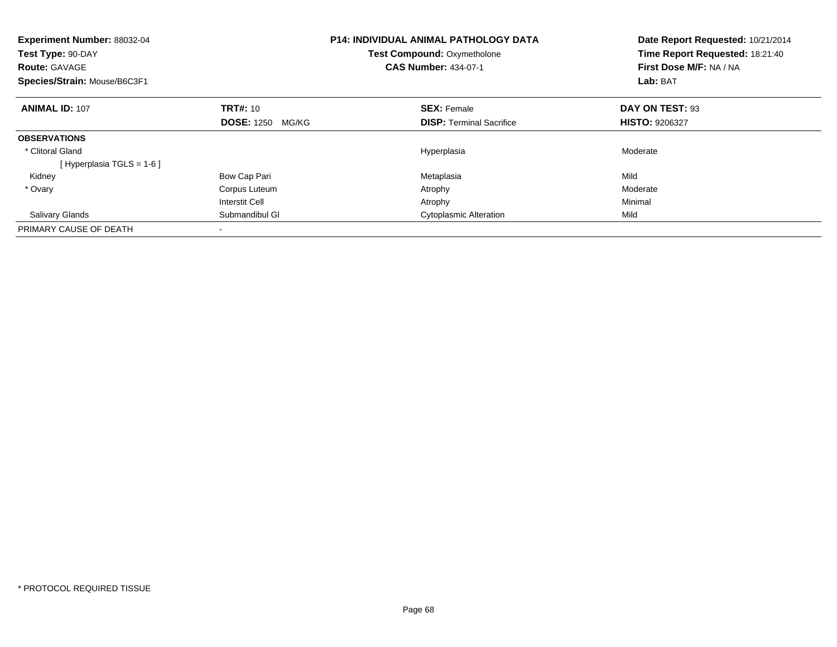| Experiment Number: 88032-04<br>Test Type: 90-DAY<br><b>Route: GAVAGE</b><br>Species/Strain: Mouse/B6C3F1 |                            | <b>P14: INDIVIDUAL ANIMAL PATHOLOGY DATA</b><br><b>Test Compound: Oxymetholone</b><br><b>CAS Number: 434-07-1</b> | Date Report Requested: 10/21/2014<br>Time Report Requested: 18:21:40<br>First Dose M/F: NA / NA<br>Lab: BAT |
|----------------------------------------------------------------------------------------------------------|----------------------------|-------------------------------------------------------------------------------------------------------------------|-------------------------------------------------------------------------------------------------------------|
| <b>ANIMAL ID: 107</b>                                                                                    | <b>TRT#: 10</b>            | <b>SEX: Female</b>                                                                                                | DAY ON TEST: 93                                                                                             |
|                                                                                                          | <b>DOSE: 1250</b><br>MG/KG | <b>DISP:</b> Terminal Sacrifice                                                                                   | <b>HISTO: 9206327</b>                                                                                       |
| <b>OBSERVATIONS</b>                                                                                      |                            |                                                                                                                   |                                                                                                             |
| * Clitoral Gland                                                                                         |                            | Hyperplasia                                                                                                       | Moderate                                                                                                    |
| [Hyperplasia TGLS = $1-6$ ]                                                                              |                            |                                                                                                                   |                                                                                                             |
| Kidney                                                                                                   | Bow Cap Pari               | Metaplasia                                                                                                        | Mild                                                                                                        |
| * Ovary                                                                                                  | Corpus Luteum              | Atrophy                                                                                                           | Moderate                                                                                                    |
|                                                                                                          | <b>Interstit Cell</b>      | Atrophy                                                                                                           | Minimal                                                                                                     |
| <b>Salivary Glands</b>                                                                                   | Submandibul GI             | <b>Cytoplasmic Alteration</b>                                                                                     | Mild                                                                                                        |
| PRIMARY CAUSE OF DEATH                                                                                   |                            |                                                                                                                   |                                                                                                             |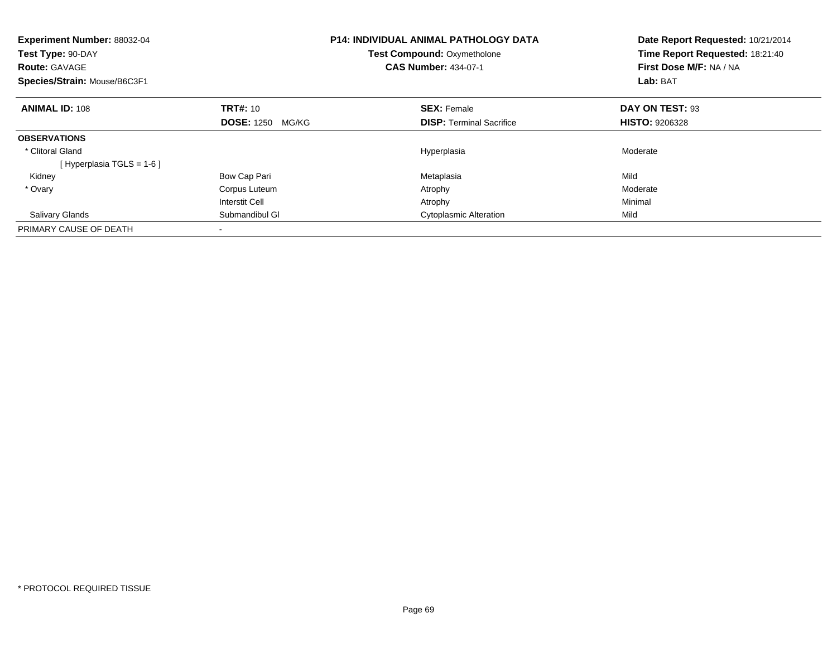| Experiment Number: 88032-04<br>Test Type: 90-DAY<br><b>Route: GAVAGE</b><br>Species/Strain: Mouse/B6C3F1 |                            | <b>P14: INDIVIDUAL ANIMAL PATHOLOGY DATA</b><br><b>Test Compound: Oxymetholone</b><br><b>CAS Number: 434-07-1</b> | Date Report Requested: 10/21/2014<br>Time Report Requested: 18:21:40<br>First Dose M/F: NA / NA<br>Lab: BAT |
|----------------------------------------------------------------------------------------------------------|----------------------------|-------------------------------------------------------------------------------------------------------------------|-------------------------------------------------------------------------------------------------------------|
| <b>ANIMAL ID: 108</b>                                                                                    | <b>TRT#: 10</b>            | <b>SEX: Female</b>                                                                                                | DAY ON TEST: 93                                                                                             |
|                                                                                                          | <b>DOSE: 1250</b><br>MG/KG | <b>DISP:</b> Terminal Sacrifice                                                                                   | <b>HISTO: 9206328</b>                                                                                       |
| <b>OBSERVATIONS</b>                                                                                      |                            |                                                                                                                   |                                                                                                             |
| * Clitoral Gland                                                                                         |                            | Hyperplasia                                                                                                       | Moderate                                                                                                    |
| [Hyperplasia TGLS = $1-6$ ]                                                                              |                            |                                                                                                                   |                                                                                                             |
| Kidney                                                                                                   | Bow Cap Pari               | Metaplasia                                                                                                        | Mild                                                                                                        |
| * Ovary                                                                                                  | Corpus Luteum              | Atrophy                                                                                                           | Moderate                                                                                                    |
|                                                                                                          | <b>Interstit Cell</b>      | Atrophy                                                                                                           | Minimal                                                                                                     |
| <b>Salivary Glands</b>                                                                                   | Submandibul GI             | <b>Cytoplasmic Alteration</b>                                                                                     | Mild                                                                                                        |
| PRIMARY CAUSE OF DEATH                                                                                   |                            |                                                                                                                   |                                                                                                             |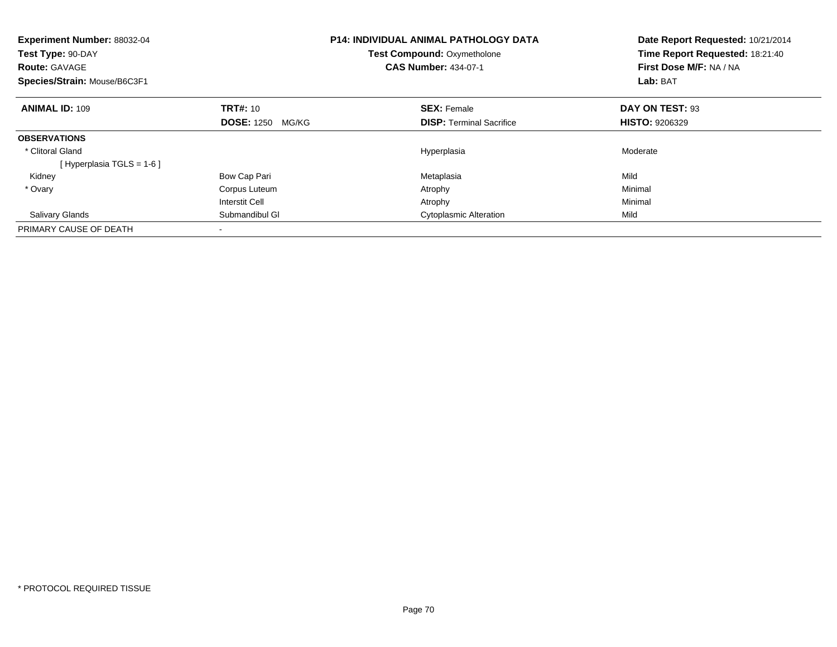| Experiment Number: 88032-04<br>Test Type: 90-DAY<br><b>Route: GAVAGE</b><br>Species/Strain: Mouse/B6C3F1 |                            | <b>P14: INDIVIDUAL ANIMAL PATHOLOGY DATA</b><br><b>Test Compound: Oxymetholone</b><br><b>CAS Number: 434-07-1</b> | Date Report Requested: 10/21/2014<br>Time Report Requested: 18:21:40<br>First Dose M/F: NA / NA<br>Lab: BAT |
|----------------------------------------------------------------------------------------------------------|----------------------------|-------------------------------------------------------------------------------------------------------------------|-------------------------------------------------------------------------------------------------------------|
| <b>ANIMAL ID: 109</b>                                                                                    | <b>TRT#: 10</b>            | <b>SEX: Female</b>                                                                                                | DAY ON TEST: 93                                                                                             |
|                                                                                                          | <b>DOSE: 1250</b><br>MG/KG | <b>DISP:</b> Terminal Sacrifice                                                                                   | <b>HISTO: 9206329</b>                                                                                       |
| <b>OBSERVATIONS</b>                                                                                      |                            |                                                                                                                   |                                                                                                             |
| * Clitoral Gland                                                                                         |                            | Hyperplasia                                                                                                       | Moderate                                                                                                    |
| [Hyperplasia TGLS = $1-6$ ]                                                                              |                            |                                                                                                                   |                                                                                                             |
| Kidney                                                                                                   | Bow Cap Pari               | Metaplasia                                                                                                        | Mild                                                                                                        |
| * Ovary                                                                                                  | Corpus Luteum              | Atrophy                                                                                                           | Minimal                                                                                                     |
|                                                                                                          | <b>Interstit Cell</b>      | Atrophy                                                                                                           | Minimal                                                                                                     |
| <b>Salivary Glands</b>                                                                                   | Submandibul GI             | <b>Cytoplasmic Alteration</b>                                                                                     | Mild                                                                                                        |
| PRIMARY CAUSE OF DEATH                                                                                   |                            |                                                                                                                   |                                                                                                             |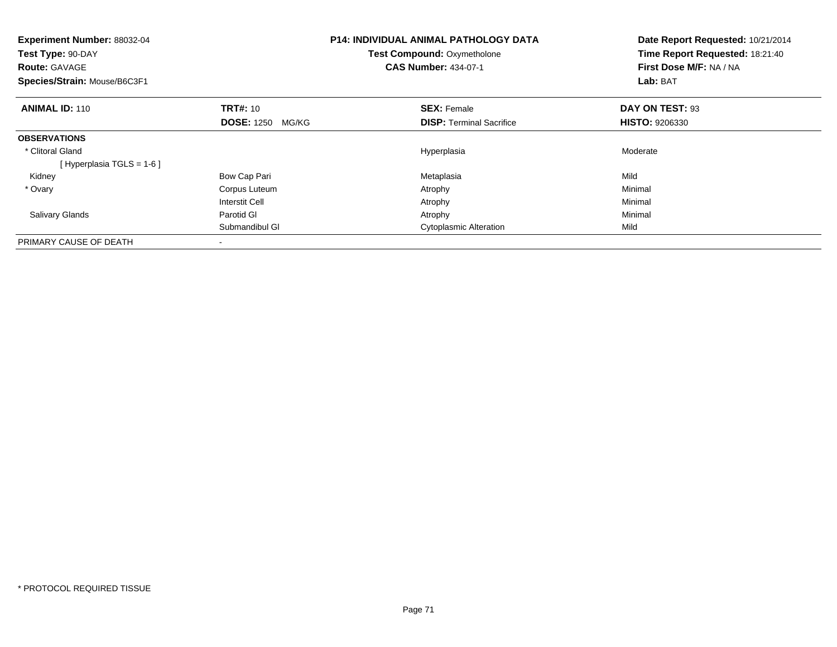| <b>Experiment Number: 88032-04</b><br>Test Type: 90-DAY<br><b>Route: GAVAGE</b><br>Species/Strain: Mouse/B6C3F1 |                            | <b>P14: INDIVIDUAL ANIMAL PATHOLOGY DATA</b><br><b>Test Compound: Oxymetholone</b><br><b>CAS Number: 434-07-1</b> |                                 | Date Report Requested: 10/21/2014<br>Time Report Requested: 18:21:40<br>First Dose M/F: NA / NA<br>Lab: BAT |  |
|-----------------------------------------------------------------------------------------------------------------|----------------------------|-------------------------------------------------------------------------------------------------------------------|---------------------------------|-------------------------------------------------------------------------------------------------------------|--|
| <b>ANIMAL ID: 110</b>                                                                                           | <b>TRT#: 10</b>            |                                                                                                                   | <b>SEX: Female</b>              | DAY ON TEST: 93                                                                                             |  |
|                                                                                                                 | <b>DOSE: 1250</b><br>MG/KG |                                                                                                                   | <b>DISP:</b> Terminal Sacrifice | <b>HISTO: 9206330</b>                                                                                       |  |
| <b>OBSERVATIONS</b>                                                                                             |                            |                                                                                                                   |                                 |                                                                                                             |  |
| * Clitoral Gland                                                                                                |                            |                                                                                                                   | Hyperplasia                     | Moderate                                                                                                    |  |
| [Hyperplasia TGLS = $1-6$ ]                                                                                     |                            |                                                                                                                   |                                 |                                                                                                             |  |
| Kidney                                                                                                          | Bow Cap Pari               |                                                                                                                   | Metaplasia                      | Mild                                                                                                        |  |
| * Ovary                                                                                                         | Corpus Luteum              |                                                                                                                   | Atrophy                         | Minimal                                                                                                     |  |
|                                                                                                                 | Interstit Cell             |                                                                                                                   | Atrophy                         | Minimal                                                                                                     |  |
| <b>Salivary Glands</b>                                                                                          | Parotid GI                 |                                                                                                                   | Atrophy                         | Minimal                                                                                                     |  |
|                                                                                                                 | Submandibul GI             |                                                                                                                   | <b>Cytoplasmic Alteration</b>   | Mild                                                                                                        |  |
| PRIMARY CAUSE OF DEATH                                                                                          |                            |                                                                                                                   |                                 |                                                                                                             |  |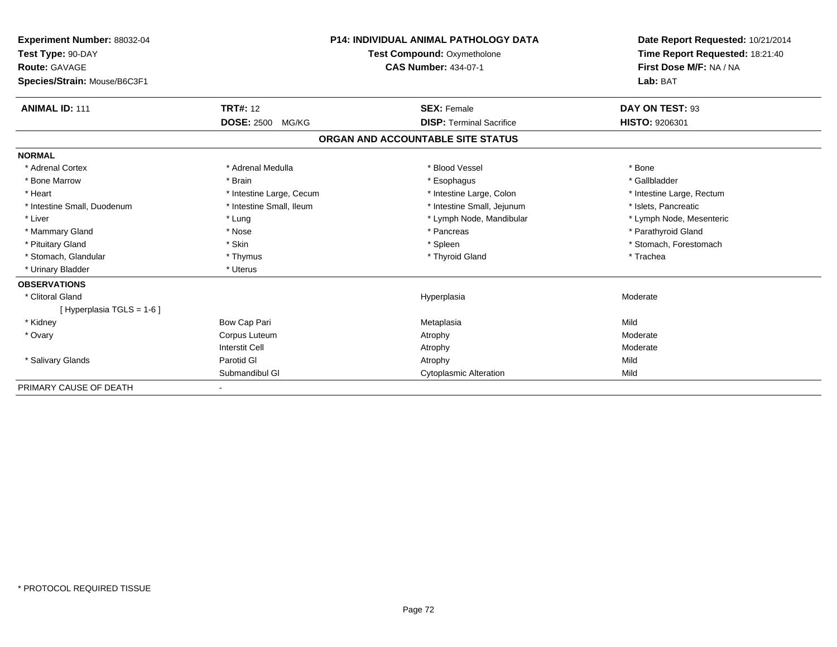| Experiment Number: 88032-04<br>Test Type: 90-DAY<br>Route: GAVAGE |                            | <b>P14: INDIVIDUAL ANIMAL PATHOLOGY DATA</b><br>Test Compound: Oxymetholone<br><b>CAS Number: 434-07-1</b> | Date Report Requested: 10/21/2014<br>Time Report Requested: 18:21:40<br>First Dose M/F: NA / NA |
|-------------------------------------------------------------------|----------------------------|------------------------------------------------------------------------------------------------------------|-------------------------------------------------------------------------------------------------|
| Species/Strain: Mouse/B6C3F1                                      |                            |                                                                                                            | Lab: BAT                                                                                        |
| <b>ANIMAL ID: 111</b>                                             | <b>TRT#: 12</b>            | <b>SEX: Female</b>                                                                                         | DAY ON TEST: 93                                                                                 |
|                                                                   | <b>DOSE: 2500</b><br>MG/KG | <b>DISP: Terminal Sacrifice</b>                                                                            | <b>HISTO: 9206301</b>                                                                           |
|                                                                   |                            | ORGAN AND ACCOUNTABLE SITE STATUS                                                                          |                                                                                                 |
| <b>NORMAL</b>                                                     |                            |                                                                                                            |                                                                                                 |
| * Adrenal Cortex                                                  | * Adrenal Medulla          | * Blood Vessel                                                                                             | * Bone                                                                                          |
| * Bone Marrow                                                     | * Brain                    | * Esophagus                                                                                                | * Gallbladder                                                                                   |
| * Heart                                                           | * Intestine Large, Cecum   | * Intestine Large, Colon                                                                                   | * Intestine Large, Rectum                                                                       |
| * Intestine Small, Duodenum                                       | * Intestine Small. Ileum   | * Intestine Small, Jejunum                                                                                 | * Islets, Pancreatic                                                                            |
| * Liver                                                           | * Lung                     | * Lymph Node, Mandibular                                                                                   | * Lymph Node, Mesenteric                                                                        |
| * Mammary Gland                                                   | * Nose                     | * Pancreas                                                                                                 | * Parathyroid Gland                                                                             |
| * Pituitary Gland                                                 | * Skin                     | * Spleen                                                                                                   | * Stomach, Forestomach                                                                          |
| * Stomach, Glandular                                              | * Thymus                   | * Thyroid Gland                                                                                            | * Trachea                                                                                       |
| * Urinary Bladder                                                 | * Uterus                   |                                                                                                            |                                                                                                 |
| <b>OBSERVATIONS</b>                                               |                            |                                                                                                            |                                                                                                 |
| * Clitoral Gland                                                  |                            | Hyperplasia                                                                                                | Moderate                                                                                        |
| [Hyperplasia TGLS = 1-6]                                          |                            |                                                                                                            |                                                                                                 |
| * Kidney                                                          | Bow Cap Pari               | Metaplasia                                                                                                 | Mild                                                                                            |
| * Ovary                                                           | Corpus Luteum              | Atrophy                                                                                                    | Moderate                                                                                        |
|                                                                   | <b>Interstit Cell</b>      | Atrophy                                                                                                    | Moderate                                                                                        |
| * Salivary Glands                                                 | Parotid GI                 | Atrophy                                                                                                    | Mild                                                                                            |
|                                                                   | Submandibul GI             | <b>Cytoplasmic Alteration</b>                                                                              | Mild                                                                                            |
| PRIMARY CAUSE OF DEATH                                            |                            |                                                                                                            |                                                                                                 |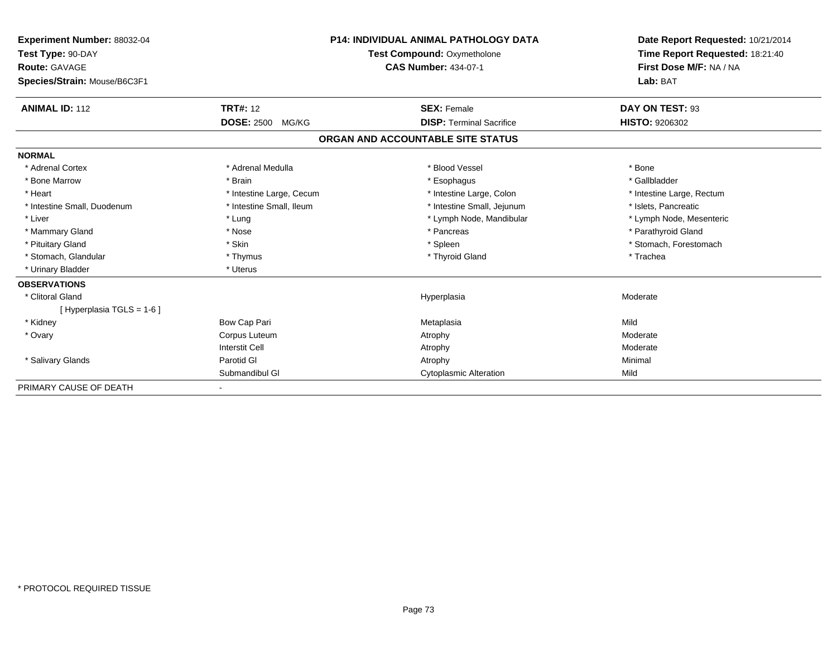| Experiment Number: 88032-04<br>Test Type: 90-DAY<br>Route: GAVAGE<br>Species/Strain: Mouse/B6C3F1 |                                               | <b>P14: INDIVIDUAL ANIMAL PATHOLOGY DATA</b><br>Test Compound: Oxymetholone<br><b>CAS Number: 434-07-1</b> | Date Report Requested: 10/21/2014<br>Time Report Requested: 18:21:40<br>First Dose M/F: NA / NA<br>Lab: BAT |
|---------------------------------------------------------------------------------------------------|-----------------------------------------------|------------------------------------------------------------------------------------------------------------|-------------------------------------------------------------------------------------------------------------|
|                                                                                                   |                                               |                                                                                                            |                                                                                                             |
| <b>ANIMAL ID: 112</b>                                                                             | <b>TRT#: 12</b><br><b>DOSE: 2500</b><br>MG/KG | <b>SEX: Female</b><br><b>DISP: Terminal Sacrifice</b>                                                      | DAY ON TEST: 93<br><b>HISTO: 9206302</b>                                                                    |
|                                                                                                   |                                               | ORGAN AND ACCOUNTABLE SITE STATUS                                                                          |                                                                                                             |
| <b>NORMAL</b>                                                                                     |                                               |                                                                                                            |                                                                                                             |
| * Adrenal Cortex                                                                                  | * Adrenal Medulla                             | * Blood Vessel                                                                                             | * Bone                                                                                                      |
| * Bone Marrow                                                                                     | * Brain                                       | * Esophagus                                                                                                | * Gallbladder                                                                                               |
| * Heart                                                                                           | * Intestine Large, Cecum                      | * Intestine Large, Colon                                                                                   | * Intestine Large, Rectum                                                                                   |
| * Intestine Small, Duodenum                                                                       | * Intestine Small. Ileum                      | * Intestine Small, Jejunum                                                                                 | * Islets, Pancreatic                                                                                        |
| * Liver                                                                                           | * Lung                                        | * Lymph Node, Mandibular                                                                                   | * Lymph Node, Mesenteric                                                                                    |
| * Mammary Gland                                                                                   | * Nose                                        | * Pancreas                                                                                                 | * Parathyroid Gland                                                                                         |
| * Pituitary Gland                                                                                 | * Skin                                        | * Spleen                                                                                                   | * Stomach, Forestomach                                                                                      |
| * Stomach, Glandular                                                                              | * Thymus                                      | * Thyroid Gland                                                                                            | * Trachea                                                                                                   |
| * Urinary Bladder                                                                                 | * Uterus                                      |                                                                                                            |                                                                                                             |
| <b>OBSERVATIONS</b>                                                                               |                                               |                                                                                                            |                                                                                                             |
| * Clitoral Gland                                                                                  |                                               | Hyperplasia                                                                                                | Moderate                                                                                                    |
| [Hyperplasia TGLS = 1-6]                                                                          |                                               |                                                                                                            |                                                                                                             |
| * Kidney                                                                                          | Bow Cap Pari                                  | Metaplasia                                                                                                 | Mild                                                                                                        |
| * Ovary                                                                                           | Corpus Luteum                                 | Atrophy                                                                                                    | Moderate                                                                                                    |
|                                                                                                   | <b>Interstit Cell</b>                         | Atrophy                                                                                                    | Moderate                                                                                                    |
| * Salivary Glands                                                                                 | Parotid GI                                    | Atrophy                                                                                                    | Minimal                                                                                                     |
|                                                                                                   | Submandibul GI                                | <b>Cytoplasmic Alteration</b>                                                                              | Mild                                                                                                        |
| PRIMARY CAUSE OF DEATH                                                                            |                                               |                                                                                                            |                                                                                                             |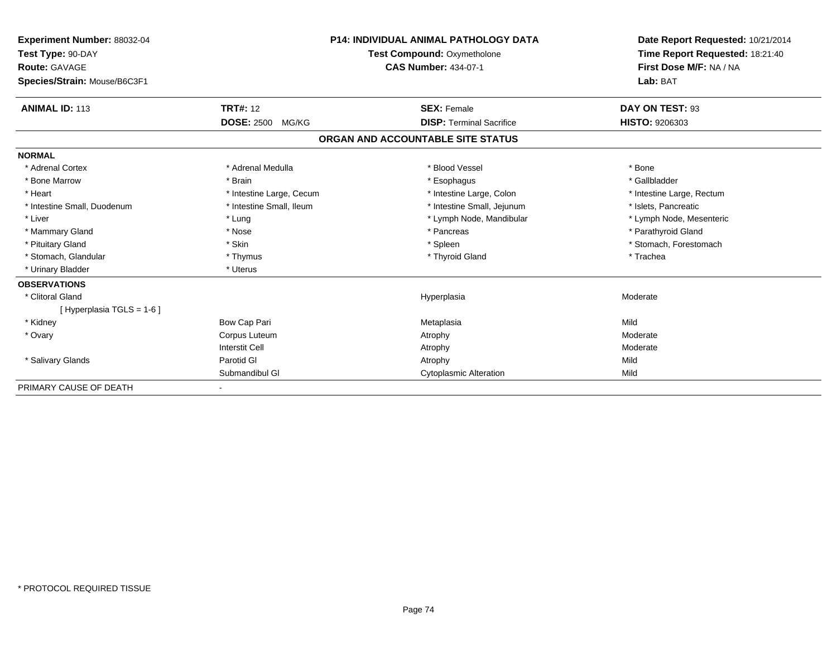| Experiment Number: 88032-04<br>Test Type: 90-DAY<br><b>Route: GAVAGE</b><br>Species/Strain: Mouse/B6C3F1 |                            | <b>P14: INDIVIDUAL ANIMAL PATHOLOGY DATA</b><br>Test Compound: Oxymetholone<br><b>CAS Number: 434-07-1</b> | Date Report Requested: 10/21/2014<br>Time Report Requested: 18:21:40<br>First Dose M/F: NA / NA<br>Lab: BAT |
|----------------------------------------------------------------------------------------------------------|----------------------------|------------------------------------------------------------------------------------------------------------|-------------------------------------------------------------------------------------------------------------|
|                                                                                                          |                            |                                                                                                            |                                                                                                             |
| <b>ANIMAL ID: 113</b>                                                                                    | <b>TRT#: 12</b>            | <b>SEX: Female</b>                                                                                         | DAY ON TEST: 93                                                                                             |
|                                                                                                          | <b>DOSE: 2500</b><br>MG/KG | <b>DISP: Terminal Sacrifice</b>                                                                            | <b>HISTO: 9206303</b>                                                                                       |
|                                                                                                          |                            | ORGAN AND ACCOUNTABLE SITE STATUS                                                                          |                                                                                                             |
| <b>NORMAL</b>                                                                                            |                            |                                                                                                            |                                                                                                             |
| * Adrenal Cortex                                                                                         | * Adrenal Medulla          | * Blood Vessel                                                                                             | * Bone                                                                                                      |
| * Bone Marrow                                                                                            | * Brain                    | * Esophagus                                                                                                | * Gallbladder                                                                                               |
| * Heart                                                                                                  | * Intestine Large, Cecum   | * Intestine Large, Colon                                                                                   | * Intestine Large, Rectum                                                                                   |
| * Intestine Small, Duodenum                                                                              | * Intestine Small. Ileum   | * Intestine Small, Jejunum                                                                                 | * Islets, Pancreatic                                                                                        |
| * Liver                                                                                                  | * Lung                     | * Lymph Node, Mandibular                                                                                   | * Lymph Node, Mesenteric                                                                                    |
| * Mammary Gland                                                                                          | * Nose                     | * Pancreas                                                                                                 | * Parathyroid Gland                                                                                         |
| * Pituitary Gland                                                                                        | * Skin                     | * Spleen                                                                                                   | * Stomach, Forestomach                                                                                      |
| * Stomach, Glandular                                                                                     | * Thymus                   | * Thyroid Gland                                                                                            | * Trachea                                                                                                   |
| * Urinary Bladder                                                                                        | * Uterus                   |                                                                                                            |                                                                                                             |
| <b>OBSERVATIONS</b>                                                                                      |                            |                                                                                                            |                                                                                                             |
| * Clitoral Gland                                                                                         |                            | Hyperplasia                                                                                                | Moderate                                                                                                    |
| [Hyperplasia TGLS = 1-6]                                                                                 |                            |                                                                                                            |                                                                                                             |
| * Kidney                                                                                                 | Bow Cap Pari               | Metaplasia                                                                                                 | Mild                                                                                                        |
| * Ovary                                                                                                  | Corpus Luteum              | Atrophy                                                                                                    | Moderate                                                                                                    |
|                                                                                                          | <b>Interstit Cell</b>      | Atrophy                                                                                                    | Moderate                                                                                                    |
| * Salivary Glands                                                                                        | Parotid GI                 | Atrophy                                                                                                    | Mild                                                                                                        |
|                                                                                                          | Submandibul GI             | <b>Cytoplasmic Alteration</b>                                                                              | Mild                                                                                                        |
| PRIMARY CAUSE OF DEATH                                                                                   |                            |                                                                                                            |                                                                                                             |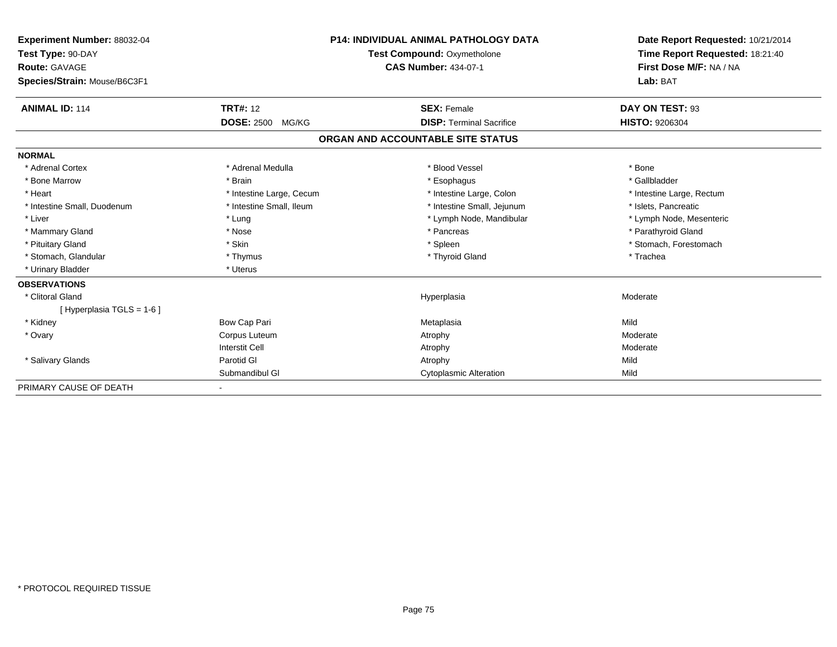| Experiment Number: 88032-04<br>Test Type: 90-DAY<br><b>Route: GAVAGE</b> |                            | <b>P14: INDIVIDUAL ANIMAL PATHOLOGY DATA</b><br>Test Compound: Oxymetholone<br><b>CAS Number: 434-07-1</b> | Date Report Requested: 10/21/2014<br>Time Report Requested: 18:21:40<br>First Dose M/F: NA / NA |
|--------------------------------------------------------------------------|----------------------------|------------------------------------------------------------------------------------------------------------|-------------------------------------------------------------------------------------------------|
| Species/Strain: Mouse/B6C3F1                                             |                            |                                                                                                            | Lab: BAT                                                                                        |
| <b>ANIMAL ID: 114</b>                                                    | <b>TRT#: 12</b>            | <b>SEX: Female</b>                                                                                         | DAY ON TEST: 93                                                                                 |
|                                                                          | <b>DOSE: 2500</b><br>MG/KG | <b>DISP: Terminal Sacrifice</b>                                                                            | <b>HISTO: 9206304</b>                                                                           |
|                                                                          |                            | ORGAN AND ACCOUNTABLE SITE STATUS                                                                          |                                                                                                 |
| <b>NORMAL</b>                                                            |                            |                                                                                                            |                                                                                                 |
| * Adrenal Cortex                                                         | * Adrenal Medulla          | * Blood Vessel                                                                                             | * Bone                                                                                          |
| * Bone Marrow                                                            | * Brain                    | * Esophagus                                                                                                | * Gallbladder                                                                                   |
| * Heart                                                                  | * Intestine Large, Cecum   | * Intestine Large, Colon                                                                                   | * Intestine Large, Rectum                                                                       |
| * Intestine Small, Duodenum                                              | * Intestine Small. Ileum   | * Intestine Small, Jejunum                                                                                 | * Islets, Pancreatic                                                                            |
| * Liver                                                                  | * Lung                     | * Lymph Node, Mandibular                                                                                   | * Lymph Node, Mesenteric                                                                        |
| * Mammary Gland                                                          | * Nose                     | * Pancreas                                                                                                 | * Parathyroid Gland                                                                             |
| * Pituitary Gland                                                        | * Skin                     | * Spleen                                                                                                   | * Stomach, Forestomach                                                                          |
| * Stomach, Glandular                                                     | * Thymus                   | * Thyroid Gland                                                                                            | * Trachea                                                                                       |
| * Urinary Bladder                                                        | * Uterus                   |                                                                                                            |                                                                                                 |
| <b>OBSERVATIONS</b>                                                      |                            |                                                                                                            |                                                                                                 |
| * Clitoral Gland                                                         |                            | Hyperplasia                                                                                                | Moderate                                                                                        |
| [Hyperplasia TGLS = 1-6]                                                 |                            |                                                                                                            |                                                                                                 |
| * Kidney                                                                 | Bow Cap Pari               | Metaplasia                                                                                                 | Mild                                                                                            |
| * Ovary                                                                  | Corpus Luteum              | Atrophy                                                                                                    | Moderate                                                                                        |
|                                                                          | <b>Interstit Cell</b>      | Atrophy                                                                                                    | Moderate                                                                                        |
| * Salivary Glands                                                        | Parotid GI                 | Atrophy                                                                                                    | Mild                                                                                            |
|                                                                          | Submandibul GI             | <b>Cytoplasmic Alteration</b>                                                                              | Mild                                                                                            |
| PRIMARY CAUSE OF DEATH                                                   |                            |                                                                                                            |                                                                                                 |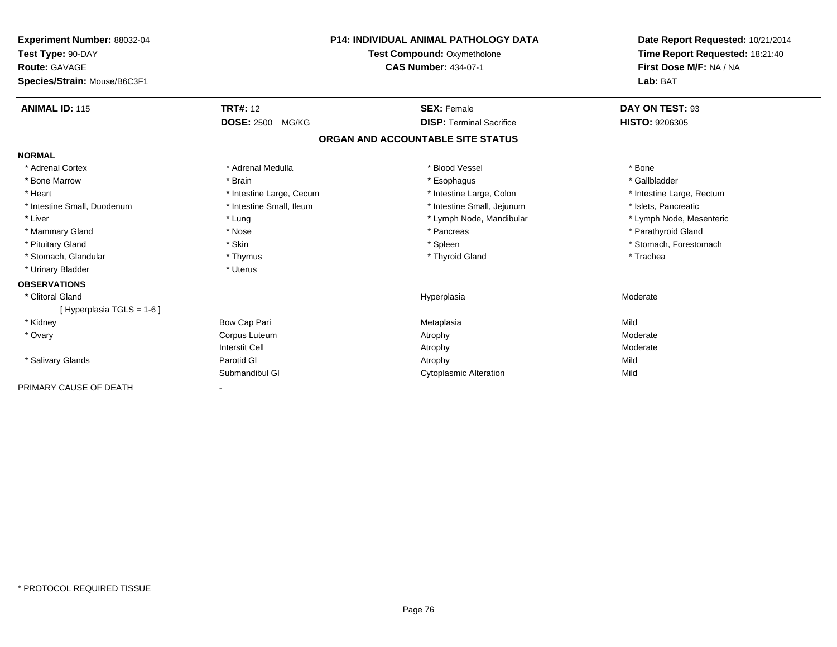| Experiment Number: 88032-04<br>Test Type: 90-DAY<br><b>Route: GAVAGE</b><br>Species/Strain: Mouse/B6C3F1 |                            | <b>P14: INDIVIDUAL ANIMAL PATHOLOGY DATA</b><br>Test Compound: Oxymetholone<br><b>CAS Number: 434-07-1</b> | Date Report Requested: 10/21/2014<br>Time Report Requested: 18:21:40<br>First Dose M/F: NA / NA<br>Lab: BAT |
|----------------------------------------------------------------------------------------------------------|----------------------------|------------------------------------------------------------------------------------------------------------|-------------------------------------------------------------------------------------------------------------|
| <b>ANIMAL ID: 115</b>                                                                                    | <b>TRT#: 12</b>            | <b>SEX: Female</b>                                                                                         | DAY ON TEST: 93                                                                                             |
|                                                                                                          | <b>DOSE: 2500</b><br>MG/KG | <b>DISP: Terminal Sacrifice</b>                                                                            | <b>HISTO: 9206305</b>                                                                                       |
|                                                                                                          |                            | ORGAN AND ACCOUNTABLE SITE STATUS                                                                          |                                                                                                             |
| <b>NORMAL</b>                                                                                            |                            |                                                                                                            |                                                                                                             |
| * Adrenal Cortex                                                                                         | * Adrenal Medulla          | * Blood Vessel                                                                                             | * Bone                                                                                                      |
| * Bone Marrow                                                                                            | * Brain                    | * Esophagus                                                                                                | * Gallbladder                                                                                               |
| * Heart                                                                                                  | * Intestine Large, Cecum   | * Intestine Large, Colon                                                                                   | * Intestine Large, Rectum                                                                                   |
| * Intestine Small, Duodenum                                                                              | * Intestine Small. Ileum   | * Intestine Small, Jejunum                                                                                 | * Islets, Pancreatic                                                                                        |
| * Liver                                                                                                  | * Lung                     | * Lymph Node, Mandibular                                                                                   | * Lymph Node, Mesenteric                                                                                    |
| * Mammary Gland                                                                                          | * Nose                     | * Pancreas                                                                                                 | * Parathyroid Gland                                                                                         |
| * Pituitary Gland                                                                                        | * Skin                     | * Spleen                                                                                                   | * Stomach, Forestomach                                                                                      |
| * Stomach, Glandular                                                                                     | * Thymus                   | * Thyroid Gland                                                                                            | * Trachea                                                                                                   |
| * Urinary Bladder                                                                                        | * Uterus                   |                                                                                                            |                                                                                                             |
| <b>OBSERVATIONS</b>                                                                                      |                            |                                                                                                            |                                                                                                             |
| * Clitoral Gland                                                                                         |                            | Hyperplasia                                                                                                | Moderate                                                                                                    |
| [Hyperplasia TGLS = 1-6]                                                                                 |                            |                                                                                                            |                                                                                                             |
| * Kidney                                                                                                 | Bow Cap Pari               | Metaplasia                                                                                                 | Mild                                                                                                        |
| * Ovary                                                                                                  | Corpus Luteum              | Atrophy                                                                                                    | Moderate                                                                                                    |
|                                                                                                          | <b>Interstit Cell</b>      | Atrophy                                                                                                    | Moderate                                                                                                    |
| * Salivary Glands                                                                                        | Parotid GI                 | Atrophy                                                                                                    | Mild                                                                                                        |
|                                                                                                          | Submandibul GI             | <b>Cytoplasmic Alteration</b>                                                                              | Mild                                                                                                        |
| PRIMARY CAUSE OF DEATH                                                                                   |                            |                                                                                                            |                                                                                                             |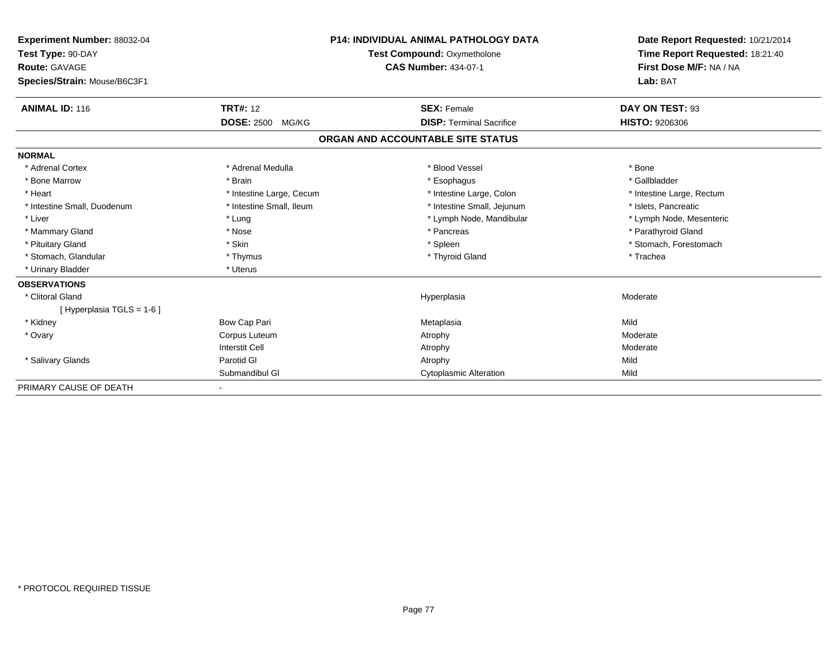| Experiment Number: 88032-04<br>Test Type: 90-DAY<br><b>Route: GAVAGE</b><br>Species/Strain: Mouse/B6C3F1 |                            | <b>P14: INDIVIDUAL ANIMAL PATHOLOGY DATA</b><br>Test Compound: Oxymetholone<br><b>CAS Number: 434-07-1</b> | Date Report Requested: 10/21/2014<br>Time Report Requested: 18:21:40<br>First Dose M/F: NA / NA<br>Lab: BAT |
|----------------------------------------------------------------------------------------------------------|----------------------------|------------------------------------------------------------------------------------------------------------|-------------------------------------------------------------------------------------------------------------|
|                                                                                                          |                            |                                                                                                            |                                                                                                             |
| <b>ANIMAL ID: 116</b>                                                                                    | <b>TRT#: 12</b>            | <b>SEX: Female</b>                                                                                         | DAY ON TEST: 93                                                                                             |
|                                                                                                          | <b>DOSE: 2500</b><br>MG/KG | <b>DISP: Terminal Sacrifice</b>                                                                            | <b>HISTO: 9206306</b>                                                                                       |
|                                                                                                          |                            | ORGAN AND ACCOUNTABLE SITE STATUS                                                                          |                                                                                                             |
| <b>NORMAL</b>                                                                                            |                            |                                                                                                            |                                                                                                             |
| * Adrenal Cortex                                                                                         | * Adrenal Medulla          | * Blood Vessel                                                                                             | * Bone                                                                                                      |
| * Bone Marrow                                                                                            | * Brain                    | * Esophagus                                                                                                | * Gallbladder                                                                                               |
| * Heart                                                                                                  | * Intestine Large, Cecum   | * Intestine Large, Colon                                                                                   | * Intestine Large, Rectum                                                                                   |
| * Intestine Small, Duodenum                                                                              | * Intestine Small. Ileum   | * Intestine Small, Jejunum                                                                                 | * Islets, Pancreatic                                                                                        |
| * Liver                                                                                                  | * Lung                     | * Lymph Node, Mandibular                                                                                   | * Lymph Node, Mesenteric                                                                                    |
| * Mammary Gland                                                                                          | * Nose                     | * Pancreas                                                                                                 | * Parathyroid Gland                                                                                         |
| * Pituitary Gland                                                                                        | * Skin                     | * Spleen                                                                                                   | * Stomach, Forestomach                                                                                      |
| * Stomach, Glandular                                                                                     | * Thymus                   | * Thyroid Gland                                                                                            | * Trachea                                                                                                   |
| * Urinary Bladder                                                                                        | * Uterus                   |                                                                                                            |                                                                                                             |
| <b>OBSERVATIONS</b>                                                                                      |                            |                                                                                                            |                                                                                                             |
| * Clitoral Gland                                                                                         |                            | Hyperplasia                                                                                                | Moderate                                                                                                    |
| [Hyperplasia TGLS = 1-6]                                                                                 |                            |                                                                                                            |                                                                                                             |
| * Kidney                                                                                                 | Bow Cap Pari               | Metaplasia                                                                                                 | Mild                                                                                                        |
| * Ovary                                                                                                  | Corpus Luteum              | Atrophy                                                                                                    | Moderate                                                                                                    |
|                                                                                                          | <b>Interstit Cell</b>      | Atrophy                                                                                                    | Moderate                                                                                                    |
| * Salivary Glands                                                                                        | Parotid GI                 | Atrophy                                                                                                    | Mild                                                                                                        |
|                                                                                                          | Submandibul GI             | <b>Cytoplasmic Alteration</b>                                                                              | Mild                                                                                                        |
| PRIMARY CAUSE OF DEATH                                                                                   |                            |                                                                                                            |                                                                                                             |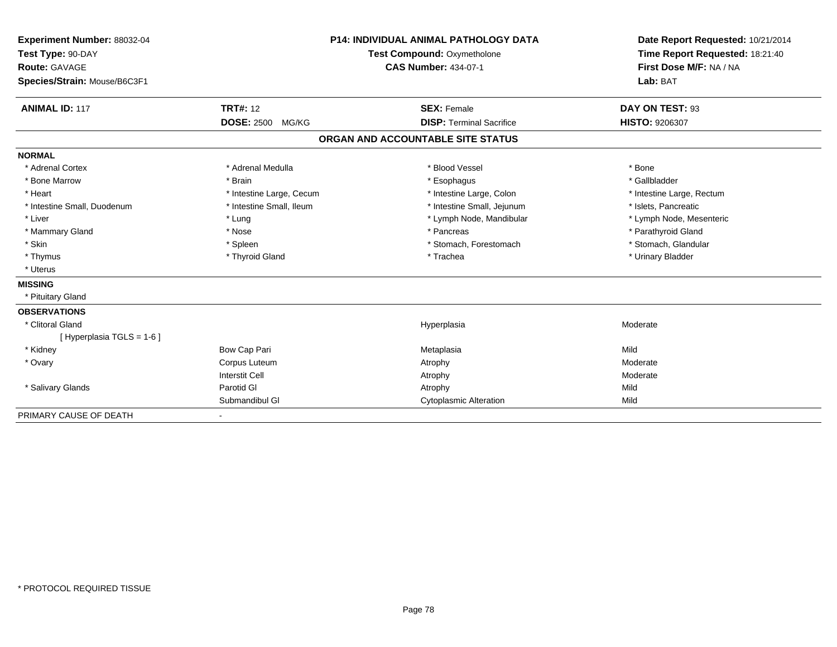| Experiment Number: 88032-04<br>Test Type: 90-DAY<br>Route: GAVAGE<br>Species/Strain: Mouse/B6C3F1 |                            | <b>P14: INDIVIDUAL ANIMAL PATHOLOGY DATA</b><br>Test Compound: Oxymetholone<br><b>CAS Number: 434-07-1</b> | Date Report Requested: 10/21/2014<br>Time Report Requested: 18:21:40<br>First Dose M/F: NA / NA<br>Lab: BAT |
|---------------------------------------------------------------------------------------------------|----------------------------|------------------------------------------------------------------------------------------------------------|-------------------------------------------------------------------------------------------------------------|
| <b>ANIMAL ID: 117</b>                                                                             | <b>TRT#: 12</b>            | <b>SEX: Female</b>                                                                                         | DAY ON TEST: 93                                                                                             |
|                                                                                                   | <b>DOSE: 2500</b><br>MG/KG | <b>DISP: Terminal Sacrifice</b>                                                                            | <b>HISTO: 9206307</b>                                                                                       |
|                                                                                                   |                            | ORGAN AND ACCOUNTABLE SITE STATUS                                                                          |                                                                                                             |
| <b>NORMAL</b>                                                                                     |                            |                                                                                                            |                                                                                                             |
| * Adrenal Cortex                                                                                  | * Adrenal Medulla          | * Blood Vessel                                                                                             | * Bone                                                                                                      |
| * Bone Marrow                                                                                     | * Brain                    | * Esophagus                                                                                                | * Gallbladder                                                                                               |
| * Heart                                                                                           | * Intestine Large, Cecum   | * Intestine Large, Colon                                                                                   | * Intestine Large, Rectum                                                                                   |
| * Intestine Small, Duodenum                                                                       | * Intestine Small, Ileum   | * Intestine Small, Jejunum                                                                                 | * Islets, Pancreatic                                                                                        |
| * Liver                                                                                           | * Lung                     | * Lymph Node, Mandibular                                                                                   | * Lymph Node, Mesenteric                                                                                    |
| * Mammary Gland                                                                                   | * Nose                     | * Pancreas                                                                                                 | * Parathyroid Gland                                                                                         |
| * Skin                                                                                            | * Spleen                   | * Stomach, Forestomach                                                                                     | * Stomach, Glandular                                                                                        |
| * Thymus                                                                                          | * Thyroid Gland            | * Trachea                                                                                                  | * Urinary Bladder                                                                                           |
| * Uterus                                                                                          |                            |                                                                                                            |                                                                                                             |
| <b>MISSING</b>                                                                                    |                            |                                                                                                            |                                                                                                             |
| * Pituitary Gland                                                                                 |                            |                                                                                                            |                                                                                                             |
| <b>OBSERVATIONS</b>                                                                               |                            |                                                                                                            |                                                                                                             |
| * Clitoral Gland                                                                                  |                            | Hyperplasia                                                                                                | Moderate                                                                                                    |
| [ Hyperplasia TGLS = 1-6 ]                                                                        |                            |                                                                                                            |                                                                                                             |
| * Kidney                                                                                          | Bow Cap Pari               | Metaplasia                                                                                                 | Mild                                                                                                        |
| * Ovary                                                                                           | Corpus Luteum              | Atrophy                                                                                                    | Moderate                                                                                                    |
|                                                                                                   | <b>Interstit Cell</b>      | Atrophy                                                                                                    | Moderate                                                                                                    |
| * Salivary Glands                                                                                 | Parotid GI                 | Atrophy                                                                                                    | Mild                                                                                                        |
|                                                                                                   | Submandibul GI             | <b>Cytoplasmic Alteration</b>                                                                              | Mild                                                                                                        |
| PRIMARY CAUSE OF DEATH                                                                            |                            |                                                                                                            |                                                                                                             |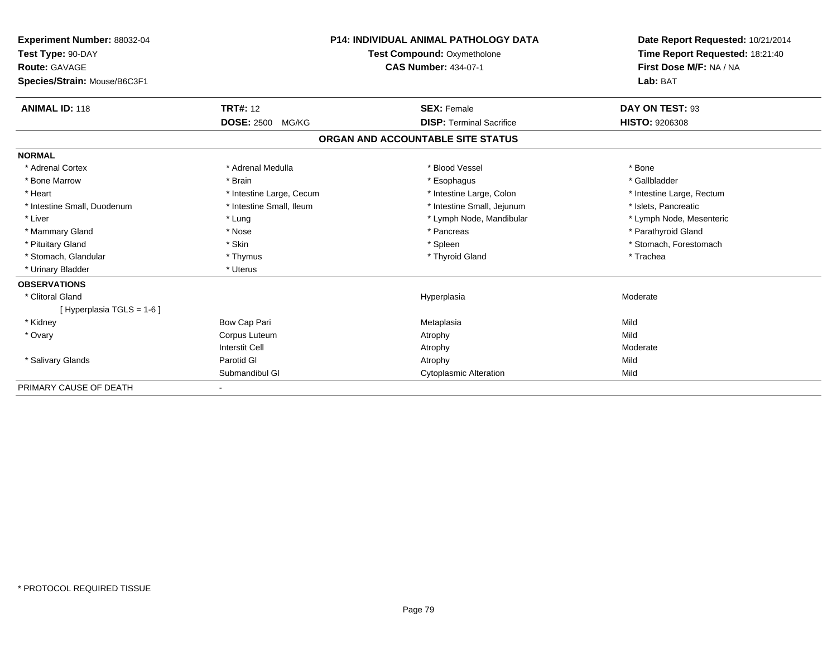| <b>Experiment Number: 88032-04</b> |                            | <b>P14: INDIVIDUAL ANIMAL PATHOLOGY DATA</b> | Date Report Requested: 10/21/2014 |
|------------------------------------|----------------------------|----------------------------------------------|-----------------------------------|
| Test Type: 90-DAY                  |                            | <b>Test Compound: Oxymetholone</b>           | Time Report Requested: 18:21:40   |
| <b>Route: GAVAGE</b>               |                            | <b>CAS Number: 434-07-1</b>                  | First Dose M/F: NA / NA           |
| Species/Strain: Mouse/B6C3F1       |                            |                                              | Lab: BAT                          |
| <b>ANIMAL ID: 118</b>              | <b>TRT#: 12</b>            | <b>SEX: Female</b>                           | DAY ON TEST: 93                   |
|                                    | <b>DOSE: 2500</b><br>MG/KG | <b>DISP: Terminal Sacrifice</b>              | HISTO: 9206308                    |
|                                    |                            | ORGAN AND ACCOUNTABLE SITE STATUS            |                                   |
| <b>NORMAL</b>                      |                            |                                              |                                   |
| * Adrenal Cortex                   | * Adrenal Medulla          | * Blood Vessel                               | * Bone                            |
| * Bone Marrow                      | * Brain                    | * Esophagus                                  | * Gallbladder                     |
| * Heart                            | * Intestine Large, Cecum   | * Intestine Large, Colon                     | * Intestine Large, Rectum         |
| * Intestine Small, Duodenum        | * Intestine Small, Ileum   | * Intestine Small, Jejunum                   | * Islets, Pancreatic              |
| * Liver                            | * Lung                     | * Lymph Node, Mandibular                     | * Lymph Node, Mesenteric          |
| * Mammary Gland                    | * Nose                     | * Pancreas                                   | * Parathyroid Gland               |
| * Pituitary Gland                  | * Skin                     | * Spleen                                     | * Stomach, Forestomach            |
| * Stomach, Glandular               | * Thymus                   | * Thyroid Gland                              | * Trachea                         |
| * Urinary Bladder                  | * Uterus                   |                                              |                                   |
| <b>OBSERVATIONS</b>                |                            |                                              |                                   |
| * Clitoral Gland                   |                            | Hyperplasia                                  | Moderate                          |
| [Hyperplasia TGLS = 1-6]           |                            |                                              |                                   |
| * Kidney                           | Bow Cap Pari               | Metaplasia                                   | Mild                              |
| * Ovary                            | Corpus Luteum              | Atrophy                                      | Mild                              |
|                                    | <b>Interstit Cell</b>      | Atrophy                                      | Moderate                          |
| * Salivary Glands                  | Parotid GI                 | Atrophy                                      | Mild                              |
|                                    | Submandibul GI             | <b>Cytoplasmic Alteration</b>                | Mild                              |
| PRIMARY CAUSE OF DEATH             |                            |                                              |                                   |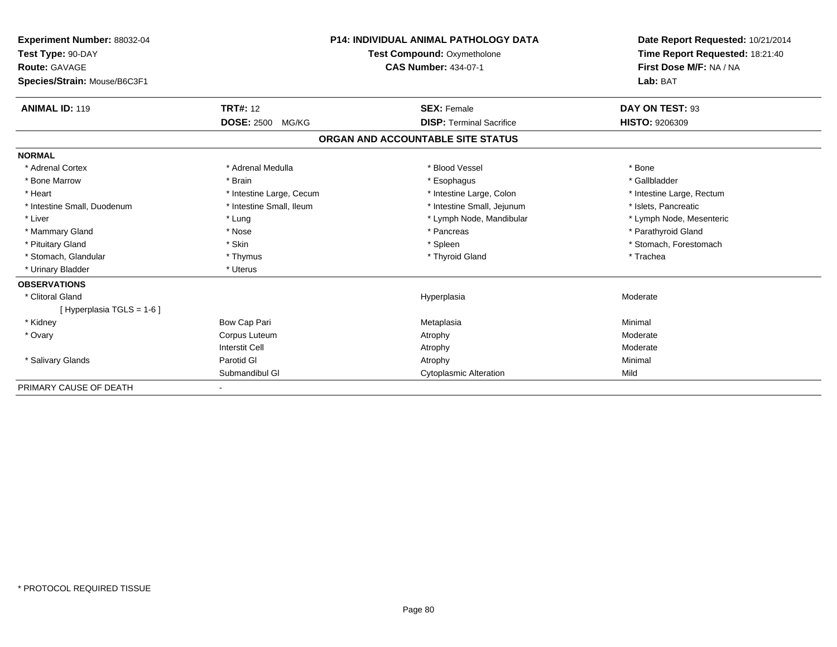| <b>Experiment Number: 88032-04</b> |                            | <b>P14: INDIVIDUAL ANIMAL PATHOLOGY DATA</b> | Date Report Requested: 10/21/2014 |
|------------------------------------|----------------------------|----------------------------------------------|-----------------------------------|
| Test Type: 90-DAY                  |                            | <b>Test Compound: Oxymetholone</b>           | Time Report Requested: 18:21:40   |
| <b>Route: GAVAGE</b>               |                            | <b>CAS Number: 434-07-1</b>                  | First Dose M/F: NA / NA           |
| Species/Strain: Mouse/B6C3F1       |                            |                                              | Lab: BAT                          |
| <b>ANIMAL ID: 119</b>              | <b>TRT#: 12</b>            | <b>SEX: Female</b>                           | DAY ON TEST: 93                   |
|                                    | <b>DOSE: 2500</b><br>MG/KG | <b>DISP: Terminal Sacrifice</b>              | <b>HISTO: 9206309</b>             |
|                                    |                            | ORGAN AND ACCOUNTABLE SITE STATUS            |                                   |
| <b>NORMAL</b>                      |                            |                                              |                                   |
| * Adrenal Cortex                   | * Adrenal Medulla          | * Blood Vessel                               | * Bone                            |
| * Bone Marrow                      | * Brain                    | * Esophagus                                  | * Gallbladder                     |
| * Heart                            | * Intestine Large, Cecum   | * Intestine Large, Colon                     | * Intestine Large, Rectum         |
| * Intestine Small, Duodenum        | * Intestine Small, Ileum   | * Intestine Small, Jejunum                   | * Islets, Pancreatic              |
| * Liver                            | * Lung                     | * Lymph Node, Mandibular                     | * Lymph Node, Mesenteric          |
| * Mammary Gland                    | * Nose                     | * Pancreas                                   | * Parathyroid Gland               |
| * Pituitary Gland                  | * Skin                     | * Spleen                                     | * Stomach, Forestomach            |
| * Stomach, Glandular               | * Thymus                   | * Thyroid Gland                              | * Trachea                         |
| * Urinary Bladder                  | * Uterus                   |                                              |                                   |
| <b>OBSERVATIONS</b>                |                            |                                              |                                   |
| * Clitoral Gland                   |                            | Hyperplasia                                  | Moderate                          |
| [Hyperplasia TGLS = 1-6]           |                            |                                              |                                   |
| * Kidney                           | Bow Cap Pari               | Metaplasia                                   | Minimal                           |
| * Ovary                            | Corpus Luteum              | Atrophy                                      | Moderate                          |
|                                    | <b>Interstit Cell</b>      | Atrophy                                      | Moderate                          |
| * Salivary Glands                  | Parotid GI                 | Atrophy                                      | Minimal                           |
|                                    | Submandibul GI             | <b>Cytoplasmic Alteration</b>                | Mild                              |
| PRIMARY CAUSE OF DEATH             |                            |                                              |                                   |